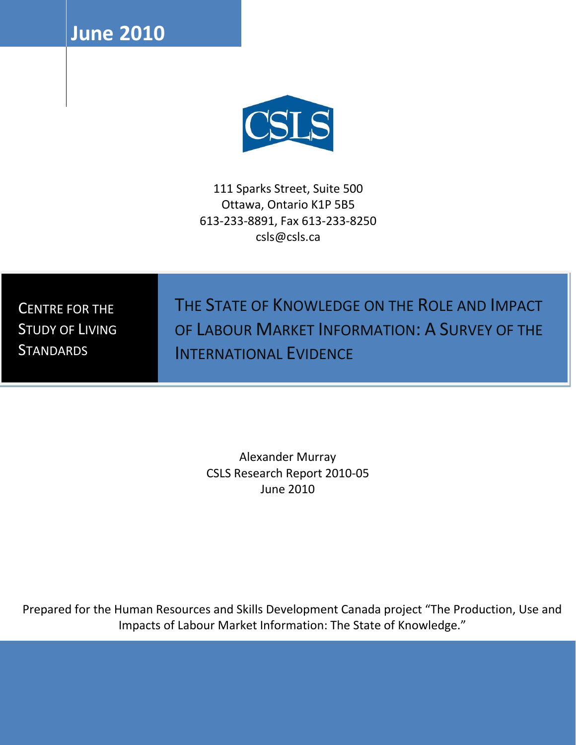**June 2010** <sup>0</sup>



111 Sparks Street, Suite 500 Ottawa, Ontario K1P 5B5 613-233-8891, Fax 613-233-8250 csls@csls.ca

CENTRE FOR THE STUDY OF LIVING **STANDARDS** 

THE STATE OF KNOWLEDGE ON THE ROLE AND IMPACT OF LABOUR MARKET INFORMATION: A SURVEY OF THE INTERNATIONAL EVIDENCE

Alexander Murray CSLS Research Report 2010-05 June 2010

Prepared for the Human Resources and Skills Development Canada project "The Production, Use and Impacts of Labour Market Information: The State of Knowledge."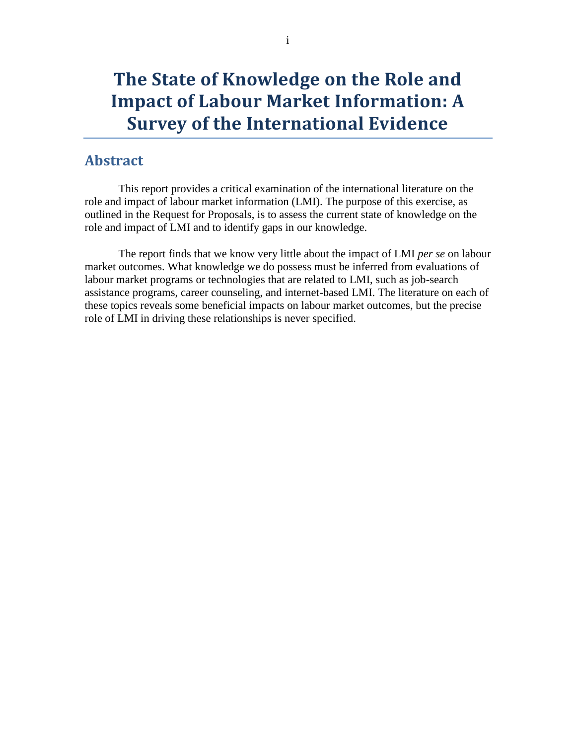# **The State of Knowledge on the Role and Impact of Labour Market Information: A Survey of the International Evidence**

## <span id="page-1-0"></span>**Abstract**

This report provides a critical examination of the international literature on the role and impact of labour market information (LMI). The purpose of this exercise, as outlined in the Request for Proposals, is to assess the current state of knowledge on the role and impact of LMI and to identify gaps in our knowledge.

The report finds that we know very little about the impact of LMI *per se* on labour market outcomes. What knowledge we do possess must be inferred from evaluations of labour market programs or technologies that are related to LMI, such as job-search assistance programs, career counseling, and internet-based LMI. The literature on each of these topics reveals some beneficial impacts on labour market outcomes, but the precise role of LMI in driving these relationships is never specified.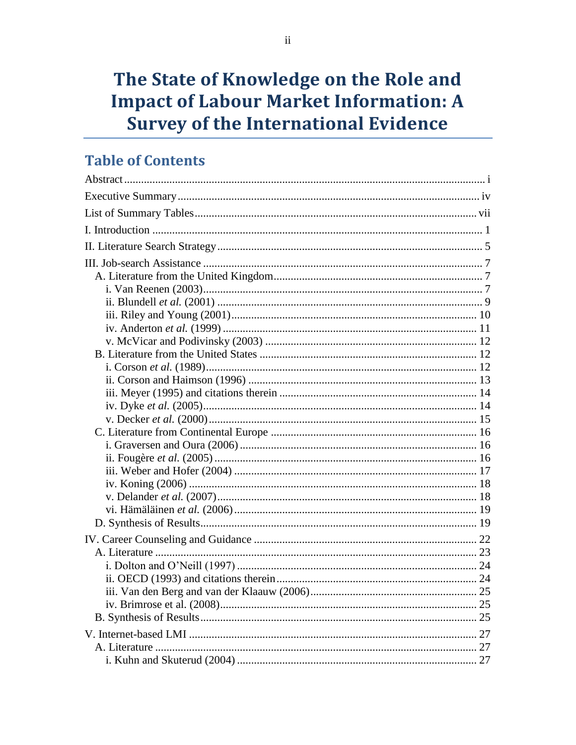# The State of Knowledge on the Role and **Impact of Labour Market Information: A Survey of the International Evidence**

## **Table of Contents**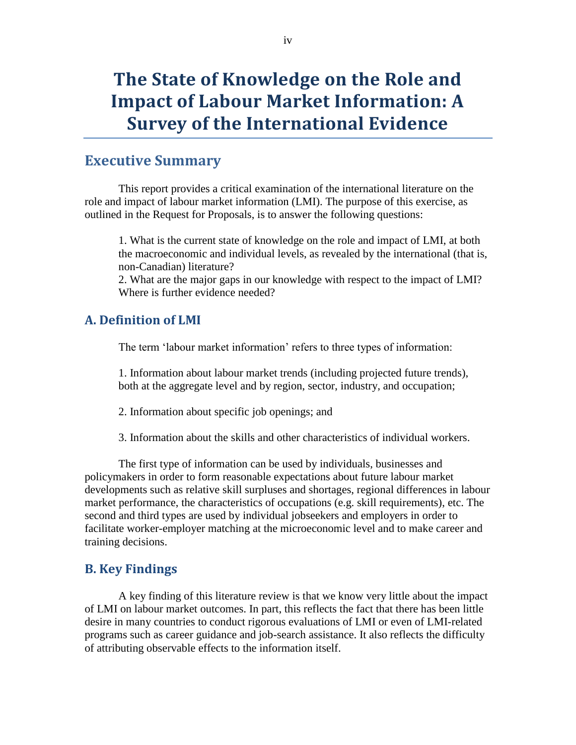# **The State of Knowledge on the Role and Impact of Labour Market Information: A Survey of the International Evidence**

## <span id="page-4-0"></span>**Executive Summary**

This report provides a critical examination of the international literature on the role and impact of labour market information (LMI). The purpose of this exercise, as outlined in the Request for Proposals, is to answer the following questions:

1. What is the current state of knowledge on the role and impact of LMI, at both the macroeconomic and individual levels, as revealed by the international (that is, non-Canadian) literature?

2. What are the major gaps in our knowledge with respect to the impact of LMI? Where is further evidence needed?

### **A. Definition of LMI**

The term 'labour market information' refers to three types of information:

1. Information about labour market trends (including projected future trends), both at the aggregate level and by region, sector, industry, and occupation;

- 2. Information about specific job openings; and
- 3. Information about the skills and other characteristics of individual workers.

The first type of information can be used by individuals, businesses and policymakers in order to form reasonable expectations about future labour market developments such as relative skill surpluses and shortages, regional differences in labour market performance, the characteristics of occupations (e.g. skill requirements), etc. The second and third types are used by individual jobseekers and employers in order to facilitate worker-employer matching at the microeconomic level and to make career and training decisions.

#### **B. Key Findings**

A key finding of this literature review is that we know very little about the impact of LMI on labour market outcomes. In part, this reflects the fact that there has been little desire in many countries to conduct rigorous evaluations of LMI or even of LMI-related programs such as career guidance and job-search assistance. It also reflects the difficulty of attributing observable effects to the information itself.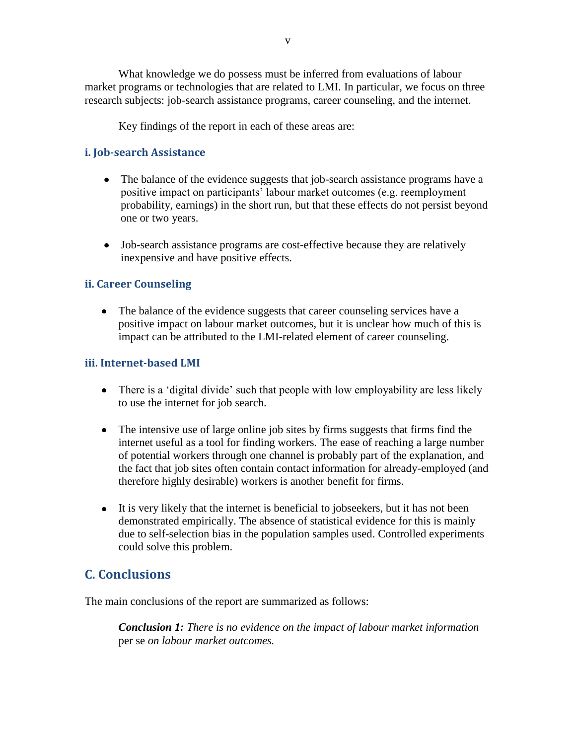What knowledge we do possess must be inferred from evaluations of labour market programs or technologies that are related to LMI. In particular, we focus on three research subjects: job-search assistance programs, career counseling, and the internet.

Key findings of the report in each of these areas are:

### **i. Job-search Assistance**

- The balance of the evidence suggests that job-search assistance programs have a  $\bullet$ positive impact on participants" labour market outcomes (e.g. reemployment probability, earnings) in the short run, but that these effects do not persist beyond one or two years.
- Job-search assistance programs are cost-effective because they are relatively inexpensive and have positive effects.

#### **ii. Career Counseling**

• The balance of the evidence suggests that career counseling services have a positive impact on labour market outcomes, but it is unclear how much of this is impact can be attributed to the LMI-related element of career counseling.

#### **iii. Internet-based LMI**

- There is a 'digital divide' such that people with low employability are less likely to use the internet for job search.
- The intensive use of large online job sites by firms suggests that firms find the internet useful as a tool for finding workers. The ease of reaching a large number of potential workers through one channel is probably part of the explanation, and the fact that job sites often contain contact information for already-employed (and therefore highly desirable) workers is another benefit for firms.
- It is very likely that the internet is beneficial to jobseekers, but it has not been demonstrated empirically. The absence of statistical evidence for this is mainly due to self-selection bias in the population samples used. Controlled experiments could solve this problem.

## **C. Conclusions**

The main conclusions of the report are summarized as follows:

*Conclusion 1: There is no evidence on the impact of labour market information*  per se *on labour market outcomes.*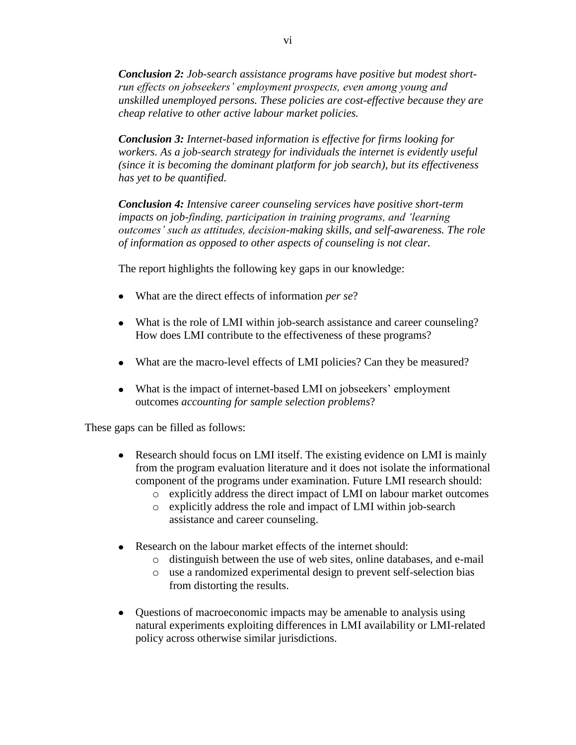*Conclusion 2: Job-search assistance programs have positive but modest shortrun effects on jobseekers' employment prospects, even among young and unskilled unemployed persons. These policies are cost-effective because they are cheap relative to other active labour market policies.*

*Conclusion 3: Internet-based information is effective for firms looking for workers. As a job-search strategy for individuals the internet is evidently useful (since it is becoming the dominant platform for job search), but its effectiveness has yet to be quantified.* 

*Conclusion 4: Intensive career counseling services have positive short-term impacts on job-finding, participation in training programs, and 'learning outcomes' such as attitudes, decision-making skills, and self-awareness. The role of information as opposed to other aspects of counseling is not clear.*

The report highlights the following key gaps in our knowledge:

- What are the direct effects of information *per se*?
- What is the role of LMI within job-search assistance and career counseling? How does LMI contribute to the effectiveness of these programs?
- What are the macro-level effects of LMI policies? Can they be measured?
- What is the impact of internet-based LMI on jobseekers' employment outcomes *accounting for sample selection problems*?

These gaps can be filled as follows:

- Research should focus on LMI itself. The existing evidence on LMI is mainly  $\bullet$ from the program evaluation literature and it does not isolate the informational component of the programs under examination. Future LMI research should:
	- o explicitly address the direct impact of LMI on labour market outcomes
	- o explicitly address the role and impact of LMI within job-search assistance and career counseling.
- Research on the labour market effects of the internet should:
	- o distinguish between the use of web sites, online databases, and e-mail
	- o use a randomized experimental design to prevent self-selection bias from distorting the results.
- Questions of macroeconomic impacts may be amenable to analysis using natural experiments exploiting differences in LMI availability or LMI-related policy across otherwise similar jurisdictions.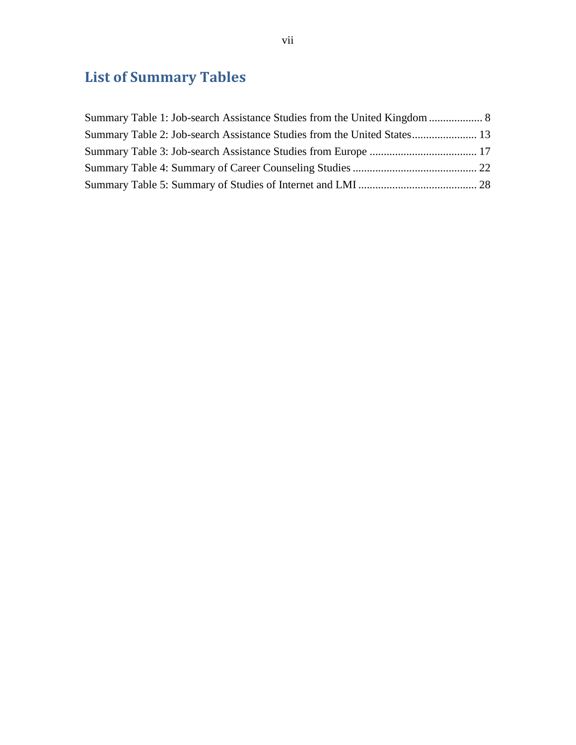# <span id="page-7-0"></span>**List of Summary Tables**

| Summary Table 2: Job-search Assistance Studies from the United States 13 |  |
|--------------------------------------------------------------------------|--|
|                                                                          |  |
|                                                                          |  |
|                                                                          |  |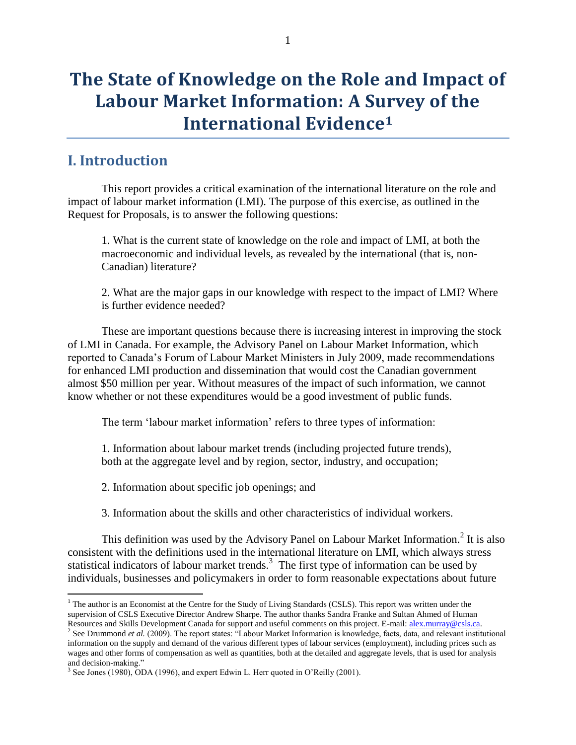# **The State of Knowledge on the Role and Impact of Labour Market Information: A Survey of the International Evidence<sup>1</sup>**

## <span id="page-8-0"></span>**I. Introduction**

 $\overline{a}$ 

This report provides a critical examination of the international literature on the role and impact of labour market information (LMI). The purpose of this exercise, as outlined in the Request for Proposals, is to answer the following questions:

1. What is the current state of knowledge on the role and impact of LMI, at both the macroeconomic and individual levels, as revealed by the international (that is, non-Canadian) literature?

2. What are the major gaps in our knowledge with respect to the impact of LMI? Where is further evidence needed?

These are important questions because there is increasing interest in improving the stock of LMI in Canada. For example, the Advisory Panel on Labour Market Information, which reported to Canada"s Forum of Labour Market Ministers in July 2009, made recommendations for enhanced LMI production and dissemination that would cost the Canadian government almost \$50 million per year. Without measures of the impact of such information, we cannot know whether or not these expenditures would be a good investment of public funds.

The term 'labour market information' refers to three types of information:

1. Information about labour market trends (including projected future trends), both at the aggregate level and by region, sector, industry, and occupation;

2. Information about specific job openings; and

3. Information about the skills and other characteristics of individual workers.

This definition was used by the Advisory Panel on Labour Market Information.<sup>2</sup> It is also consistent with the definitions used in the international literature on LMI, which always stress statistical indicators of labour market trends.<sup>3</sup> The first type of information can be used by individuals, businesses and policymakers in order to form reasonable expectations about future

<sup>&</sup>lt;sup>1</sup> The author is an Economist at the Centre for the Study of Living Standards (CSLS). This report was written under the supervision of CSLS Executive Director Andrew Sharpe. The author thanks Sandra Franke and Sultan Ahmed of Human Resources and Skills Development Canada for support and useful comments on this project. E-mail: [alex.murray@csls.ca.](mailto:alex.murray@csls.ca) 

<sup>&</sup>lt;sup>2</sup> See Drummond *et al.* (2009). The report states: "Labour Market Information is knowledge, facts, data, and relevant institutional information on the supply and demand of the various different types of labour services (employment), including prices such as wages and other forms of compensation as well as quantities, both at the detailed and aggregate levels, that is used for analysis and decision-making."

 $3$  See Jones (1980), ODA (1996), and expert Edwin L. Herr quoted in O'Reilly (2001).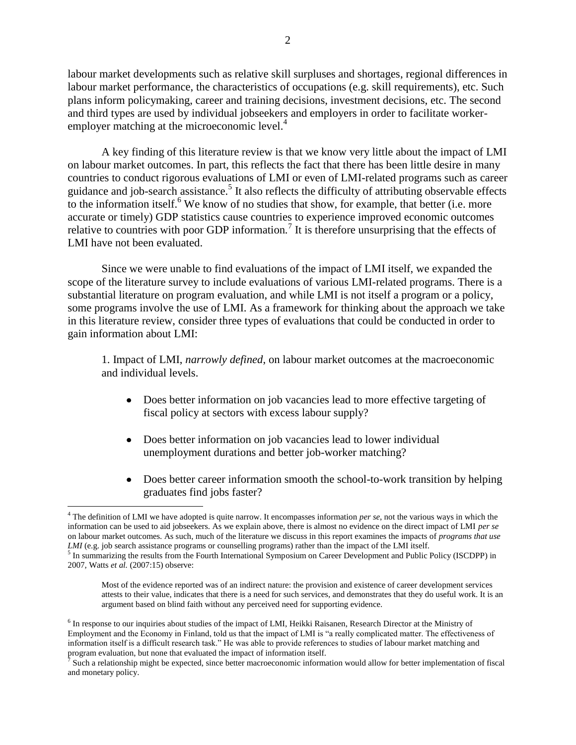labour market developments such as relative skill surpluses and shortages, regional differences in labour market performance, the characteristics of occupations (e.g. skill requirements), etc. Such plans inform policymaking, career and training decisions, investment decisions, etc. The second and third types are used by individual jobseekers and employers in order to facilitate workeremployer matching at the microeconomic level.<sup>4</sup>

A key finding of this literature review is that we know very little about the impact of LMI on labour market outcomes. In part, this reflects the fact that there has been little desire in many countries to conduct rigorous evaluations of LMI or even of LMI-related programs such as career guidance and job-search assistance.<sup>5</sup> It also reflects the difficulty of attributing observable effects to the information itself.<sup>6</sup> We know of no studies that show, for example, that better (i.e. more accurate or timely) GDP statistics cause countries to experience improved economic outcomes relative to countries with poor GDP information.<sup>7</sup> It is therefore unsurprising that the effects of LMI have not been evaluated.

Since we were unable to find evaluations of the impact of LMI itself, we expanded the scope of the literature survey to include evaluations of various LMI-related programs. There is a substantial literature on program evaluation, and while LMI is not itself a program or a policy, some programs involve the use of LMI. As a framework for thinking about the approach we take in this literature review, consider three types of evaluations that could be conducted in order to gain information about LMI:

1. Impact of LMI, *narrowly defined*, on labour market outcomes at the macroeconomic and individual levels.

- $\bullet$ Does better information on job vacancies lead to more effective targeting of fiscal policy at sectors with excess labour supply?
- Does better information on job vacancies lead to lower individual  $\bullet$ unemployment durations and better job-worker matching?
- Does better career information smooth the school-to-work transition by helping graduates find jobs faster?

 $\overline{a}$ 

Most of the evidence reported was of an indirect nature: the provision and existence of career development services attests to their value, indicates that there is a need for such services, and demonstrates that they do useful work. It is an argument based on blind faith without any perceived need for supporting evidence.

<sup>4</sup> The definition of LMI we have adopted is quite narrow. It encompasses information *per se*, not the various ways in which the information can be used to aid jobseekers. As we explain above, there is almost no evidence on the direct impact of LMI *per se* on labour market outcomes. As such, much of the literature we discuss in this report examines the impacts of *programs that use LMI* (e.g. job search assistance programs or counselling programs) rather than the impact of the LMI itself.<br><sup>5</sup> In summarizing the results from the Fourth International Symposium on Career Development and Public Policy

<sup>2007,</sup> Watts *et al.* (2007:15) observe:

<sup>&</sup>lt;sup>6</sup> In response to our inquiries about studies of the impact of LMI, Heikki Raisanen, Research Director at the Ministry of Employment and the Economy in Finland, told us that the impact of LMI is "a really complicated matter. The effectiveness of information itself is a difficult research task." He was able to provide references to studies of labour market matching and program evaluation, but none that evaluated the impact of information itself.<br> $\frac{7}{2}$  Such a relationship might be expected, since better mecroscopomic information

Such a relationship might be expected, since better macroeconomic information would allow for better implementation of fiscal and monetary policy.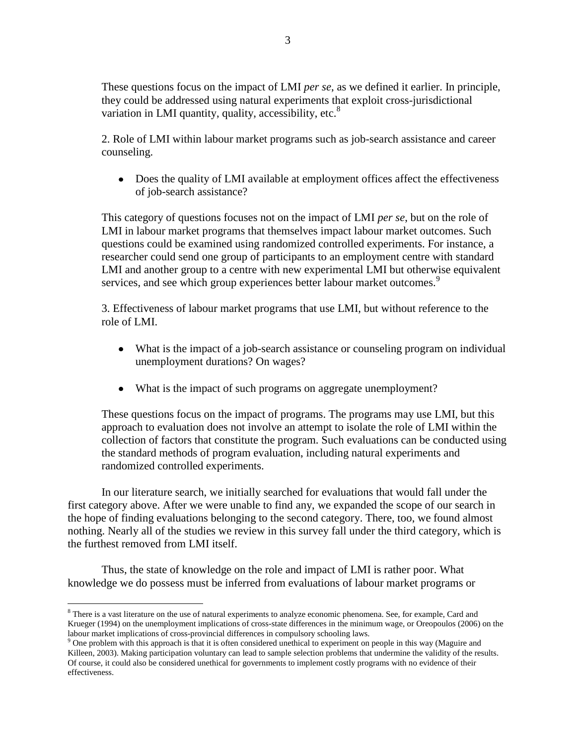3

These questions focus on the impact of LMI *per se*, as we defined it earlier. In principle, they could be addressed using natural experiments that exploit cross-jurisdictional variation in LMI quantity, quality, accessibility, etc.<sup>8</sup>

2. Role of LMI within labour market programs such as job-search assistance and career counseling.

• Does the quality of LMI available at employment offices affect the effectiveness of job-search assistance?

This category of questions focuses not on the impact of LMI *per se*, but on the role of LMI in labour market programs that themselves impact labour market outcomes. Such questions could be examined using randomized controlled experiments. For instance, a researcher could send one group of participants to an employment centre with standard LMI and another group to a centre with new experimental LMI but otherwise equivalent services, and see which group experiences better labour market outcomes.<sup>9</sup>

3. Effectiveness of labour market programs that use LMI, but without reference to the role of LMI.

- What is the impact of a job-search assistance or counseling program on individual unemployment durations? On wages?
- What is the impact of such programs on aggregate unemployment?

These questions focus on the impact of programs. The programs may use LMI, but this approach to evaluation does not involve an attempt to isolate the role of LMI within the collection of factors that constitute the program. Such evaluations can be conducted using the standard methods of program evaluation, including natural experiments and randomized controlled experiments.

In our literature search, we initially searched for evaluations that would fall under the first category above. After we were unable to find any, we expanded the scope of our search in the hope of finding evaluations belonging to the second category. There, too, we found almost nothing. Nearly all of the studies we review in this survey fall under the third category, which is the furthest removed from LMI itself.

Thus, the state of knowledge on the role and impact of LMI is rather poor. What knowledge we do possess must be inferred from evaluations of labour market programs or

 $\overline{a}$ 

<sup>&</sup>lt;sup>8</sup> There is a vast literature on the use of natural experiments to analyze economic phenomena. See, for example, Card and Krueger (1994) on the unemployment implications of cross-state differences in the minimum wage, or Oreopoulos (2006) on the labour market implications of cross-provincial differences in compulsory schooling laws.

<sup>&</sup>lt;sup>9</sup> One problem with this approach is that it is often considered unethical to experiment on people in this way (Maguire and Killeen, 2003). Making participation voluntary can lead to sample selection problems that undermine the validity of the results. Of course, it could also be considered unethical for governments to implement costly programs with no evidence of their effectiveness.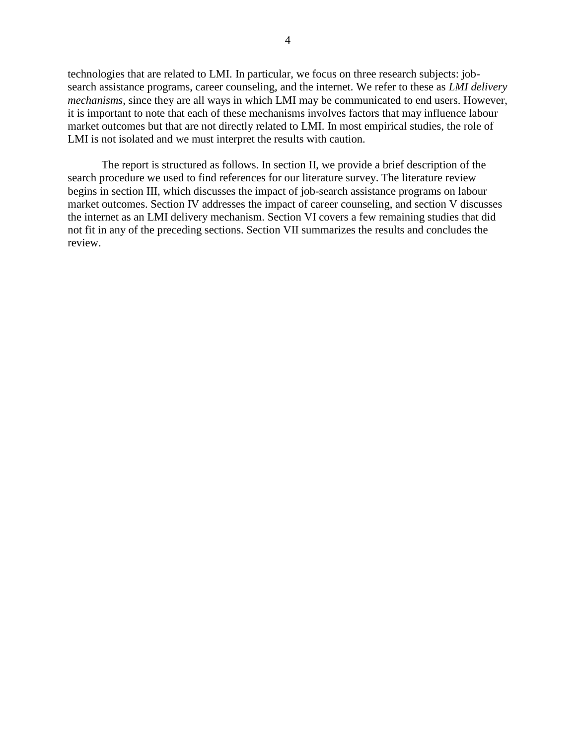technologies that are related to LMI. In particular, we focus on three research subjects: jobsearch assistance programs, career counseling, and the internet. We refer to these as *LMI delivery mechanisms*, since they are all ways in which LMI may be communicated to end users. However, it is important to note that each of these mechanisms involves factors that may influence labour market outcomes but that are not directly related to LMI. In most empirical studies, the role of LMI is not isolated and we must interpret the results with caution.

The report is structured as follows. In section II, we provide a brief description of the search procedure we used to find references for our literature survey. The literature review begins in section III, which discusses the impact of job-search assistance programs on labour market outcomes. Section IV addresses the impact of career counseling, and section V discusses the internet as an LMI delivery mechanism. Section VI covers a few remaining studies that did not fit in any of the preceding sections. Section VII summarizes the results and concludes the review.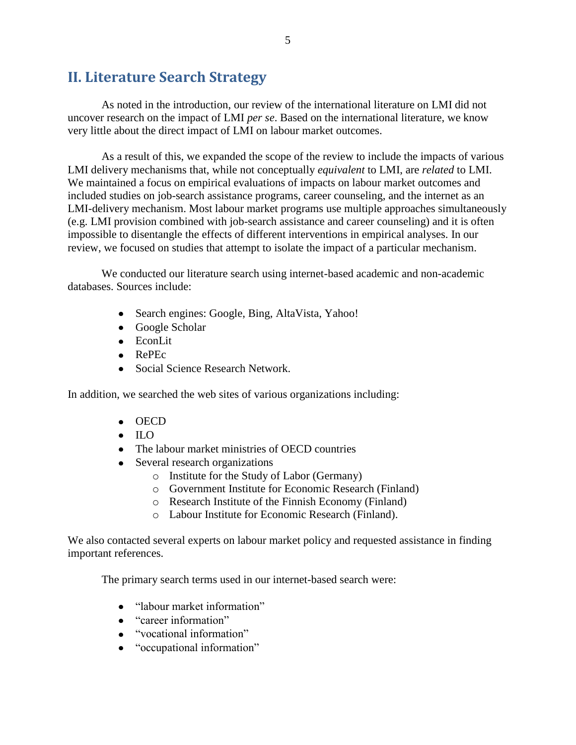## <span id="page-12-0"></span>**II. Literature Search Strategy**

As noted in the introduction, our review of the international literature on LMI did not uncover research on the impact of LMI *per se*. Based on the international literature, we know very little about the direct impact of LMI on labour market outcomes.

As a result of this, we expanded the scope of the review to include the impacts of various LMI delivery mechanisms that, while not conceptually *equivalent* to LMI, are *related* to LMI. We maintained a focus on empirical evaluations of impacts on labour market outcomes and included studies on job-search assistance programs, career counseling, and the internet as an LMI-delivery mechanism. Most labour market programs use multiple approaches simultaneously (e.g. LMI provision combined with job-search assistance and career counseling) and it is often impossible to disentangle the effects of different interventions in empirical analyses. In our review, we focused on studies that attempt to isolate the impact of a particular mechanism.

We conducted our literature search using internet-based academic and non-academic databases. Sources include:

- Search engines: Google, Bing, AltaVista, Yahoo!
- Google Scholar
- EconLit
- RePEc
- Social Science Research Network.

In addition, we searched the web sites of various organizations including:

- OECD
- $\bullet$  ILO
- The labour market ministries of OECD countries
- Several research organizations
	- o Institute for the Study of Labor (Germany)
	- o Government Institute for Economic Research (Finland)
	- o Research Institute of the Finnish Economy (Finland)
	- o Labour Institute for Economic Research (Finland).

We also contacted several experts on labour market policy and requested assistance in finding important references.

The primary search terms used in our internet-based search were:

- "labour market information"
- "career information"
- "vocational information"
- "occupational information"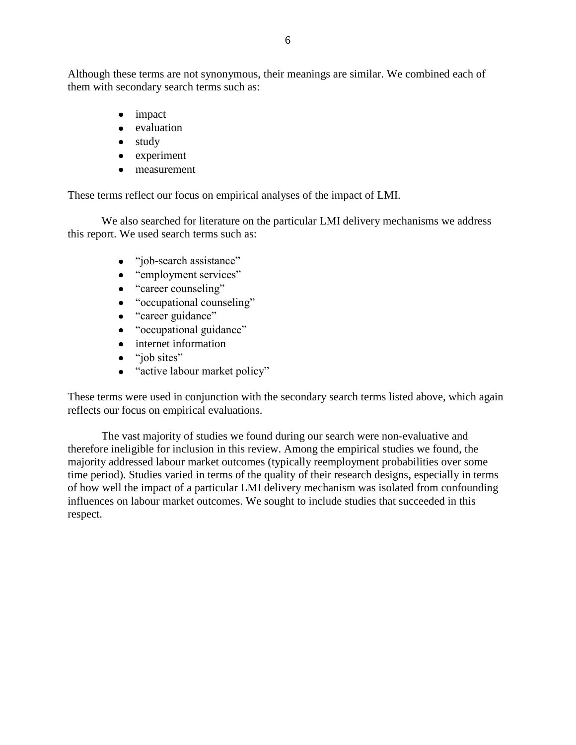Although these terms are not synonymous, their meanings are similar. We combined each of them with secondary search terms such as:

- impact
- evaluation
- $\bullet$  study
- experiment
- measurement

These terms reflect our focus on empirical analyses of the impact of LMI.

We also searched for literature on the particular LMI delivery mechanisms we address this report. We used search terms such as:

- "job-search assistance"  $\bullet$
- "employment services"
- "career counseling"
- "occupational counseling"
- "career guidance"  $\bullet$
- "occupational guidance"
- internet information
- "job sites"
- $\bullet$ "active labour market policy"

These terms were used in conjunction with the secondary search terms listed above, which again reflects our focus on empirical evaluations.

The vast majority of studies we found during our search were non-evaluative and therefore ineligible for inclusion in this review. Among the empirical studies we found, the majority addressed labour market outcomes (typically reemployment probabilities over some time period). Studies varied in terms of the quality of their research designs, especially in terms of how well the impact of a particular LMI delivery mechanism was isolated from confounding influences on labour market outcomes. We sought to include studies that succeeded in this respect.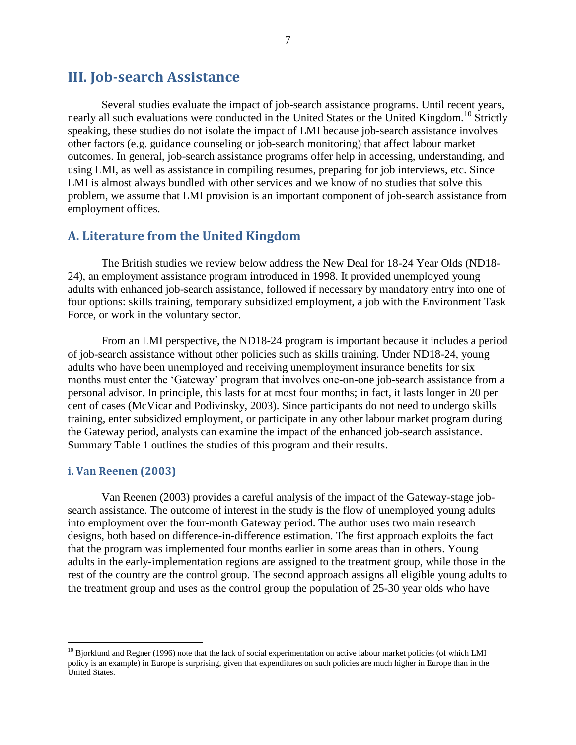## <span id="page-14-0"></span>**III. Job-search Assistance**

Several studies evaluate the impact of job-search assistance programs. Until recent years, nearly all such evaluations were conducted in the United States or the United Kingdom.<sup>10</sup> Strictly speaking, these studies do not isolate the impact of LMI because job-search assistance involves other factors (e.g. guidance counseling or job-search monitoring) that affect labour market outcomes. In general, job-search assistance programs offer help in accessing, understanding, and using LMI, as well as assistance in compiling resumes, preparing for job interviews, etc. Since LMI is almost always bundled with other services and we know of no studies that solve this problem, we assume that LMI provision is an important component of job-search assistance from employment offices.

#### <span id="page-14-1"></span>**A. Literature from the United Kingdom**

The British studies we review below address the New Deal for 18-24 Year Olds (ND18- 24), an employment assistance program introduced in 1998. It provided unemployed young adults with enhanced job-search assistance, followed if necessary by mandatory entry into one of four options: skills training, temporary subsidized employment, a job with the Environment Task Force, or work in the voluntary sector.

From an LMI perspective, the ND18-24 program is important because it includes a period of job-search assistance without other policies such as skills training. Under ND18-24, young adults who have been unemployed and receiving unemployment insurance benefits for six months must enter the "Gateway" program that involves one-on-one job-search assistance from a personal advisor. In principle, this lasts for at most four months; in fact, it lasts longer in 20 per cent of cases (McVicar and Podivinsky, 2003). Since participants do not need to undergo skills training, enter subsidized employment, or participate in any other labour market program during the Gateway period, analysts can examine the impact of the enhanced job-search assistance. [Summary Table 1](#page-15-0) outlines the studies of this program and their results.

#### <span id="page-14-2"></span>**i. Van Reenen (2003)**

 $\overline{a}$ 

Van Reenen (2003) provides a careful analysis of the impact of the Gateway-stage jobsearch assistance. The outcome of interest in the study is the flow of unemployed young adults into employment over the four-month Gateway period. The author uses two main research designs, both based on difference-in-difference estimation. The first approach exploits the fact that the program was implemented four months earlier in some areas than in others. Young adults in the early-implementation regions are assigned to the treatment group, while those in the rest of the country are the control group. The second approach assigns all eligible young adults to the treatment group and uses as the control group the population of 25-30 year olds who have

<sup>&</sup>lt;sup>10</sup> Bjorklund and Regner (1996) note that the lack of social experimentation on active labour market policies (of which LMI policy is an example) in Europe is surprising, given that expenditures on such policies are much higher in Europe than in the United States.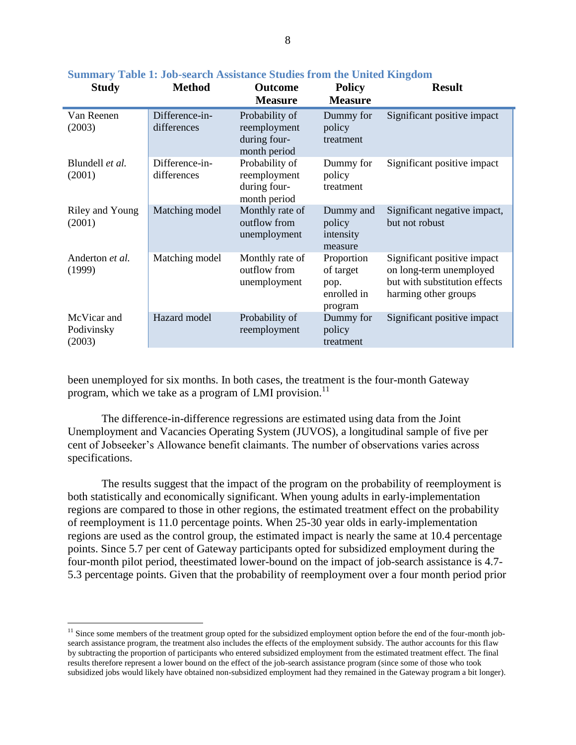| <b>Study</b>                        | <b>Method</b>                 | <b>Outcome</b><br><b>Measure</b>                               | <b>Policy</b><br><b>Measure</b>                           | <b>Result</b>                                                                                                   |
|-------------------------------------|-------------------------------|----------------------------------------------------------------|-----------------------------------------------------------|-----------------------------------------------------------------------------------------------------------------|
| Van Reenen<br>(2003)                | Difference-in-<br>differences | Probability of<br>reemployment<br>during four-<br>month period | Dummy for<br>policy<br>treatment                          | Significant positive impact                                                                                     |
| Blundell et al.<br>(2001)           | Difference-in-<br>differences | Probability of<br>reemployment<br>during four-<br>month period | Dummy for<br>policy<br>treatment                          | Significant positive impact                                                                                     |
| Riley and Young<br>(2001)           | Matching model                | Monthly rate of<br>outflow from<br>unemployment                | Dummy and<br>policy<br>intensity<br>measure               | Significant negative impact,<br>but not robust                                                                  |
| Anderton <i>et al.</i><br>(1999)    | Matching model                | Monthly rate of<br>outflow from<br>unemployment                | Proportion<br>of target<br>pop.<br>enrolled in<br>program | Significant positive impact<br>on long-term unemployed<br>but with substitution effects<br>harming other groups |
| McVicar and<br>Podivinsky<br>(2003) | Hazard model                  | Probability of<br>reemployment                                 | Dummy for<br>policy<br>treatment                          | Significant positive impact                                                                                     |

#### <span id="page-15-0"></span>**Summary Table 1: Job-search Assistance Studies from the United Kingdom**

been unemployed for six months. In both cases, the treatment is the four-month Gateway program, which we take as a program of LMI provision. $^{11}$ 

The difference-in-difference regressions are estimated using data from the Joint Unemployment and Vacancies Operating System (JUVOS), a longitudinal sample of five per cent of Jobseeker"s Allowance benefit claimants. The number of observations varies across specifications.

The results suggest that the impact of the program on the probability of reemployment is both statistically and economically significant. When young adults in early-implementation regions are compared to those in other regions, the estimated treatment effect on the probability of reemployment is 11.0 percentage points. When 25-30 year olds in early-implementation regions are used as the control group, the estimated impact is nearly the same at 10.4 percentage points. Since 5.7 per cent of Gateway participants opted for subsidized employment during the four-month pilot period, theestimated lower-bound on the impact of job-search assistance is 4.7- 5.3 percentage points. Given that the probability of reemployment over a four month period prior

 $\overline{a}$ 

<sup>&</sup>lt;sup>11</sup> Since some members of the treatment group opted for the subsidized employment option before the end of the four-month jobsearch assistance program, the treatment also includes the effects of the employment subsidy. The author accounts for this flaw by subtracting the proportion of participants who entered subsidized employment from the estimated treatment effect. The final results therefore represent a lower bound on the effect of the job-search assistance program (since some of those who took subsidized jobs would likely have obtained non-subsidized employment had they remained in the Gateway program a bit longer).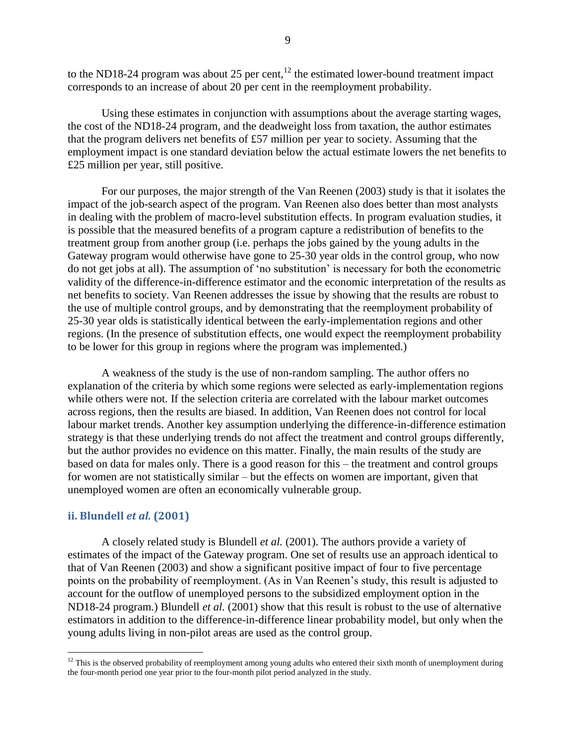to the ND18-24 program was about 25 per cent, $^{12}$  the estimated lower-bound treatment impact corresponds to an increase of about 20 per cent in the reemployment probability.

Using these estimates in conjunction with assumptions about the average starting wages, the cost of the ND18-24 program, and the deadweight loss from taxation, the author estimates that the program delivers net benefits of £57 million per year to society. Assuming that the employment impact is one standard deviation below the actual estimate lowers the net benefits to £25 million per year, still positive.

For our purposes, the major strength of the Van Reenen (2003) study is that it isolates the impact of the job-search aspect of the program. Van Reenen also does better than most analysts in dealing with the problem of macro-level substitution effects. In program evaluation studies, it is possible that the measured benefits of a program capture a redistribution of benefits to the treatment group from another group (i.e. perhaps the jobs gained by the young adults in the Gateway program would otherwise have gone to 25-30 year olds in the control group, who now do not get jobs at all). The assumption of "no substitution" is necessary for both the econometric validity of the difference-in-difference estimator and the economic interpretation of the results as net benefits to society. Van Reenen addresses the issue by showing that the results are robust to the use of multiple control groups, and by demonstrating that the reemployment probability of 25-30 year olds is statistically identical between the early-implementation regions and other regions. (In the presence of substitution effects, one would expect the reemployment probability to be lower for this group in regions where the program was implemented.)

A weakness of the study is the use of non-random sampling. The author offers no explanation of the criteria by which some regions were selected as early-implementation regions while others were not. If the selection criteria are correlated with the labour market outcomes across regions, then the results are biased. In addition, Van Reenen does not control for local labour market trends. Another key assumption underlying the difference-in-difference estimation strategy is that these underlying trends do not affect the treatment and control groups differently, but the author provides no evidence on this matter. Finally, the main results of the study are based on data for males only. There is a good reason for this – the treatment and control groups for women are not statistically similar – but the effects on women are important, given that unemployed women are often an economically vulnerable group.

#### <span id="page-16-0"></span>**ii. Blundell** *et al.* **(2001)**

 $\overline{a}$ 

A closely related study is Blundell *et al.* (2001). The authors provide a variety of estimates of the impact of the Gateway program. One set of results use an approach identical to that of Van Reenen (2003) and show a significant positive impact of four to five percentage points on the probability of reemployment. (As in Van Reenen's study, this result is adjusted to account for the outflow of unemployed persons to the subsidized employment option in the ND18-24 program.) Blundell *et al.* (2001) show that this result is robust to the use of alternative estimators in addition to the difference-in-difference linear probability model, but only when the young adults living in non-pilot areas are used as the control group.

 $12$  This is the observed probability of reemployment among young adults who entered their sixth month of unemployment during the four-month period one year prior to the four-month pilot period analyzed in the study.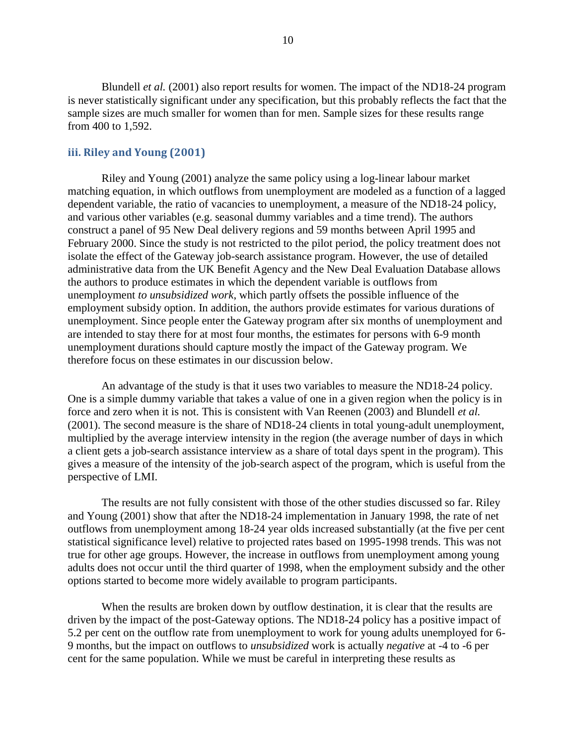Blundell *et al.* (2001) also report results for women. The impact of the ND18-24 program is never statistically significant under any specification, but this probably reflects the fact that the sample sizes are much smaller for women than for men. Sample sizes for these results range from 400 to 1,592.

#### <span id="page-17-0"></span>**iii. Riley and Young (2001)**

Riley and Young (2001) analyze the same policy using a log-linear labour market matching equation, in which outflows from unemployment are modeled as a function of a lagged dependent variable, the ratio of vacancies to unemployment, a measure of the ND18-24 policy, and various other variables (e.g. seasonal dummy variables and a time trend). The authors construct a panel of 95 New Deal delivery regions and 59 months between April 1995 and February 2000. Since the study is not restricted to the pilot period, the policy treatment does not isolate the effect of the Gateway job-search assistance program. However, the use of detailed administrative data from the UK Benefit Agency and the New Deal Evaluation Database allows the authors to produce estimates in which the dependent variable is outflows from unemployment *to unsubsidized work*, which partly offsets the possible influence of the employment subsidy option. In addition, the authors provide estimates for various durations of unemployment. Since people enter the Gateway program after six months of unemployment and are intended to stay there for at most four months, the estimates for persons with 6-9 month unemployment durations should capture mostly the impact of the Gateway program. We therefore focus on these estimates in our discussion below.

An advantage of the study is that it uses two variables to measure the ND18-24 policy. One is a simple dummy variable that takes a value of one in a given region when the policy is in force and zero when it is not. This is consistent with Van Reenen (2003) and Blundell *et al.* (2001). The second measure is the share of ND18-24 clients in total young-adult unemployment, multiplied by the average interview intensity in the region (the average number of days in which a client gets a job-search assistance interview as a share of total days spent in the program). This gives a measure of the intensity of the job-search aspect of the program, which is useful from the perspective of LMI.

The results are not fully consistent with those of the other studies discussed so far. Riley and Young (2001) show that after the ND18-24 implementation in January 1998, the rate of net outflows from unemployment among 18-24 year olds increased substantially (at the five per cent statistical significance level) relative to projected rates based on 1995-1998 trends. This was not true for other age groups. However, the increase in outflows from unemployment among young adults does not occur until the third quarter of 1998, when the employment subsidy and the other options started to become more widely available to program participants.

When the results are broken down by outflow destination, it is clear that the results are driven by the impact of the post-Gateway options. The ND18-24 policy has a positive impact of 5.2 per cent on the outflow rate from unemployment to work for young adults unemployed for 6- 9 months, but the impact on outflows to *unsubsidized* work is actually *negative* at -4 to -6 per cent for the same population. While we must be careful in interpreting these results as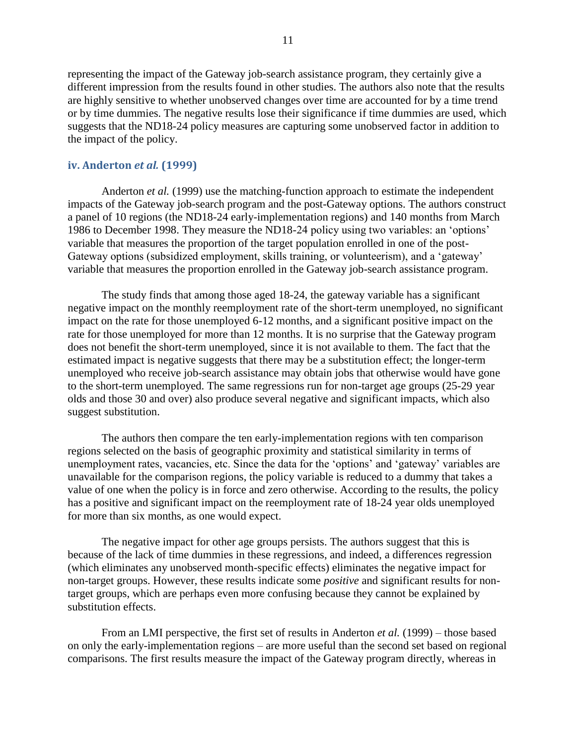representing the impact of the Gateway job-search assistance program, they certainly give a different impression from the results found in other studies. The authors also note that the results are highly sensitive to whether unobserved changes over time are accounted for by a time trend or by time dummies. The negative results lose their significance if time dummies are used, which suggests that the ND18-24 policy measures are capturing some unobserved factor in addition to the impact of the policy.

#### <span id="page-18-0"></span>**iv. Anderton** *et al.* **(1999)**

Anderton *et al.* (1999) use the matching-function approach to estimate the independent impacts of the Gateway job-search program and the post-Gateway options. The authors construct a panel of 10 regions (the ND18-24 early-implementation regions) and 140 months from March 1986 to December 1998. They measure the ND18-24 policy using two variables: an "options" variable that measures the proportion of the target population enrolled in one of the post-Gateway options (subsidized employment, skills training, or volunteerism), and a "gateway" variable that measures the proportion enrolled in the Gateway job-search assistance program.

The study finds that among those aged 18-24, the gateway variable has a significant negative impact on the monthly reemployment rate of the short-term unemployed, no significant impact on the rate for those unemployed 6-12 months, and a significant positive impact on the rate for those unemployed for more than 12 months. It is no surprise that the Gateway program does not benefit the short-term unemployed, since it is not available to them. The fact that the estimated impact is negative suggests that there may be a substitution effect; the longer-term unemployed who receive job-search assistance may obtain jobs that otherwise would have gone to the short-term unemployed. The same regressions run for non-target age groups (25-29 year olds and those 30 and over) also produce several negative and significant impacts, which also suggest substitution.

The authors then compare the ten early-implementation regions with ten comparison regions selected on the basis of geographic proximity and statistical similarity in terms of unemployment rates, vacancies, etc. Since the data for the "options" and "gateway" variables are unavailable for the comparison regions, the policy variable is reduced to a dummy that takes a value of one when the policy is in force and zero otherwise. According to the results, the policy has a positive and significant impact on the reemployment rate of 18-24 year olds unemployed for more than six months, as one would expect.

The negative impact for other age groups persists. The authors suggest that this is because of the lack of time dummies in these regressions, and indeed, a differences regression (which eliminates any unobserved month-specific effects) eliminates the negative impact for non-target groups. However, these results indicate some *positive* and significant results for nontarget groups, which are perhaps even more confusing because they cannot be explained by substitution effects.

From an LMI perspective, the first set of results in Anderton *et al.* (1999) – those based on only the early-implementation regions – are more useful than the second set based on regional comparisons. The first results measure the impact of the Gateway program directly, whereas in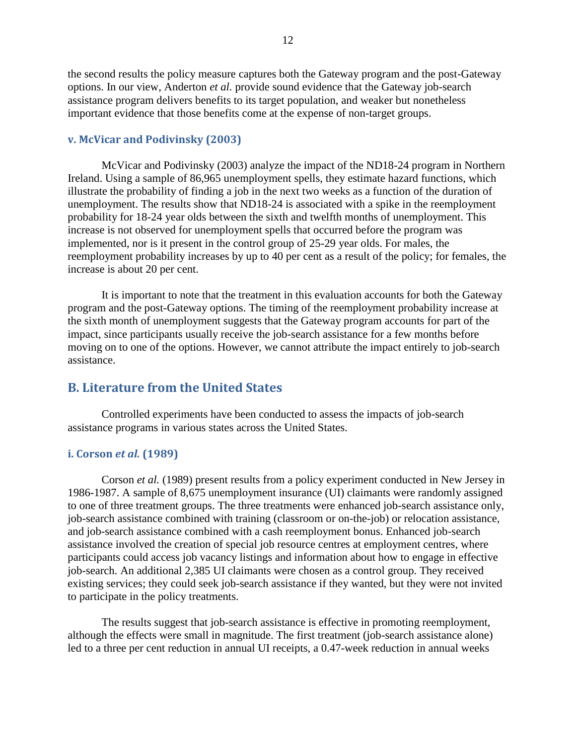the second results the policy measure captures both the Gateway program and the post-Gateway options. In our view, Anderton *et al.* provide sound evidence that the Gateway job-search assistance program delivers benefits to its target population, and weaker but nonetheless important evidence that those benefits come at the expense of non-target groups.

#### <span id="page-19-0"></span>**v. McVicar and Podivinsky (2003)**

McVicar and Podivinsky (2003) analyze the impact of the ND18-24 program in Northern Ireland. Using a sample of 86,965 unemployment spells, they estimate hazard functions, which illustrate the probability of finding a job in the next two weeks as a function of the duration of unemployment. The results show that ND18-24 is associated with a spike in the reemployment probability for 18-24 year olds between the sixth and twelfth months of unemployment. This increase is not observed for unemployment spells that occurred before the program was implemented, nor is it present in the control group of 25-29 year olds. For males, the reemployment probability increases by up to 40 per cent as a result of the policy; for females, the increase is about 20 per cent.

It is important to note that the treatment in this evaluation accounts for both the Gateway program and the post-Gateway options. The timing of the reemployment probability increase at the sixth month of unemployment suggests that the Gateway program accounts for part of the impact, since participants usually receive the job-search assistance for a few months before moving on to one of the options. However, we cannot attribute the impact entirely to job-search assistance.

#### <span id="page-19-1"></span>**B. Literature from the United States**

Controlled experiments have been conducted to assess the impacts of job-search assistance programs in various states across the United States.

#### <span id="page-19-2"></span>**i. Corson** *et al.* **(1989)**

Corson *et al.* (1989) present results from a policy experiment conducted in New Jersey in 1986-1987. A sample of 8,675 unemployment insurance (UI) claimants were randomly assigned to one of three treatment groups. The three treatments were enhanced job-search assistance only, job-search assistance combined with training (classroom or on-the-job) or relocation assistance, and job-search assistance combined with a cash reemployment bonus. Enhanced job-search assistance involved the creation of special job resource centres at employment centres, where participants could access job vacancy listings and information about how to engage in effective job-search. An additional 2,385 UI claimants were chosen as a control group. They received existing services; they could seek job-search assistance if they wanted, but they were not invited to participate in the policy treatments.

The results suggest that job-search assistance is effective in promoting reemployment, although the effects were small in magnitude. The first treatment (job-search assistance alone) led to a three per cent reduction in annual UI receipts, a 0.47-week reduction in annual weeks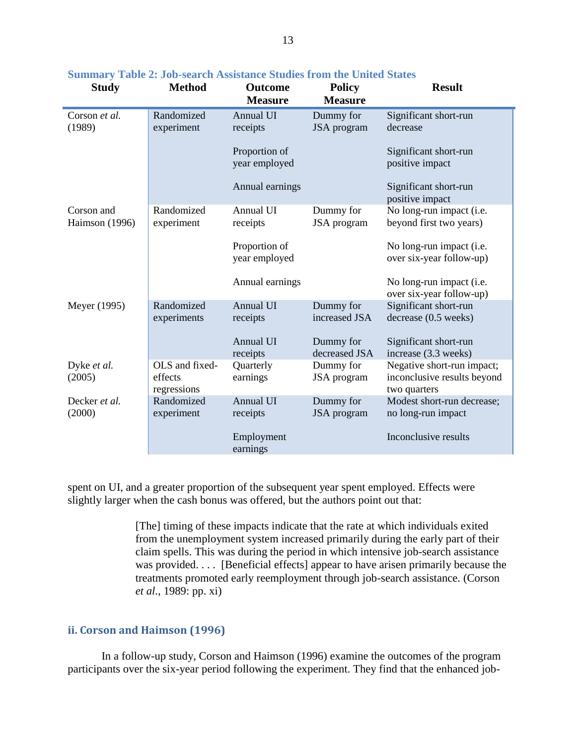| <b>Study</b>            | <b>Method</b>            | <b>Outcome</b><br><b>Measure</b> | <b>Policy</b><br><b>Measure</b> | <b>Result</b>                                        |
|-------------------------|--------------------------|----------------------------------|---------------------------------|------------------------------------------------------|
| Corson et al.           | Randomized               | Annual UI                        | Dummy for                       | Significant short-run                                |
| (1989)                  | experiment               | receipts                         | JSA program                     | decrease                                             |
|                         |                          | Proportion of<br>year employed   |                                 | Significant short-run<br>positive impact             |
|                         |                          | Annual earnings                  |                                 | Significant short-run<br>positive impact             |
| Corson and              | Randomized               | Annual UI                        | Dummy for                       | No long-run impact (i.e.                             |
| Haimson (1996)          | experiment               | receipts                         | JSA program                     | beyond first two years)                              |
|                         |                          | Proportion of<br>year employed   |                                 | No long-run impact (i.e.<br>over six-year follow-up) |
|                         |                          | Annual earnings                  |                                 | No long-run impact (i.e.<br>over six-year follow-up) |
| Meyer (1995)            | Randomized               | <b>Annual UI</b>                 | Dummy for                       | Significant short-run                                |
|                         | experiments              | receipts                         | increased JSA                   | decrease (0.5 weeks)                                 |
|                         |                          | Annual UI<br>receipts            | Dummy for<br>decreased JSA      | Significant short-run<br>increase (3.3 weeks)        |
| Dyke et al.             | OLS and fixed-           | Quarterly                        | Dummy for                       | Negative short-run impact;                           |
| (2005)                  | effects                  | earnings                         | JSA program                     | inconclusive results beyond                          |
|                         | regressions              |                                  |                                 | two quarters                                         |
| Decker et al.<br>(2000) | Randomized<br>experiment | Annual UI                        | Dummy for                       | Modest short-run decrease;                           |
|                         |                          | receipts                         | JSA program                     | no long-run impact                                   |
|                         |                          | Employment<br>earnings           |                                 | Inconclusive results                                 |

#### <span id="page-20-1"></span>**Summary Table 2: Job-search Assistance Studies from the United States**

spent on UI, and a greater proportion of the subsequent year spent employed. Effects were slightly larger when the cash bonus was offered, but the authors point out that:

> [The] timing of these impacts indicate that the rate at which individuals exited from the unemployment system increased primarily during the early part of their claim spells. This was during the period in which intensive job-search assistance was provided. . . . [Beneficial effects] appear to have arisen primarily because the treatments promoted early reemployment through job-search assistance. (Corson *et al.*, 1989: pp. xi)

#### <span id="page-20-0"></span>**ii. Corson and Haimson (1996)**

In a follow-up study, Corson and Haimson (1996) examine the outcomes of the program participants over the six-year period following the experiment. They find that the enhanced job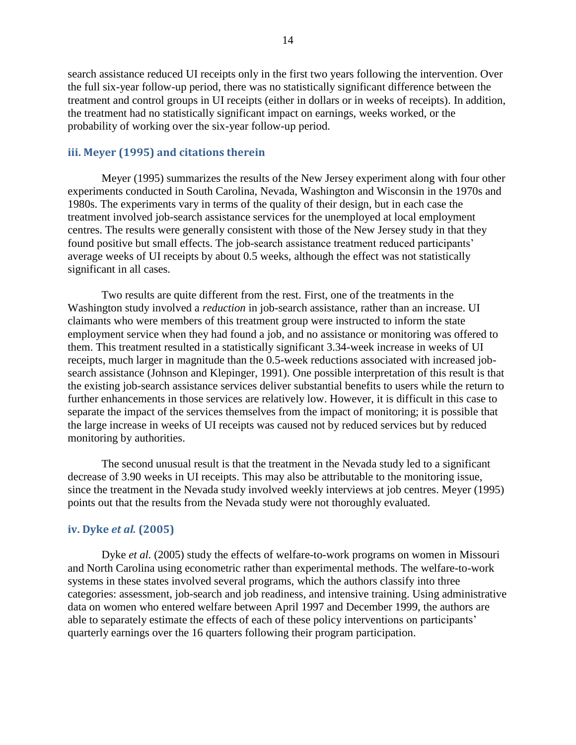search assistance reduced UI receipts only in the first two years following the intervention. Over the full six-year follow-up period, there was no statistically significant difference between the treatment and control groups in UI receipts (either in dollars or in weeks of receipts). In addition, the treatment had no statistically significant impact on earnings, weeks worked, or the probability of working over the six-year follow-up period.

#### <span id="page-21-0"></span>**iii. Meyer (1995) and citations therein**

Meyer (1995) summarizes the results of the New Jersey experiment along with four other experiments conducted in South Carolina, Nevada, Washington and Wisconsin in the 1970s and 1980s. The experiments vary in terms of the quality of their design, but in each case the treatment involved job-search assistance services for the unemployed at local employment centres. The results were generally consistent with those of the New Jersey study in that they found positive but small effects. The job-search assistance treatment reduced participants' average weeks of UI receipts by about 0.5 weeks, although the effect was not statistically significant in all cases.

Two results are quite different from the rest. First, one of the treatments in the Washington study involved a *reduction* in job-search assistance, rather than an increase. UI claimants who were members of this treatment group were instructed to inform the state employment service when they had found a job, and no assistance or monitoring was offered to them. This treatment resulted in a statistically significant 3.34-week increase in weeks of UI receipts, much larger in magnitude than the 0.5-week reductions associated with increased jobsearch assistance (Johnson and Klepinger, 1991). One possible interpretation of this result is that the existing job-search assistance services deliver substantial benefits to users while the return to further enhancements in those services are relatively low. However, it is difficult in this case to separate the impact of the services themselves from the impact of monitoring; it is possible that the large increase in weeks of UI receipts was caused not by reduced services but by reduced monitoring by authorities.

The second unusual result is that the treatment in the Nevada study led to a significant decrease of 3.90 weeks in UI receipts. This may also be attributable to the monitoring issue, since the treatment in the Nevada study involved weekly interviews at job centres. Meyer (1995) points out that the results from the Nevada study were not thoroughly evaluated.

#### <span id="page-21-1"></span>**iv. Dyke** *et al.* **(2005)**

Dyke *et al.* (2005) study the effects of welfare-to-work programs on women in Missouri and North Carolina using econometric rather than experimental methods. The welfare-to-work systems in these states involved several programs, which the authors classify into three categories: assessment, job-search and job readiness, and intensive training. Using administrative data on women who entered welfare between April 1997 and December 1999, the authors are able to separately estimate the effects of each of these policy interventions on participants' quarterly earnings over the 16 quarters following their program participation.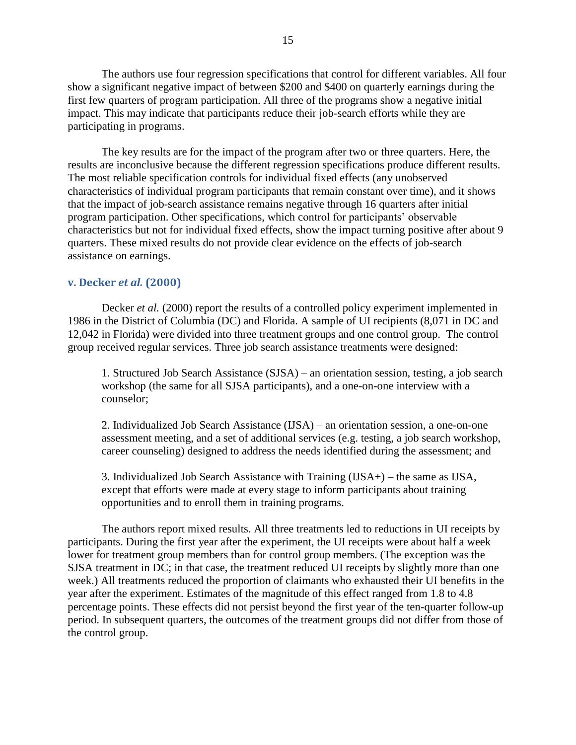The authors use four regression specifications that control for different variables. All four show a significant negative impact of between \$200 and \$400 on quarterly earnings during the first few quarters of program participation. All three of the programs show a negative initial impact. This may indicate that participants reduce their job-search efforts while they are participating in programs.

The key results are for the impact of the program after two or three quarters. Here, the results are inconclusive because the different regression specifications produce different results. The most reliable specification controls for individual fixed effects (any unobserved characteristics of individual program participants that remain constant over time), and it shows that the impact of job-search assistance remains negative through 16 quarters after initial program participation. Other specifications, which control for participants" observable characteristics but not for individual fixed effects, show the impact turning positive after about 9 quarters. These mixed results do not provide clear evidence on the effects of job-search assistance on earnings.

#### <span id="page-22-0"></span>**v. Decker** *et al.* **(2000)**

Decker *et al.* (2000) report the results of a controlled policy experiment implemented in 1986 in the District of Columbia (DC) and Florida. A sample of UI recipients (8,071 in DC and 12,042 in Florida) were divided into three treatment groups and one control group. The control group received regular services. Three job search assistance treatments were designed:

1. Structured Job Search Assistance (SJSA) – an orientation session, testing, a job search workshop (the same for all SJSA participants), and a one-on-one interview with a counselor;

2. Individualized Job Search Assistance (IJSA) – an orientation session, a one-on-one assessment meeting, and a set of additional services (e.g. testing, a job search workshop, career counseling) designed to address the needs identified during the assessment; and

3. Individualized Job Search Assistance with Training (IJSA+) – the same as IJSA, except that efforts were made at every stage to inform participants about training opportunities and to enroll them in training programs.

The authors report mixed results. All three treatments led to reductions in UI receipts by participants. During the first year after the experiment, the UI receipts were about half a week lower for treatment group members than for control group members. (The exception was the SJSA treatment in DC; in that case, the treatment reduced UI receipts by slightly more than one week.) All treatments reduced the proportion of claimants who exhausted their UI benefits in the year after the experiment. Estimates of the magnitude of this effect ranged from 1.8 to 4.8 percentage points. These effects did not persist beyond the first year of the ten-quarter follow-up period. In subsequent quarters, the outcomes of the treatment groups did not differ from those of the control group.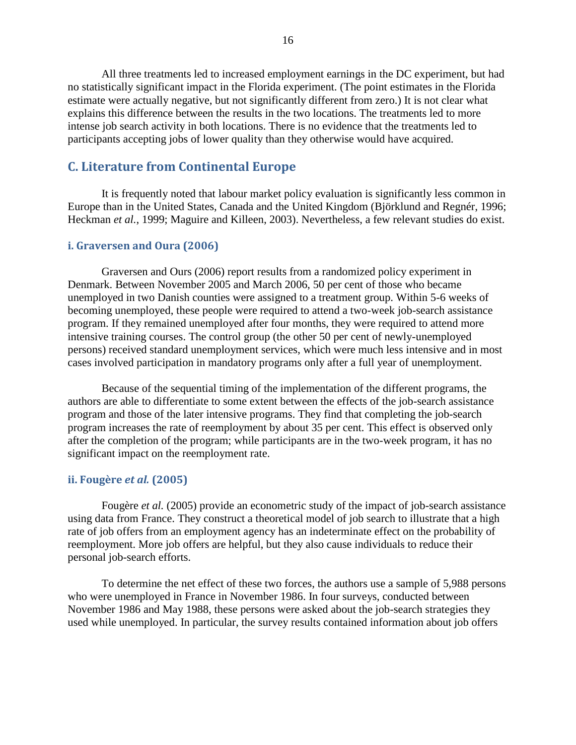All three treatments led to increased employment earnings in the DC experiment, but had no statistically significant impact in the Florida experiment. (The point estimates in the Florida estimate were actually negative, but not significantly different from zero.) It is not clear what explains this difference between the results in the two locations. The treatments led to more intense job search activity in both locations. There is no evidence that the treatments led to participants accepting jobs of lower quality than they otherwise would have acquired.

#### <span id="page-23-0"></span>**C. Literature from Continental Europe**

It is frequently noted that labour market policy evaluation is significantly less common in Europe than in the United States, Canada and the United Kingdom (Björklund and Regnér, 1996; Heckman *et al.*, 1999; Maguire and Killeen, 2003). Nevertheless, a few relevant studies do exist.

#### <span id="page-23-1"></span>**i. Graversen and Oura (2006)**

Graversen and Ours (2006) report results from a randomized policy experiment in Denmark. Between November 2005 and March 2006, 50 per cent of those who became unemployed in two Danish counties were assigned to a treatment group. Within 5-6 weeks of becoming unemployed, these people were required to attend a two-week job-search assistance program. If they remained unemployed after four months, they were required to attend more intensive training courses. The control group (the other 50 per cent of newly-unemployed persons) received standard unemployment services, which were much less intensive and in most cases involved participation in mandatory programs only after a full year of unemployment.

Because of the sequential timing of the implementation of the different programs, the authors are able to differentiate to some extent between the effects of the job-search assistance program and those of the later intensive programs. They find that completing the job-search program increases the rate of reemployment by about 35 per cent. This effect is observed only after the completion of the program; while participants are in the two-week program, it has no significant impact on the reemployment rate.

#### <span id="page-23-2"></span>**ii. Fougère** *et al.* **(2005)**

Fougère *et al.* (2005) provide an econometric study of the impact of job-search assistance using data from France. They construct a theoretical model of job search to illustrate that a high rate of job offers from an employment agency has an indeterminate effect on the probability of reemployment. More job offers are helpful, but they also cause individuals to reduce their personal job-search efforts.

To determine the net effect of these two forces, the authors use a sample of 5,988 persons who were unemployed in France in November 1986. In four surveys, conducted between November 1986 and May 1988, these persons were asked about the job-search strategies they used while unemployed. In particular, the survey results contained information about job offers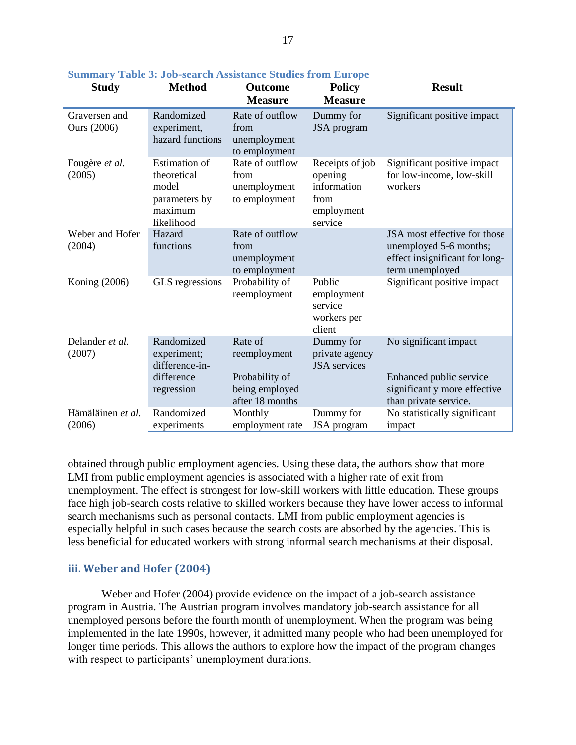| <b>Study</b>                        | <b>Method</b>                                                                          | <b>Outcome</b><br><b>Measure</b>                                               | <b>Policy</b><br><b>Measure</b>                                            | <b>Result</b>                                                                                               |
|-------------------------------------|----------------------------------------------------------------------------------------|--------------------------------------------------------------------------------|----------------------------------------------------------------------------|-------------------------------------------------------------------------------------------------------------|
| Graversen and<br><b>Ours</b> (2006) | Randomized<br>experiment,<br>hazard functions                                          | Rate of outflow<br>from<br>unemployment<br>to employment                       | Dummy for<br>JSA program                                                   | Significant positive impact                                                                                 |
| Fougère et al.<br>(2005)            | <b>Estimation</b> of<br>theoretical<br>model<br>parameters by<br>maximum<br>likelihood | Rate of outflow<br>from<br>unemployment<br>to employment                       | Receipts of job<br>opening<br>information<br>from<br>employment<br>service | Significant positive impact<br>for low-income, low-skill<br>workers                                         |
| Weber and Hofer<br>(2004)           | Hazard<br>functions                                                                    | Rate of outflow<br>from<br>unemployment<br>to employment                       |                                                                            | JSA most effective for those<br>unemployed 5-6 months;<br>effect insignificant for long-<br>term unemployed |
| Koning (2006)                       | GLS regressions                                                                        | Probability of<br>reemployment                                                 | Public<br>employment<br>service<br>workers per<br>client                   | Significant positive impact                                                                                 |
| Delander et al.<br>(2007)           | Randomized<br>experiment;<br>difference-in-<br>difference<br>regression                | Rate of<br>reemployment<br>Probability of<br>being employed<br>after 18 months | Dummy for<br>private agency<br><b>JSA</b> services                         | No significant impact<br>Enhanced public service<br>significantly more effective                            |
| Hämäläinen et al.<br>(2006)         | Randomized<br>experiments                                                              | Monthly<br>employment rate                                                     | Dummy for<br>JSA program                                                   | than private service.<br>No statistically significant<br>impact                                             |

#### <span id="page-24-1"></span>**Summary Table 3: Job-search Assistance Studies from Europe**

obtained through public employment agencies. Using these data, the authors show that more LMI from public employment agencies is associated with a higher rate of exit from unemployment. The effect is strongest for low-skill workers with little education. These groups face high job-search costs relative to skilled workers because they have lower access to informal search mechanisms such as personal contacts. LMI from public employment agencies is especially helpful in such cases because the search costs are absorbed by the agencies. This is less beneficial for educated workers with strong informal search mechanisms at their disposal.

#### <span id="page-24-0"></span>**iii. Weber and Hofer (2004)**

Weber and Hofer (2004) provide evidence on the impact of a job-search assistance program in Austria. The Austrian program involves mandatory job-search assistance for all unemployed persons before the fourth month of unemployment. When the program was being implemented in the late 1990s, however, it admitted many people who had been unemployed for longer time periods. This allows the authors to explore how the impact of the program changes with respect to participants' unemployment durations.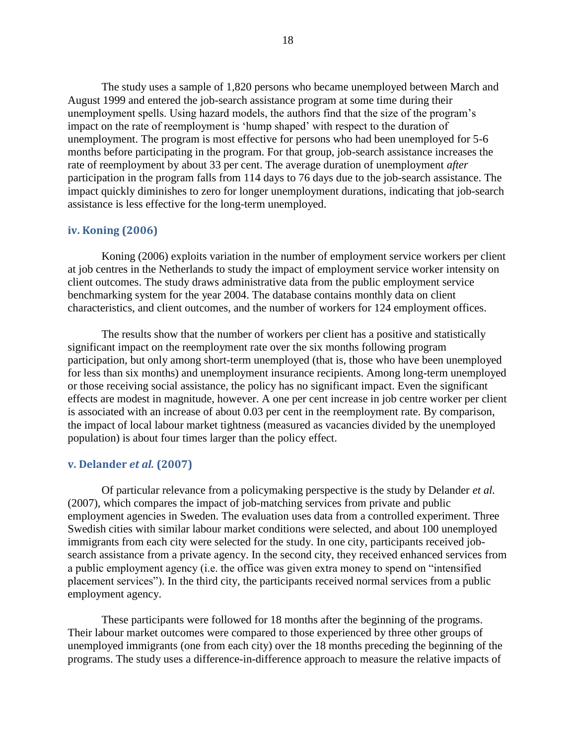The study uses a sample of 1,820 persons who became unemployed between March and August 1999 and entered the job-search assistance program at some time during their unemployment spells. Using hazard models, the authors find that the size of the program"s impact on the rate of reemployment is "hump shaped" with respect to the duration of unemployment. The program is most effective for persons who had been unemployed for 5-6 months before participating in the program. For that group, job-search assistance increases the rate of reemployment by about 33 per cent. The average duration of unemployment *after* participation in the program falls from 114 days to 76 days due to the job-search assistance. The impact quickly diminishes to zero for longer unemployment durations, indicating that job-search assistance is less effective for the long-term unemployed.

#### <span id="page-25-0"></span>**iv. Koning (2006)**

Koning (2006) exploits variation in the number of employment service workers per client at job centres in the Netherlands to study the impact of employment service worker intensity on client outcomes. The study draws administrative data from the public employment service benchmarking system for the year 2004. The database contains monthly data on client characteristics, and client outcomes, and the number of workers for 124 employment offices.

The results show that the number of workers per client has a positive and statistically significant impact on the reemployment rate over the six months following program participation, but only among short-term unemployed (that is, those who have been unemployed for less than six months) and unemployment insurance recipients. Among long-term unemployed or those receiving social assistance, the policy has no significant impact. Even the significant effects are modest in magnitude, however. A one per cent increase in job centre worker per client is associated with an increase of about 0.03 per cent in the reemployment rate. By comparison, the impact of local labour market tightness (measured as vacancies divided by the unemployed population) is about four times larger than the policy effect.

#### <span id="page-25-1"></span>**v. Delander** *et al.* **(2007)**

Of particular relevance from a policymaking perspective is the study by Delander *et al.* (2007), which compares the impact of job-matching services from private and public employment agencies in Sweden. The evaluation uses data from a controlled experiment. Three Swedish cities with similar labour market conditions were selected, and about 100 unemployed immigrants from each city were selected for the study. In one city, participants received jobsearch assistance from a private agency. In the second city, they received enhanced services from a public employment agency (i.e. the office was given extra money to spend on "intensified placement services"). In the third city, the participants received normal services from a public employment agency.

These participants were followed for 18 months after the beginning of the programs. Their labour market outcomes were compared to those experienced by three other groups of unemployed immigrants (one from each city) over the 18 months preceding the beginning of the programs. The study uses a difference-in-difference approach to measure the relative impacts of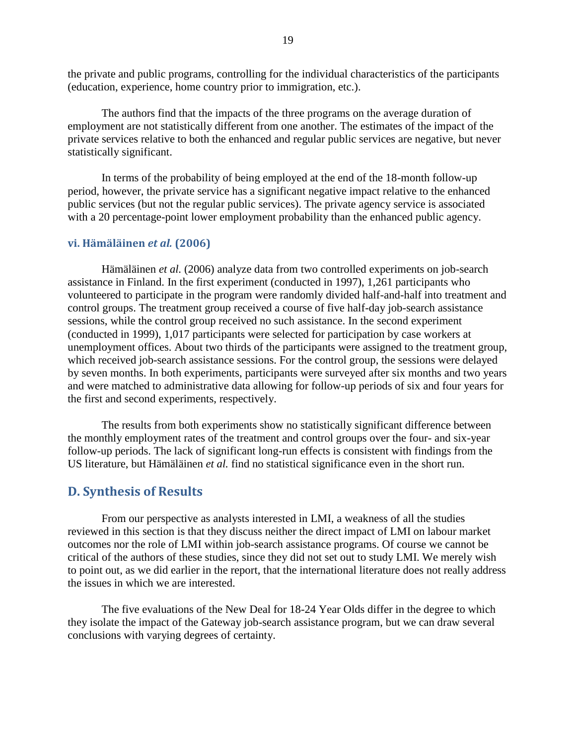the private and public programs, controlling for the individual characteristics of the participants (education, experience, home country prior to immigration, etc.).

The authors find that the impacts of the three programs on the average duration of employment are not statistically different from one another. The estimates of the impact of the private services relative to both the enhanced and regular public services are negative, but never statistically significant.

In terms of the probability of being employed at the end of the 18-month follow-up period, however, the private service has a significant negative impact relative to the enhanced public services (but not the regular public services). The private agency service is associated with a 20 percentage-point lower employment probability than the enhanced public agency.

#### <span id="page-26-0"></span>**vi. Hämäläinen** *et al.* **(2006)**

Hämäläinen *et al.* (2006) analyze data from two controlled experiments on job-search assistance in Finland. In the first experiment (conducted in 1997), 1,261 participants who volunteered to participate in the program were randomly divided half-and-half into treatment and control groups. The treatment group received a course of five half-day job-search assistance sessions, while the control group received no such assistance. In the second experiment (conducted in 1999), 1,017 participants were selected for participation by case workers at unemployment offices. About two thirds of the participants were assigned to the treatment group, which received job-search assistance sessions. For the control group, the sessions were delayed by seven months. In both experiments, participants were surveyed after six months and two years and were matched to administrative data allowing for follow-up periods of six and four years for the first and second experiments, respectively.

The results from both experiments show no statistically significant difference between the monthly employment rates of the treatment and control groups over the four- and six-year follow-up periods. The lack of significant long-run effects is consistent with findings from the US literature, but Hämäläinen *et al.* find no statistical significance even in the short run.

### <span id="page-26-1"></span>**D. Synthesis of Results**

From our perspective as analysts interested in LMI, a weakness of all the studies reviewed in this section is that they discuss neither the direct impact of LMI on labour market outcomes nor the role of LMI within job-search assistance programs. Of course we cannot be critical of the authors of these studies, since they did not set out to study LMI. We merely wish to point out, as we did earlier in the report, that the international literature does not really address the issues in which we are interested.

The five evaluations of the New Deal for 18-24 Year Olds differ in the degree to which they isolate the impact of the Gateway job-search assistance program, but we can draw several conclusions with varying degrees of certainty.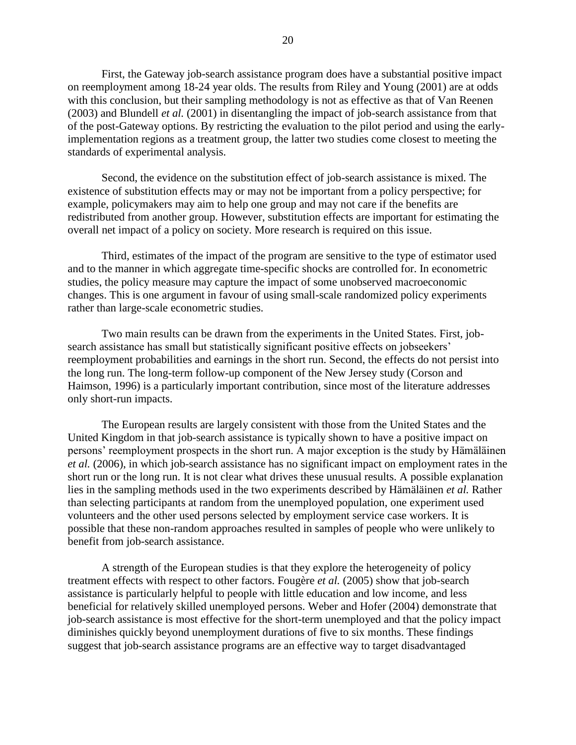First, the Gateway job-search assistance program does have a substantial positive impact on reemployment among 18-24 year olds. The results from Riley and Young (2001) are at odds with this conclusion, but their sampling methodology is not as effective as that of Van Reenen (2003) and Blundell *et al.* (2001) in disentangling the impact of job-search assistance from that of the post-Gateway options. By restricting the evaluation to the pilot period and using the earlyimplementation regions as a treatment group, the latter two studies come closest to meeting the standards of experimental analysis.

Second, the evidence on the substitution effect of job-search assistance is mixed. The existence of substitution effects may or may not be important from a policy perspective; for example, policymakers may aim to help one group and may not care if the benefits are redistributed from another group. However, substitution effects are important for estimating the overall net impact of a policy on society. More research is required on this issue.

Third, estimates of the impact of the program are sensitive to the type of estimator used and to the manner in which aggregate time-specific shocks are controlled for. In econometric studies, the policy measure may capture the impact of some unobserved macroeconomic changes. This is one argument in favour of using small-scale randomized policy experiments rather than large-scale econometric studies.

Two main results can be drawn from the experiments in the United States. First, jobsearch assistance has small but statistically significant positive effects on jobseekers' reemployment probabilities and earnings in the short run. Second, the effects do not persist into the long run. The long-term follow-up component of the New Jersey study (Corson and Haimson, 1996) is a particularly important contribution, since most of the literature addresses only short-run impacts.

The European results are largely consistent with those from the United States and the United Kingdom in that job-search assistance is typically shown to have a positive impact on persons" reemployment prospects in the short run. A major exception is the study by Hämäläinen *et al.* (2006), in which job-search assistance has no significant impact on employment rates in the short run or the long run. It is not clear what drives these unusual results. A possible explanation lies in the sampling methods used in the two experiments described by Hämäläinen *et al.* Rather than selecting participants at random from the unemployed population, one experiment used volunteers and the other used persons selected by employment service case workers. It is possible that these non-random approaches resulted in samples of people who were unlikely to benefit from job-search assistance.

A strength of the European studies is that they explore the heterogeneity of policy treatment effects with respect to other factors. Fougère *et al.* (2005) show that job-search assistance is particularly helpful to people with little education and low income, and less beneficial for relatively skilled unemployed persons. Weber and Hofer (2004) demonstrate that job-search assistance is most effective for the short-term unemployed and that the policy impact diminishes quickly beyond unemployment durations of five to six months. These findings suggest that job-search assistance programs are an effective way to target disadvantaged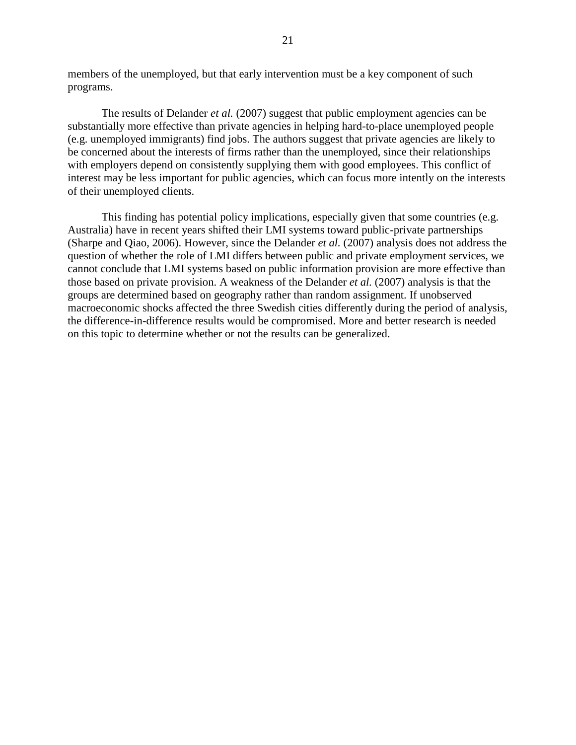members of the unemployed, but that early intervention must be a key component of such programs.

The results of Delander *et al.* (2007) suggest that public employment agencies can be substantially more effective than private agencies in helping hard-to-place unemployed people (e.g. unemployed immigrants) find jobs. The authors suggest that private agencies are likely to be concerned about the interests of firms rather than the unemployed, since their relationships with employers depend on consistently supplying them with good employees. This conflict of interest may be less important for public agencies, which can focus more intently on the interests of their unemployed clients.

This finding has potential policy implications, especially given that some countries (e.g. Australia) have in recent years shifted their LMI systems toward public-private partnerships (Sharpe and Qiao, 2006). However, since the Delander *et al.* (2007) analysis does not address the question of whether the role of LMI differs between public and private employment services, we cannot conclude that LMI systems based on public information provision are more effective than those based on private provision. A weakness of the Delander *et al.* (2007) analysis is that the groups are determined based on geography rather than random assignment. If unobserved macroeconomic shocks affected the three Swedish cities differently during the period of analysis, the difference-in-difference results would be compromised. More and better research is needed on this topic to determine whether or not the results can be generalized.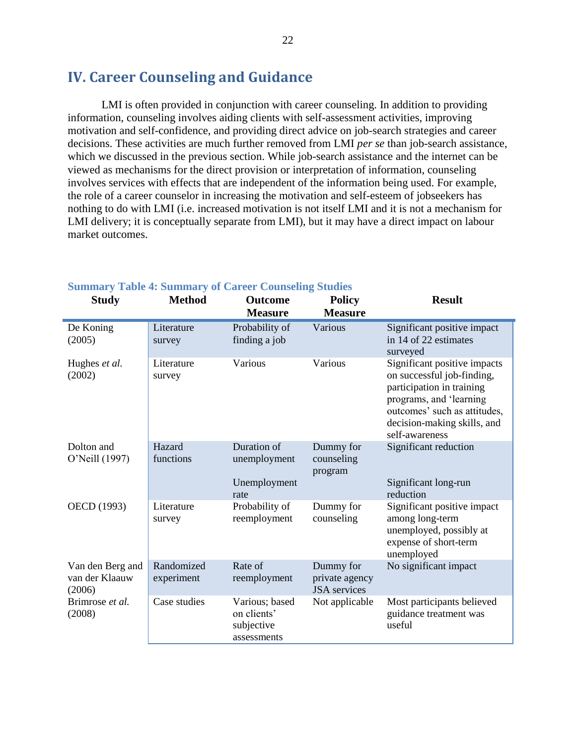## <span id="page-29-0"></span>**IV. Career Counseling and Guidance**

LMI is often provided in conjunction with career counseling. In addition to providing information, counseling involves aiding clients with self-assessment activities, improving motivation and self-confidence, and providing direct advice on job-search strategies and career decisions. These activities are much further removed from LMI *per se* than job-search assistance, which we discussed in the previous section. While job-search assistance and the internet can be viewed as mechanisms for the direct provision or interpretation of information, counseling involves services with effects that are independent of the information being used. For example, the role of a career counselor in increasing the motivation and self-esteem of jobseekers has nothing to do with LMI (i.e. increased motivation is not itself LMI and it is not a mechanism for LMI delivery; it is conceptually separate from LMI), but it may have a direct impact on labour market outcomes.

| <b>Study</b>                                 | <b>Method</b>            | <b>Outcome</b><br><b>Measure</b>                           | <b>Policy</b><br><b>Measure</b>                    | <b>Result</b>                                                                                                                                                                                       |
|----------------------------------------------|--------------------------|------------------------------------------------------------|----------------------------------------------------|-----------------------------------------------------------------------------------------------------------------------------------------------------------------------------------------------------|
| De Koning<br>(2005)                          | Literature<br>survey     | Probability of<br>finding a job                            | Various                                            | Significant positive impact<br>in 14 of 22 estimates<br>surveyed                                                                                                                                    |
| Hughes et al.<br>(2002)                      | Literature<br>survey     | Various                                                    | Various                                            | Significant positive impacts<br>on successful job-finding,<br>participation in training<br>programs, and 'learning<br>outcomes' such as attitudes,<br>decision-making skills, and<br>self-awareness |
| Dolton and<br>O'Neill (1997)                 | Hazard<br>functions      | Duration of<br>unemployment                                | Dummy for<br>counseling<br>program                 | Significant reduction                                                                                                                                                                               |
|                                              |                          | Unemployment<br>rate                                       |                                                    | Significant long-run<br>reduction                                                                                                                                                                   |
| OECD (1993)                                  | Literature<br>survey     | Probability of<br>reemployment                             | Dummy for<br>counseling                            | Significant positive impact<br>among long-term<br>unemployed, possibly at<br>expense of short-term<br>unemployed                                                                                    |
| Van den Berg and<br>van der Klaauw<br>(2006) | Randomized<br>experiment | Rate of<br>reemployment                                    | Dummy for<br>private agency<br><b>JSA</b> services | No significant impact                                                                                                                                                                               |
| Brimrose et al.<br>(2008)                    | Case studies             | Various; based<br>on clients'<br>subjective<br>assessments | Not applicable                                     | Most participants believed<br>guidance treatment was<br>useful                                                                                                                                      |

#### <span id="page-29-1"></span>**Summary Table 4: Summary of Career Counseling Studies**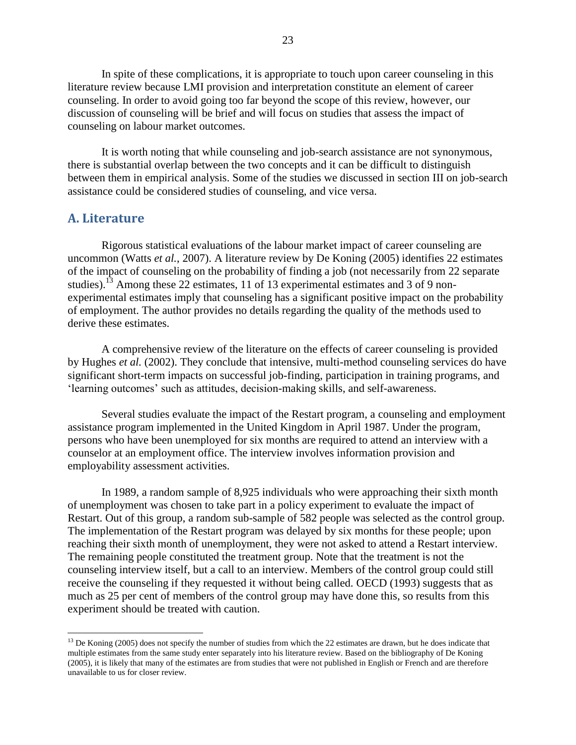In spite of these complications, it is appropriate to touch upon career counseling in this literature review because LMI provision and interpretation constitute an element of career counseling. In order to avoid going too far beyond the scope of this review, however, our discussion of counseling will be brief and will focus on studies that assess the impact of counseling on labour market outcomes.

It is worth noting that while counseling and job-search assistance are not synonymous, there is substantial overlap between the two concepts and it can be difficult to distinguish between them in empirical analysis. Some of the studies we discussed in section III on job-search assistance could be considered studies of counseling, and vice versa.

#### <span id="page-30-0"></span>**A. Literature**

 $\overline{a}$ 

Rigorous statistical evaluations of the labour market impact of career counseling are uncommon (Watts *et al.*, 2007). A literature review by De Koning (2005) identifies 22 estimates of the impact of counseling on the probability of finding a job (not necessarily from 22 separate studies).<sup>13</sup> Among these 22 estimates, 11 of 13 experimental estimates and 3 of 9 nonexperimental estimates imply that counseling has a significant positive impact on the probability of employment. The author provides no details regarding the quality of the methods used to derive these estimates.

A comprehensive review of the literature on the effects of career counseling is provided by Hughes *et al.* (2002). They conclude that intensive, multi-method counseling services do have significant short-term impacts on successful job-finding, participation in training programs, and "learning outcomes" such as attitudes, decision-making skills, and self-awareness.

Several studies evaluate the impact of the Restart program, a counseling and employment assistance program implemented in the United Kingdom in April 1987. Under the program, persons who have been unemployed for six months are required to attend an interview with a counselor at an employment office. The interview involves information provision and employability assessment activities.

In 1989, a random sample of 8,925 individuals who were approaching their sixth month of unemployment was chosen to take part in a policy experiment to evaluate the impact of Restart. Out of this group, a random sub-sample of 582 people was selected as the control group. The implementation of the Restart program was delayed by six months for these people; upon reaching their sixth month of unemployment, they were not asked to attend a Restart interview. The remaining people constituted the treatment group. Note that the treatment is not the counseling interview itself, but a call to an interview. Members of the control group could still receive the counseling if they requested it without being called. OECD (1993) suggests that as much as 25 per cent of members of the control group may have done this, so results from this experiment should be treated with caution.

 $13$  De Koning (2005) does not specify the number of studies from which the 22 estimates are drawn, but he does indicate that multiple estimates from the same study enter separately into his literature review. Based on the bibliography of De Koning (2005), it is likely that many of the estimates are from studies that were not published in English or French and are therefore unavailable to us for closer review.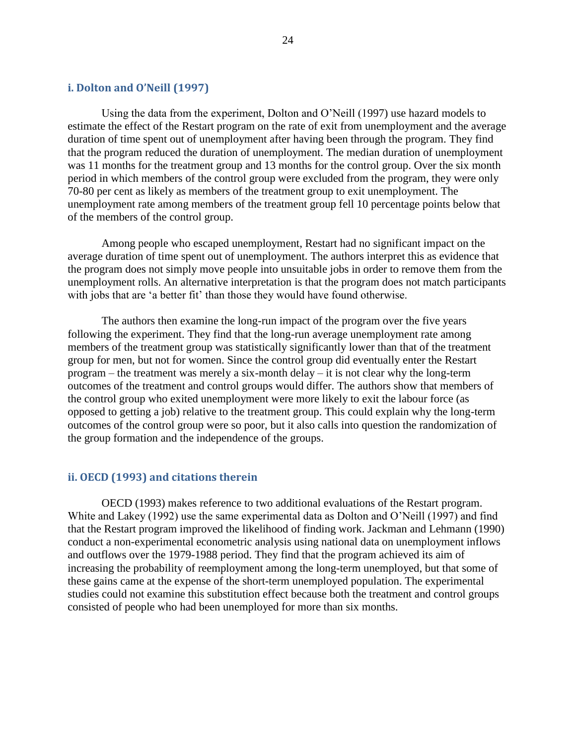#### <span id="page-31-0"></span>**i. Dolton and O'Neill (1997)**

Using the data from the experiment, Dolton and O"Neill (1997) use hazard models to estimate the effect of the Restart program on the rate of exit from unemployment and the average duration of time spent out of unemployment after having been through the program. They find that the program reduced the duration of unemployment. The median duration of unemployment was 11 months for the treatment group and 13 months for the control group. Over the six month period in which members of the control group were excluded from the program, they were only 70-80 per cent as likely as members of the treatment group to exit unemployment. The unemployment rate among members of the treatment group fell 10 percentage points below that of the members of the control group.

Among people who escaped unemployment, Restart had no significant impact on the average duration of time spent out of unemployment. The authors interpret this as evidence that the program does not simply move people into unsuitable jobs in order to remove them from the unemployment rolls. An alternative interpretation is that the program does not match participants with jobs that are 'a better fit' than those they would have found otherwise.

The authors then examine the long-run impact of the program over the five years following the experiment. They find that the long-run average unemployment rate among members of the treatment group was statistically significantly lower than that of the treatment group for men, but not for women. Since the control group did eventually enter the Restart program – the treatment was merely a six-month delay – it is not clear why the long-term outcomes of the treatment and control groups would differ. The authors show that members of the control group who exited unemployment were more likely to exit the labour force (as opposed to getting a job) relative to the treatment group. This could explain why the long-term outcomes of the control group were so poor, but it also calls into question the randomization of the group formation and the independence of the groups.

#### <span id="page-31-1"></span>**ii. OECD (1993) and citations therein**

OECD (1993) makes reference to two additional evaluations of the Restart program. White and Lakey (1992) use the same experimental data as Dolton and O"Neill (1997) and find that the Restart program improved the likelihood of finding work. Jackman and Lehmann (1990) conduct a non-experimental econometric analysis using national data on unemployment inflows and outflows over the 1979-1988 period. They find that the program achieved its aim of increasing the probability of reemployment among the long-term unemployed, but that some of these gains came at the expense of the short-term unemployed population. The experimental studies could not examine this substitution effect because both the treatment and control groups consisted of people who had been unemployed for more than six months.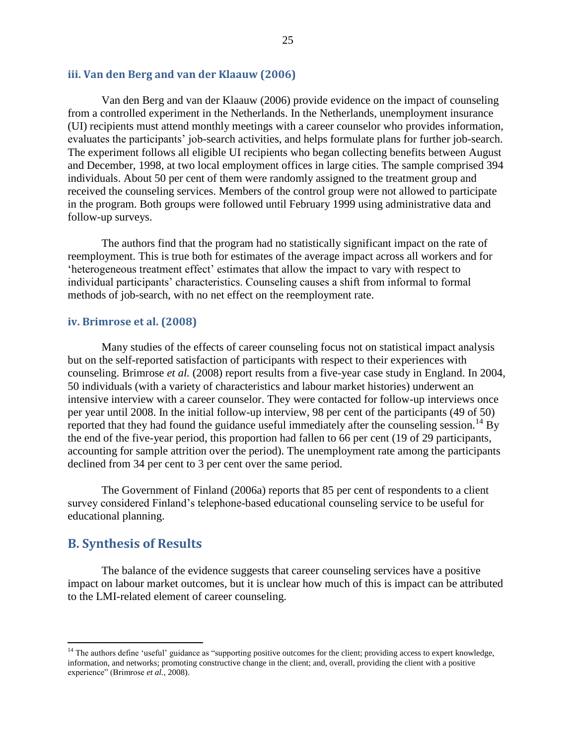#### <span id="page-32-0"></span>**iii. Van den Berg and van der Klaauw (2006)**

Van den Berg and van der Klaauw (2006) provide evidence on the impact of counseling from a controlled experiment in the Netherlands. In the Netherlands, unemployment insurance (UI) recipients must attend monthly meetings with a career counselor who provides information, evaluates the participants' job-search activities, and helps formulate plans for further job-search. The experiment follows all eligible UI recipients who began collecting benefits between August and December, 1998, at two local employment offices in large cities. The sample comprised 394 individuals. About 50 per cent of them were randomly assigned to the treatment group and received the counseling services. Members of the control group were not allowed to participate in the program. Both groups were followed until February 1999 using administrative data and follow-up surveys.

The authors find that the program had no statistically significant impact on the rate of reemployment. This is true both for estimates of the average impact across all workers and for "heterogeneous treatment effect" estimates that allow the impact to vary with respect to individual participants' characteristics. Counseling causes a shift from informal to formal methods of job-search, with no net effect on the reemployment rate.

#### <span id="page-32-1"></span>**iv. Brimrose et al. (2008)**

Many studies of the effects of career counseling focus not on statistical impact analysis but on the self-reported satisfaction of participants with respect to their experiences with counseling. Brimrose *et al.* (2008) report results from a five-year case study in England. In 2004, 50 individuals (with a variety of characteristics and labour market histories) underwent an intensive interview with a career counselor. They were contacted for follow-up interviews once per year until 2008. In the initial follow-up interview, 98 per cent of the participants (49 of 50) reported that they had found the guidance useful immediately after the counseling session.<sup>14</sup> By the end of the five-year period, this proportion had fallen to 66 per cent (19 of 29 participants, accounting for sample attrition over the period). The unemployment rate among the participants declined from 34 per cent to 3 per cent over the same period.

The Government of Finland (2006a) reports that 85 per cent of respondents to a client survey considered Finland"s telephone-based educational counseling service to be useful for educational planning.

#### <span id="page-32-2"></span>**B. Synthesis of Results**

 $\overline{a}$ 

The balance of the evidence suggests that career counseling services have a positive impact on labour market outcomes, but it is unclear how much of this is impact can be attributed to the LMI-related element of career counseling.

<sup>&</sup>lt;sup>14</sup> The authors define 'useful' guidance as "supporting positive outcomes for the client; providing access to expert knowledge, information, and networks; promoting constructive change in the client; and, overall, providing the client with a positive experience" (Brimrose *et al.*, 2008).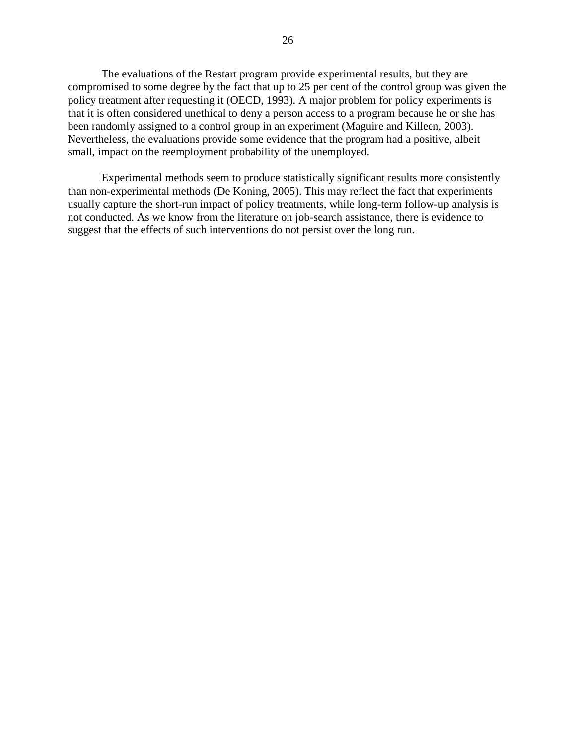The evaluations of the Restart program provide experimental results, but they are compromised to some degree by the fact that up to 25 per cent of the control group was given the policy treatment after requesting it (OECD, 1993). A major problem for policy experiments is that it is often considered unethical to deny a person access to a program because he or she has been randomly assigned to a control group in an experiment (Maguire and Killeen, 2003). Nevertheless, the evaluations provide some evidence that the program had a positive, albeit small, impact on the reemployment probability of the unemployed.

Experimental methods seem to produce statistically significant results more consistently than non-experimental methods (De Koning, 2005). This may reflect the fact that experiments usually capture the short-run impact of policy treatments, while long-term follow-up analysis is not conducted. As we know from the literature on job-search assistance, there is evidence to suggest that the effects of such interventions do not persist over the long run.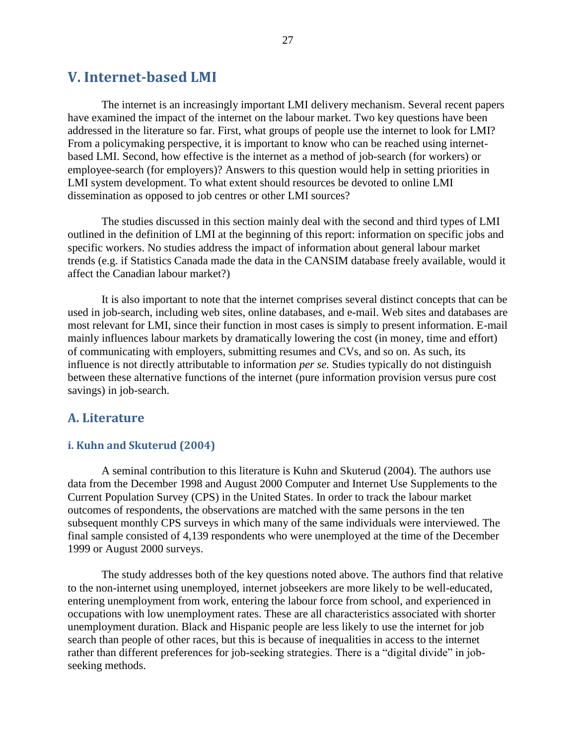### <span id="page-34-0"></span>**V. Internet-based LMI**

The internet is an increasingly important LMI delivery mechanism. Several recent papers have examined the impact of the internet on the labour market. Two key questions have been addressed in the literature so far. First, what groups of people use the internet to look for LMI? From a policymaking perspective, it is important to know who can be reached using internetbased LMI. Second, how effective is the internet as a method of job-search (for workers) or employee-search (for employers)? Answers to this question would help in setting priorities in LMI system development. To what extent should resources be devoted to online LMI dissemination as opposed to job centres or other LMI sources?

The studies discussed in this section mainly deal with the second and third types of LMI outlined in the definition of LMI at the beginning of this report: information on specific jobs and specific workers. No studies address the impact of information about general labour market trends (e.g. if Statistics Canada made the data in the CANSIM database freely available, would it affect the Canadian labour market?)

It is also important to note that the internet comprises several distinct concepts that can be used in job-search, including web sites, online databases, and e-mail. Web sites and databases are most relevant for LMI, since their function in most cases is simply to present information. E-mail mainly influences labour markets by dramatically lowering the cost (in money, time and effort) of communicating with employers, submitting resumes and CVs, and so on. As such, its influence is not directly attributable to information *per se.* Studies typically do not distinguish between these alternative functions of the internet (pure information provision versus pure cost savings) in job-search.

#### <span id="page-34-1"></span>**A. Literature**

#### <span id="page-34-2"></span>**i. Kuhn and Skuterud (2004)**

A seminal contribution to this literature is Kuhn and Skuterud (2004). The authors use data from the December 1998 and August 2000 Computer and Internet Use Supplements to the Current Population Survey (CPS) in the United States. In order to track the labour market outcomes of respondents, the observations are matched with the same persons in the ten subsequent monthly CPS surveys in which many of the same individuals were interviewed. The final sample consisted of 4,139 respondents who were unemployed at the time of the December 1999 or August 2000 surveys.

The study addresses both of the key questions noted above. The authors find that relative to the non-internet using unemployed, internet jobseekers are more likely to be well-educated, entering unemployment from work, entering the labour force from school, and experienced in occupations with low unemployment rates. These are all characteristics associated with shorter unemployment duration. Black and Hispanic people are less likely to use the internet for job search than people of other races, but this is because of inequalities in access to the internet rather than different preferences for job-seeking strategies. There is a "digital divide" in jobseeking methods.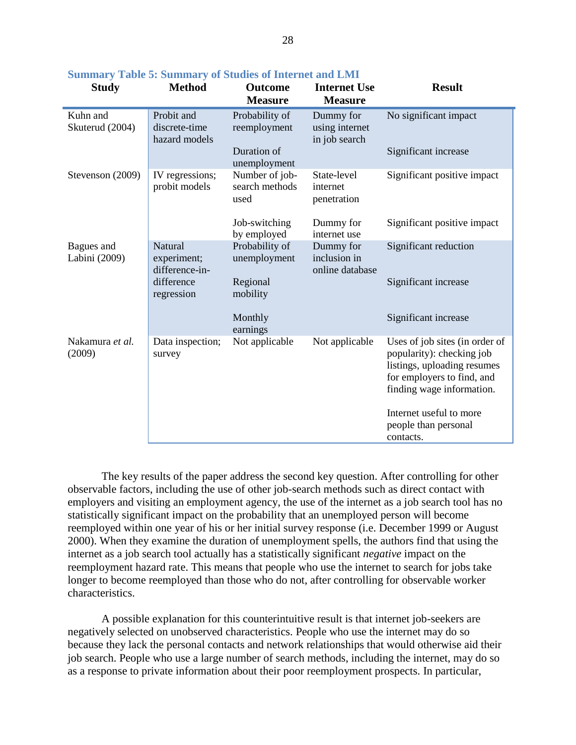| <b>Study</b>                | <b>Method</b>                                                        | <b>Outcome</b><br><b>Measure</b>              | <b>Internet Use</b><br><b>Measure</b>        | <b>Result</b>                                                                                                                                         |
|-----------------------------|----------------------------------------------------------------------|-----------------------------------------------|----------------------------------------------|-------------------------------------------------------------------------------------------------------------------------------------------------------|
| Kuhn and<br>Skuterud (2004) | Probit and<br>discrete-time<br>hazard models                         | Probability of<br>reemployment<br>Duration of | Dummy for<br>using internet<br>in job search | No significant impact<br>Significant increase                                                                                                         |
|                             |                                                                      | unemployment                                  |                                              |                                                                                                                                                       |
| Stevenson (2009)            | IV regressions;<br>probit models                                     | Number of job-<br>search methods<br>used      | State-level<br>internet<br>penetration       | Significant positive impact                                                                                                                           |
|                             |                                                                      | Job-switching<br>by employed                  | Dummy for<br>internet use                    | Significant positive impact                                                                                                                           |
| Bagues and<br>Labini (2009) | Natural<br>experiment;<br>difference-in-<br>difference<br>regression | Probability of<br>unemployment<br>Regional    | Dummy for<br>inclusion in<br>online database | Significant reduction<br>Significant increase                                                                                                         |
|                             |                                                                      | mobility                                      |                                              |                                                                                                                                                       |
|                             |                                                                      | Monthly<br>earnings                           |                                              | Significant increase                                                                                                                                  |
| Nakamura et al.<br>(2009)   | Data inspection;<br>survey                                           | Not applicable                                | Not applicable                               | Uses of job sites (in order of<br>popularity): checking job<br>listings, uploading resumes<br>for employers to find, and<br>finding wage information. |
|                             |                                                                      |                                               |                                              | Internet useful to more<br>people than personal<br>contacts.                                                                                          |

<span id="page-35-0"></span>**Summary Table 5: Summary of Studies of Internet and LMI**

The key results of the paper address the second key question. After controlling for other observable factors, including the use of other job-search methods such as direct contact with employers and visiting an employment agency, the use of the internet as a job search tool has no statistically significant impact on the probability that an unemployed person will become reemployed within one year of his or her initial survey response (i.e. December 1999 or August 2000). When they examine the duration of unemployment spells, the authors find that using the internet as a job search tool actually has a statistically significant *negative* impact on the reemployment hazard rate. This means that people who use the internet to search for jobs take longer to become reemployed than those who do not, after controlling for observable worker characteristics.

A possible explanation for this counterintuitive result is that internet job-seekers are negatively selected on unobserved characteristics. People who use the internet may do so because they lack the personal contacts and network relationships that would otherwise aid their job search. People who use a large number of search methods, including the internet, may do so as a response to private information about their poor reemployment prospects. In particular,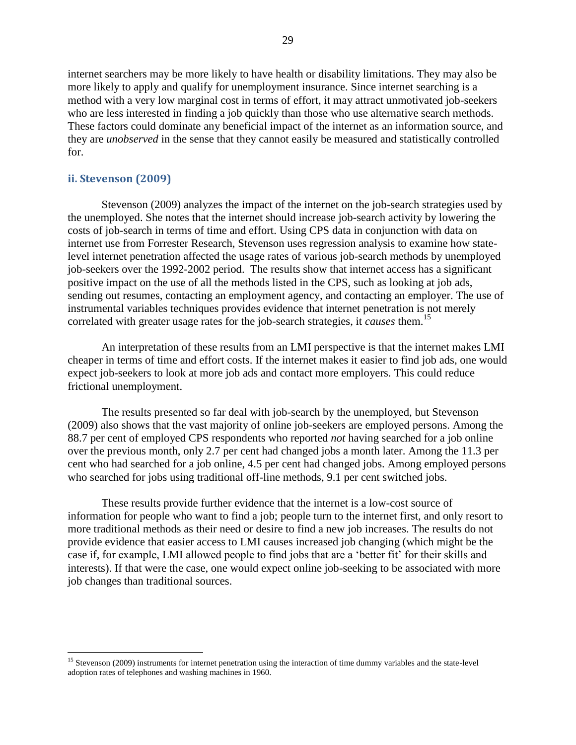internet searchers may be more likely to have health or disability limitations. They may also be more likely to apply and qualify for unemployment insurance. Since internet searching is a method with a very low marginal cost in terms of effort, it may attract unmotivated job-seekers who are less interested in finding a job quickly than those who use alternative search methods. These factors could dominate any beneficial impact of the internet as an information source, and they are *unobserved* in the sense that they cannot easily be measured and statistically controlled for.

#### <span id="page-36-0"></span>**ii. Stevenson (2009)**

 $\overline{a}$ 

Stevenson (2009) analyzes the impact of the internet on the job-search strategies used by the unemployed. She notes that the internet should increase job-search activity by lowering the costs of job-search in terms of time and effort. Using CPS data in conjunction with data on internet use from Forrester Research, Stevenson uses regression analysis to examine how statelevel internet penetration affected the usage rates of various job-search methods by unemployed job-seekers over the 1992-2002 period. The results show that internet access has a significant positive impact on the use of all the methods listed in the CPS, such as looking at job ads, sending out resumes, contacting an employment agency, and contacting an employer. The use of instrumental variables techniques provides evidence that internet penetration is not merely correlated with greater usage rates for the job-search strategies, it *causes* them.<sup>15</sup>

An interpretation of these results from an LMI perspective is that the internet makes LMI cheaper in terms of time and effort costs. If the internet makes it easier to find job ads, one would expect job-seekers to look at more job ads and contact more employers. This could reduce frictional unemployment.

The results presented so far deal with job-search by the unemployed, but Stevenson (2009) also shows that the vast majority of online job-seekers are employed persons. Among the 88.7 per cent of employed CPS respondents who reported *not* having searched for a job online over the previous month, only 2.7 per cent had changed jobs a month later. Among the 11.3 per cent who had searched for a job online, 4.5 per cent had changed jobs. Among employed persons who searched for jobs using traditional off-line methods, 9.1 per cent switched jobs.

These results provide further evidence that the internet is a low-cost source of information for people who want to find a job; people turn to the internet first, and only resort to more traditional methods as their need or desire to find a new job increases. The results do not provide evidence that easier access to LMI causes increased job changing (which might be the case if, for example, LMI allowed people to find jobs that are a 'better fit' for their skills and interests). If that were the case, one would expect online job-seeking to be associated with more job changes than traditional sources.

 $15$  Stevenson (2009) instruments for internet penetration using the interaction of time dummy variables and the state-level adoption rates of telephones and washing machines in 1960.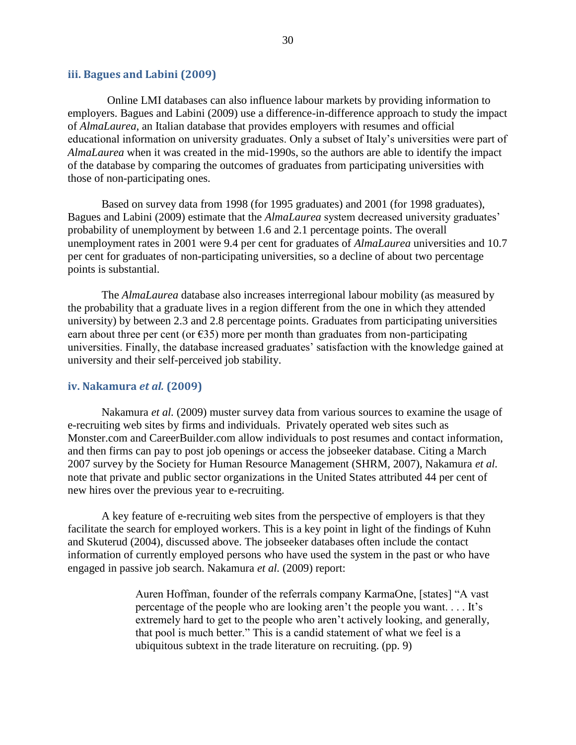#### <span id="page-37-0"></span>**iii. Bagues and Labini (2009)**

 Online LMI databases can also influence labour markets by providing information to employers. Bagues and Labini (2009) use a difference-in-difference approach to study the impact of *AlmaLaurea*, an Italian database that provides employers with resumes and official educational information on university graduates. Only a subset of Italy"s universities were part of *AlmaLaurea* when it was created in the mid-1990s, so the authors are able to identify the impact of the database by comparing the outcomes of graduates from participating universities with those of non-participating ones.

Based on survey data from 1998 (for 1995 graduates) and 2001 (for 1998 graduates), Bagues and Labini (2009) estimate that the *AlmaLaurea* system decreased university graduates" probability of unemployment by between 1.6 and 2.1 percentage points. The overall unemployment rates in 2001 were 9.4 per cent for graduates of *AlmaLaurea* universities and 10.7 per cent for graduates of non-participating universities, so a decline of about two percentage points is substantial.

The *AlmaLaurea* database also increases interregional labour mobility (as measured by the probability that a graduate lives in a region different from the one in which they attended university) by between 2.3 and 2.8 percentage points. Graduates from participating universities earn about three per cent (or  $\epsilon$ 35) more per month than graduates from non-participating universities. Finally, the database increased graduates' satisfaction with the knowledge gained at university and their self-perceived job stability.

#### <span id="page-37-1"></span>**iv. Nakamura** *et al.* **(2009)**

Nakamura *et al.* (2009) muster survey data from various sources to examine the usage of e-recruiting web sites by firms and individuals. Privately operated web sites such as Monster.com and CareerBuilder.com allow individuals to post resumes and contact information, and then firms can pay to post job openings or access the jobseeker database. Citing a March 2007 survey by the Society for Human Resource Management (SHRM, 2007), Nakamura *et al.* note that private and public sector organizations in the United States attributed 44 per cent of new hires over the previous year to e-recruiting.

A key feature of e-recruiting web sites from the perspective of employers is that they facilitate the search for employed workers. This is a key point in light of the findings of Kuhn and Skuterud (2004), discussed above. The jobseeker databases often include the contact information of currently employed persons who have used the system in the past or who have engaged in passive job search. Nakamura *et al.* (2009) report:

> Auren Hoffman, founder of the referrals company KarmaOne, [states] "A vast percentage of the people who are looking aren"t the people you want. . . . It"s extremely hard to get to the people who aren"t actively looking, and generally, that pool is much better." This is a candid statement of what we feel is a ubiquitous subtext in the trade literature on recruiting. (pp. 9)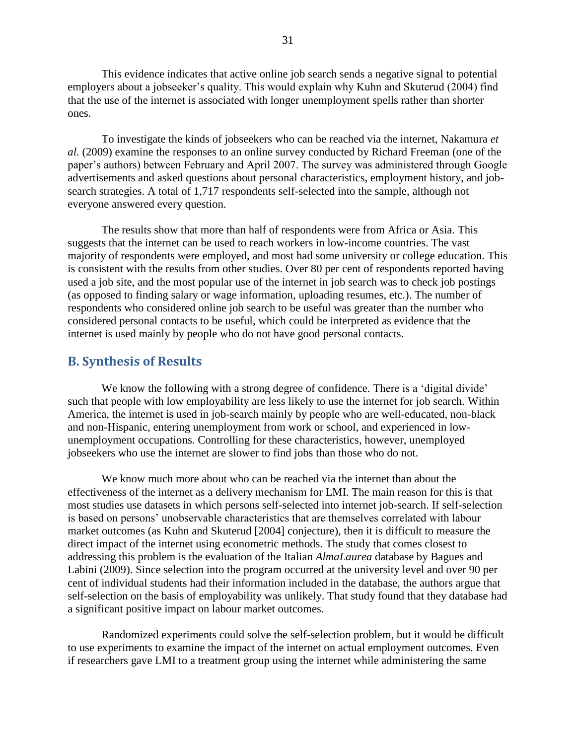This evidence indicates that active online job search sends a negative signal to potential employers about a jobseeker's quality. This would explain why Kuhn and Skuterud (2004) find that the use of the internet is associated with longer unemployment spells rather than shorter ones.

To investigate the kinds of jobseekers who can be reached via the internet, Nakamura *et al.* (2009) examine the responses to an online survey conducted by Richard Freeman (one of the paper"s authors) between February and April 2007. The survey was administered through Google advertisements and asked questions about personal characteristics, employment history, and jobsearch strategies. A total of 1,717 respondents self-selected into the sample, although not everyone answered every question.

The results show that more than half of respondents were from Africa or Asia. This suggests that the internet can be used to reach workers in low-income countries. The vast majority of respondents were employed, and most had some university or college education. This is consistent with the results from other studies. Over 80 per cent of respondents reported having used a job site, and the most popular use of the internet in job search was to check job postings (as opposed to finding salary or wage information, uploading resumes, etc.). The number of respondents who considered online job search to be useful was greater than the number who considered personal contacts to be useful, which could be interpreted as evidence that the internet is used mainly by people who do not have good personal contacts.

#### <span id="page-38-0"></span>**B. Synthesis of Results**

We know the following with a strong degree of confidence. There is a 'digital divide' such that people with low employability are less likely to use the internet for job search. Within America, the internet is used in job-search mainly by people who are well-educated, non-black and non-Hispanic, entering unemployment from work or school, and experienced in lowunemployment occupations. Controlling for these characteristics, however, unemployed jobseekers who use the internet are slower to find jobs than those who do not.

We know much more about who can be reached via the internet than about the effectiveness of the internet as a delivery mechanism for LMI. The main reason for this is that most studies use datasets in which persons self-selected into internet job-search. If self-selection is based on persons' unobservable characteristics that are themselves correlated with labour market outcomes (as Kuhn and Skuterud [2004] conjecture), then it is difficult to measure the direct impact of the internet using econometric methods. The study that comes closest to addressing this problem is the evaluation of the Italian *AlmaLaurea* database by Bagues and Labini (2009). Since selection into the program occurred at the university level and over 90 per cent of individual students had their information included in the database, the authors argue that self-selection on the basis of employability was unlikely. That study found that they database had a significant positive impact on labour market outcomes.

Randomized experiments could solve the self-selection problem, but it would be difficult to use experiments to examine the impact of the internet on actual employment outcomes. Even if researchers gave LMI to a treatment group using the internet while administering the same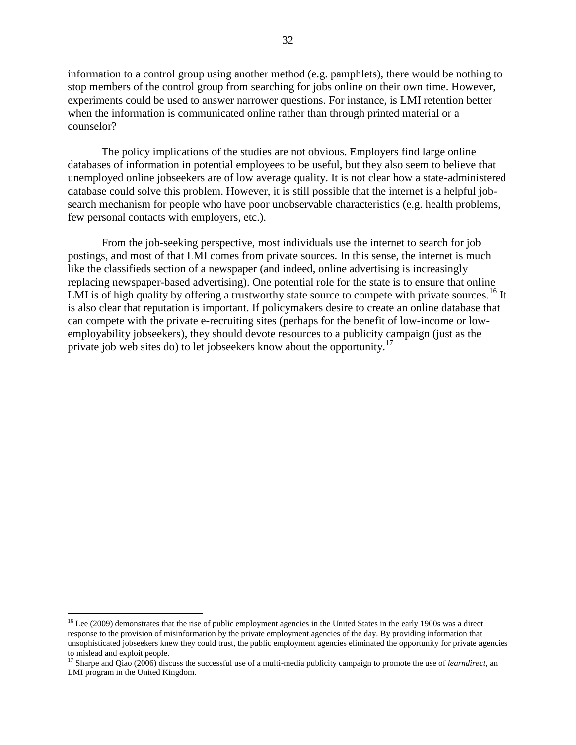information to a control group using another method (e.g. pamphlets), there would be nothing to stop members of the control group from searching for jobs online on their own time. However, experiments could be used to answer narrower questions. For instance, is LMI retention better when the information is communicated online rather than through printed material or a counselor?

The policy implications of the studies are not obvious. Employers find large online databases of information in potential employees to be useful, but they also seem to believe that unemployed online jobseekers are of low average quality. It is not clear how a state-administered database could solve this problem. However, it is still possible that the internet is a helpful jobsearch mechanism for people who have poor unobservable characteristics (e.g. health problems, few personal contacts with employers, etc.).

From the job-seeking perspective, most individuals use the internet to search for job postings, and most of that LMI comes from private sources. In this sense, the internet is much like the classifieds section of a newspaper (and indeed, online advertising is increasingly replacing newspaper-based advertising). One potential role for the state is to ensure that online LMI is of high quality by offering a trustworthy state source to compete with private sources.<sup>16</sup> It is also clear that reputation is important. If policymakers desire to create an online database that can compete with the private e-recruiting sites (perhaps for the benefit of low-income or lowemployability jobseekers), they should devote resources to a publicity campaign (just as the private job web sites do) to let jobseekers know about the opportunity.<sup>17</sup>

 $\overline{a}$ 

 $16$  Lee (2009) demonstrates that the rise of public employment agencies in the United States in the early 1900s was a direct response to the provision of misinformation by the private employment agencies of the day. By providing information that unsophisticated jobseekers knew they could trust, the public employment agencies eliminated the opportunity for private agencies to mislead and exploit people.

<sup>17</sup> Sharpe and Qiao (2006) discuss the successful use of a multi-media publicity campaign to promote the use of *learndirect*, an LMI program in the United Kingdom.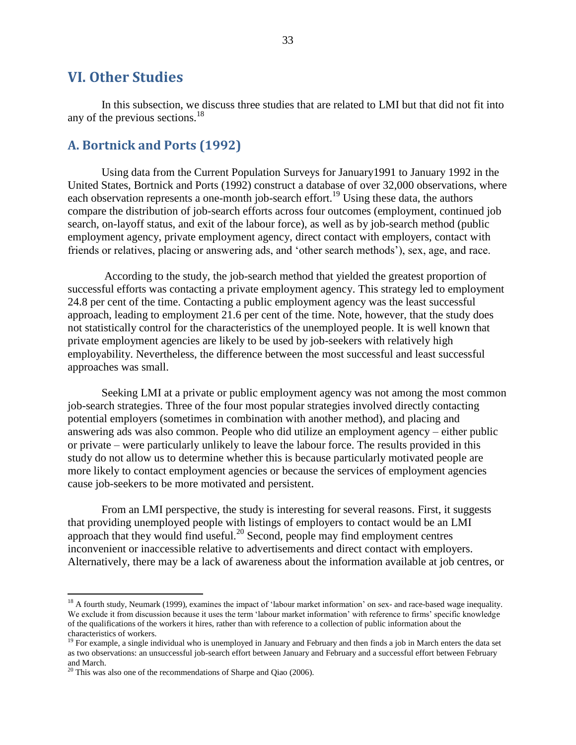### <span id="page-40-0"></span>**VI. Other Studies**

In this subsection, we discuss three studies that are related to LMI but that did not fit into any of the previous sections. $18$ 

#### <span id="page-40-1"></span>**A. Bortnick and Ports (1992)**

Using data from the Current Population Surveys for January1991 to January 1992 in the United States, Bortnick and Ports (1992) construct a database of over 32,000 observations, where each observation represents a one-month job-search effort.<sup>19</sup> Using these data, the authors compare the distribution of job-search efforts across four outcomes (employment, continued job search, on-layoff status, and exit of the labour force), as well as by job-search method (public employment agency, private employment agency, direct contact with employers, contact with friends or relatives, placing or answering ads, and "other search methods"), sex, age, and race.

According to the study, the job-search method that yielded the greatest proportion of successful efforts was contacting a private employment agency. This strategy led to employment 24.8 per cent of the time. Contacting a public employment agency was the least successful approach, leading to employment 21.6 per cent of the time. Note, however, that the study does not statistically control for the characteristics of the unemployed people. It is well known that private employment agencies are likely to be used by job-seekers with relatively high employability. Nevertheless, the difference between the most successful and least successful approaches was small.

Seeking LMI at a private or public employment agency was not among the most common job-search strategies. Three of the four most popular strategies involved directly contacting potential employers (sometimes in combination with another method), and placing and answering ads was also common. People who did utilize an employment agency – either public or private – were particularly unlikely to leave the labour force. The results provided in this study do not allow us to determine whether this is because particularly motivated people are more likely to contact employment agencies or because the services of employment agencies cause job-seekers to be more motivated and persistent.

From an LMI perspective, the study is interesting for several reasons. First, it suggests that providing unemployed people with listings of employers to contact would be an LMI approach that they would find useful. $^{20}$  Second, people may find employment centres inconvenient or inaccessible relative to advertisements and direct contact with employers. Alternatively, there may be a lack of awareness about the information available at job centres, or

 $\overline{a}$ 

<sup>&</sup>lt;sup>18</sup> A fourth study, Neumark (1999), examines the impact of 'labour market information' on sex- and race-based wage inequality. We exclude it from discussion because it uses the term 'labour market information' with reference to firms' specific knowledge of the qualifications of the workers it hires, rather than with reference to a collection of public information about the characteristics of workers.

 $19$  For example, a single individual who is unemployed in January and February and then finds a job in March enters the data set as two observations: an unsuccessful job-search effort between January and February and a successful effort between February and March.

 $20$  This was also one of the recommendations of Sharpe and Qiao (2006).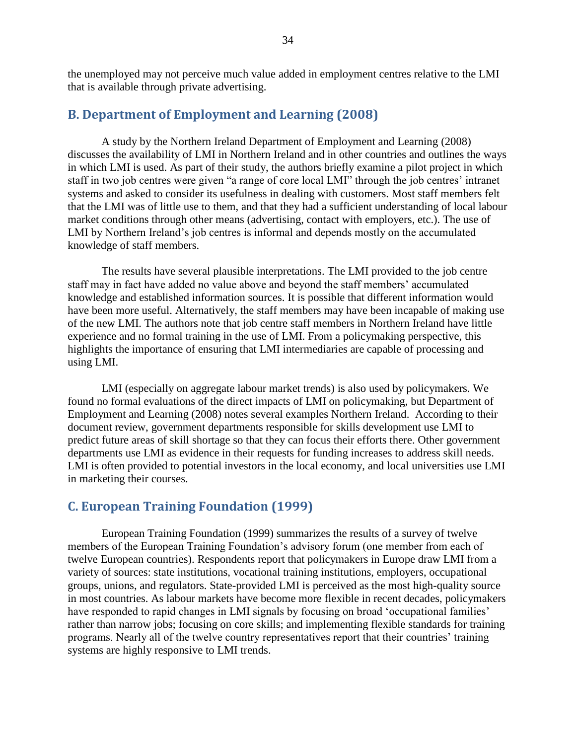the unemployed may not perceive much value added in employment centres relative to the LMI that is available through private advertising.

#### <span id="page-41-0"></span>**B. Department of Employment and Learning (2008)**

A study by the Northern Ireland Department of Employment and Learning (2008) discusses the availability of LMI in Northern Ireland and in other countries and outlines the ways in which LMI is used. As part of their study, the authors briefly examine a pilot project in which staff in two job centres were given "a range of core local LMI" through the job centres' intranet systems and asked to consider its usefulness in dealing with customers. Most staff members felt that the LMI was of little use to them, and that they had a sufficient understanding of local labour market conditions through other means (advertising, contact with employers, etc.). The use of LMI by Northern Ireland"s job centres is informal and depends mostly on the accumulated knowledge of staff members.

The results have several plausible interpretations. The LMI provided to the job centre staff may in fact have added no value above and beyond the staff members' accumulated knowledge and established information sources. It is possible that different information would have been more useful. Alternatively, the staff members may have been incapable of making use of the new LMI. The authors note that job centre staff members in Northern Ireland have little experience and no formal training in the use of LMI. From a policymaking perspective, this highlights the importance of ensuring that LMI intermediaries are capable of processing and using LMI.

LMI (especially on aggregate labour market trends) is also used by policymakers. We found no formal evaluations of the direct impacts of LMI on policymaking, but Department of Employment and Learning (2008) notes several examples Northern Ireland. According to their document review, government departments responsible for skills development use LMI to predict future areas of skill shortage so that they can focus their efforts there. Other government departments use LMI as evidence in their requests for funding increases to address skill needs. LMI is often provided to potential investors in the local economy, and local universities use LMI in marketing their courses.

#### <span id="page-41-1"></span>**C. European Training Foundation (1999)**

European Training Foundation (1999) summarizes the results of a survey of twelve members of the European Training Foundation's advisory forum (one member from each of twelve European countries). Respondents report that policymakers in Europe draw LMI from a variety of sources: state institutions, vocational training institutions, employers, occupational groups, unions, and regulators. State-provided LMI is perceived as the most high-quality source in most countries. As labour markets have become more flexible in recent decades, policymakers have responded to rapid changes in LMI signals by focusing on broad 'occupational families' rather than narrow jobs; focusing on core skills; and implementing flexible standards for training programs. Nearly all of the twelve country representatives report that their countries' training systems are highly responsive to LMI trends.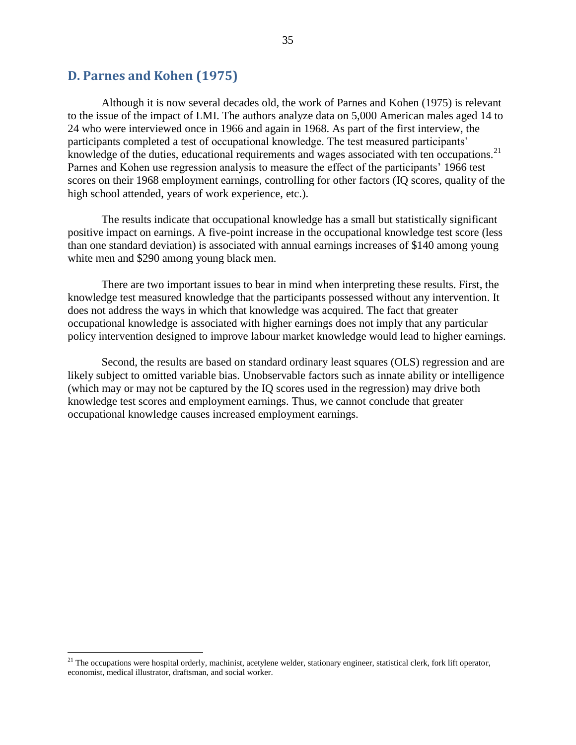#### <span id="page-42-0"></span>**D. Parnes and Kohen (1975)**

 $\overline{a}$ 

Although it is now several decades old, the work of Parnes and Kohen (1975) is relevant to the issue of the impact of LMI. The authors analyze data on 5,000 American males aged 14 to 24 who were interviewed once in 1966 and again in 1968. As part of the first interview, the participants completed a test of occupational knowledge. The test measured participants' knowledge of the duties, educational requirements and wages associated with ten occupations.<sup>21</sup> Parnes and Kohen use regression analysis to measure the effect of the participants' 1966 test scores on their 1968 employment earnings, controlling for other factors (IQ scores, quality of the high school attended, years of work experience, etc.).

The results indicate that occupational knowledge has a small but statistically significant positive impact on earnings. A five-point increase in the occupational knowledge test score (less than one standard deviation) is associated with annual earnings increases of \$140 among young white men and \$290 among young black men.

There are two important issues to bear in mind when interpreting these results. First, the knowledge test measured knowledge that the participants possessed without any intervention. It does not address the ways in which that knowledge was acquired. The fact that greater occupational knowledge is associated with higher earnings does not imply that any particular policy intervention designed to improve labour market knowledge would lead to higher earnings.

Second, the results are based on standard ordinary least squares (OLS) regression and are likely subject to omitted variable bias. Unobservable factors such as innate ability or intelligence (which may or may not be captured by the IQ scores used in the regression) may drive both knowledge test scores and employment earnings. Thus, we cannot conclude that greater occupational knowledge causes increased employment earnings.

 $^{21}$  The occupations were hospital orderly, machinist, acetylene welder, stationary engineer, statistical clerk, fork lift operator, economist, medical illustrator, draftsman, and social worker.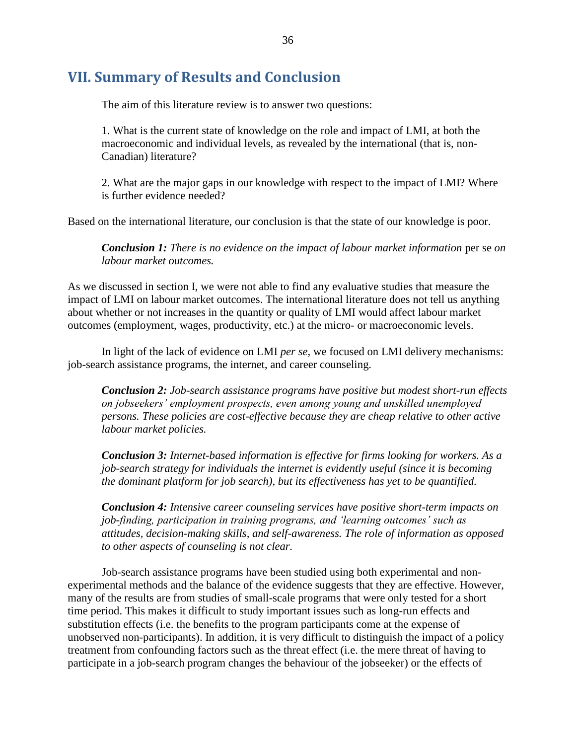## <span id="page-43-0"></span>**VII. Summary of Results and Conclusion**

The aim of this literature review is to answer two questions:

1. What is the current state of knowledge on the role and impact of LMI, at both the macroeconomic and individual levels, as revealed by the international (that is, non-Canadian) literature?

2. What are the major gaps in our knowledge with respect to the impact of LMI? Where is further evidence needed?

Based on the international literature, our conclusion is that the state of our knowledge is poor.

*Conclusion 1: There is no evidence on the impact of labour market information per se on labour market outcomes.*

As we discussed in section I, we were not able to find any evaluative studies that measure the impact of LMI on labour market outcomes. The international literature does not tell us anything about whether or not increases in the quantity or quality of LMI would affect labour market outcomes (employment, wages, productivity, etc.) at the micro- or macroeconomic levels.

In light of the lack of evidence on LMI *per se*, we focused on LMI delivery mechanisms: job-search assistance programs, the internet, and career counseling.

*Conclusion 2: Job-search assistance programs have positive but modest short-run effects on jobseekers' employment prospects, even among young and unskilled unemployed persons. These policies are cost-effective because they are cheap relative to other active labour market policies.*

*Conclusion 3: Internet-based information is effective for firms looking for workers. As a job-search strategy for individuals the internet is evidently useful (since it is becoming the dominant platform for job search), but its effectiveness has yet to be quantified.* 

*Conclusion 4: Intensive career counseling services have positive short-term impacts on job-finding, participation in training programs, and 'learning outcomes' such as attitudes, decision-making skills, and self-awareness. The role of information as opposed to other aspects of counseling is not clear.*

Job-search assistance programs have been studied using both experimental and nonexperimental methods and the balance of the evidence suggests that they are effective. However, many of the results are from studies of small-scale programs that were only tested for a short time period. This makes it difficult to study important issues such as long-run effects and substitution effects (i.e. the benefits to the program participants come at the expense of unobserved non-participants). In addition, it is very difficult to distinguish the impact of a policy treatment from confounding factors such as the threat effect (i.e. the mere threat of having to participate in a job-search program changes the behaviour of the jobseeker) or the effects of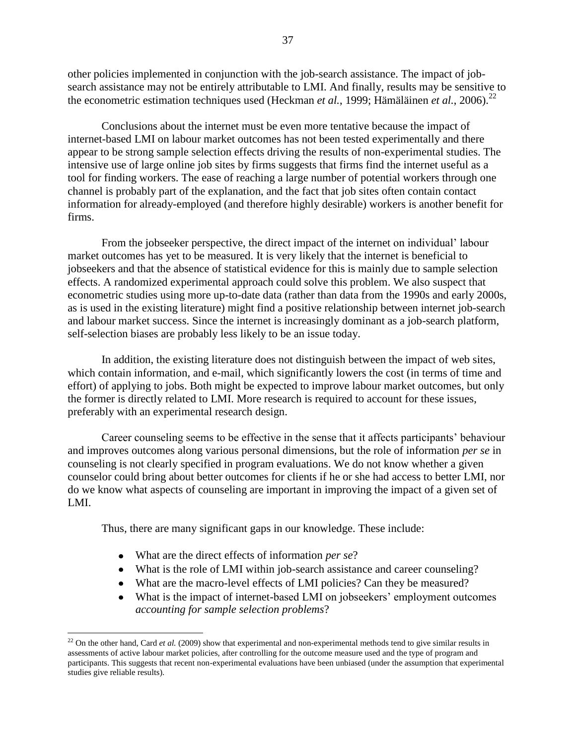other policies implemented in conjunction with the job-search assistance. The impact of jobsearch assistance may not be entirely attributable to LMI. And finally, results may be sensitive to the econometric estimation techniques used (Heckman *et al.*, 1999; Hämäläinen *et al.*, 2006).<sup>22</sup>

Conclusions about the internet must be even more tentative because the impact of internet-based LMI on labour market outcomes has not been tested experimentally and there appear to be strong sample selection effects driving the results of non-experimental studies. The intensive use of large online job sites by firms suggests that firms find the internet useful as a tool for finding workers. The ease of reaching a large number of potential workers through one channel is probably part of the explanation, and the fact that job sites often contain contact information for already-employed (and therefore highly desirable) workers is another benefit for firms.

From the jobseeker perspective, the direct impact of the internet on individual' labour market outcomes has yet to be measured. It is very likely that the internet is beneficial to jobseekers and that the absence of statistical evidence for this is mainly due to sample selection effects. A randomized experimental approach could solve this problem. We also suspect that econometric studies using more up-to-date data (rather than data from the 1990s and early 2000s, as is used in the existing literature) might find a positive relationship between internet job-search and labour market success. Since the internet is increasingly dominant as a job-search platform, self-selection biases are probably less likely to be an issue today.

In addition, the existing literature does not distinguish between the impact of web sites, which contain information, and e-mail, which significantly lowers the cost (in terms of time and effort) of applying to jobs. Both might be expected to improve labour market outcomes, but only the former is directly related to LMI. More research is required to account for these issues, preferably with an experimental research design.

Career counseling seems to be effective in the sense that it affects participants" behaviour and improves outcomes along various personal dimensions, but the role of information *per se* in counseling is not clearly specified in program evaluations. We do not know whether a given counselor could bring about better outcomes for clients if he or she had access to better LMI, nor do we know what aspects of counseling are important in improving the impact of a given set of LMI.

Thus, there are many significant gaps in our knowledge. These include:

What are the direct effects of information *per se*?

 $\overline{a}$ 

- What is the role of LMI within job-search assistance and career counseling?
- What are the macro-level effects of LMI policies? Can they be measured?
- What is the impact of internet-based LMI on jobseekers' employment outcomes *accounting for sample selection problems*?

 $22$  On the other hand, Card *et al.* (2009) show that experimental and non-experimental methods tend to give similar results in assessments of active labour market policies, after controlling for the outcome measure used and the type of program and participants. This suggests that recent non-experimental evaluations have been unbiased (under the assumption that experimental studies give reliable results).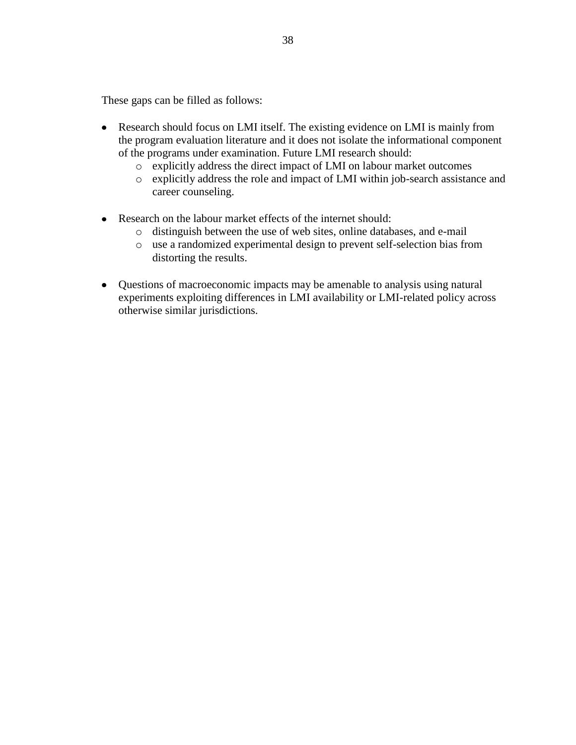These gaps can be filled as follows:

- Research should focus on LMI itself. The existing evidence on LMI is mainly from the program evaluation literature and it does not isolate the informational component of the programs under examination. Future LMI research should:
	- o explicitly address the direct impact of LMI on labour market outcomes
	- o explicitly address the role and impact of LMI within job-search assistance and career counseling.
- Research on the labour market effects of the internet should:
	- o distinguish between the use of web sites, online databases, and e-mail
	- o use a randomized experimental design to prevent self-selection bias from distorting the results.
- Questions of macroeconomic impacts may be amenable to analysis using natural experiments exploiting differences in LMI availability or LMI-related policy across otherwise similar jurisdictions.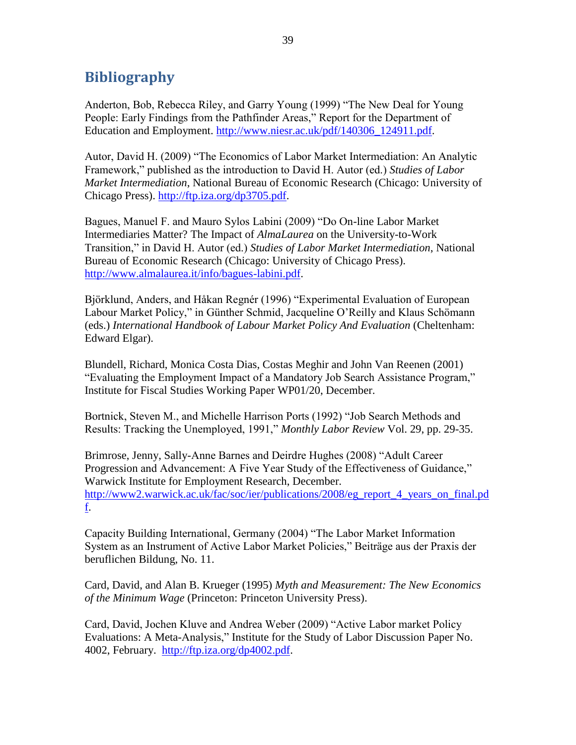## <span id="page-46-0"></span>**Bibliography**

Anderton, Bob, Rebecca Riley, and Garry Young (1999) "The New Deal for Young People: Early Findings from the Pathfinder Areas," Report for the Department of Education and Employment. [http://www.niesr.ac.uk/pdf/140306\\_124911.pdf.](http://www.niesr.ac.uk/pdf/140306_124911.pdf)

Autor, David H. (2009) "The Economics of Labor Market Intermediation: An Analytic Framework," published as the introduction to David H. Autor (ed.) *Studies of Labor Market Intermediation*, National Bureau of Economic Research (Chicago: University of Chicago Press). [http://ftp.iza.org/dp3705.pdf.](http://ftp.iza.org/dp3705.pdf)

Bagues, Manuel F. and Mauro Sylos Labini (2009) "Do On-line Labor Market Intermediaries Matter? The Impact of *AlmaLaurea* on the University-to-Work Transition," in David H. Autor (ed.) *Studies of Labor Market Intermediation*, National Bureau of Economic Research (Chicago: University of Chicago Press). [http://www.almalaurea.it/info/bagues-labini.pdf.](http://www.almalaurea.it/info/bagues-labini.pdf)

Björklund, Anders, and Håkan Regnér (1996) "Experimental Evaluation of European Labour Market Policy," in Günther Schmid, Jacqueline O"Reilly and Klaus Schömann (eds.) *International Handbook of Labour Market Policy And Evaluation* (Cheltenham: Edward Elgar).

Blundell, Richard, Monica Costa Dias, Costas Meghir and John Van Reenen (2001) "Evaluating the Employment Impact of a Mandatory Job Search Assistance Program," Institute for Fiscal Studies Working Paper WP01/20, December.

Bortnick, Steven M., and Michelle Harrison Ports (1992) "Job Search Methods and Results: Tracking the Unemployed, 1991," *Monthly Labor Review* Vol. 29, pp. 29-35.

Brimrose, Jenny, Sally-Anne Barnes and Deirdre Hughes (2008) "Adult Career Progression and Advancement: A Five Year Study of the Effectiveness of Guidance," Warwick Institute for Employment Research, December. [http://www2.warwick.ac.uk/fac/soc/ier/publications/2008/eg\\_report\\_4\\_years\\_on\\_final.pd](http://www2.warwick.ac.uk/fac/soc/ier/publications/2008/eg_report_4_years_on_final.pdf) [f.](http://www2.warwick.ac.uk/fac/soc/ier/publications/2008/eg_report_4_years_on_final.pdf)

Capacity Building International, Germany (2004) "The Labor Market Information System as an Instrument of Active Labor Market Policies," Beiträge aus der Praxis der beruflichen Bildung, No. 11.

Card, David, and Alan B. Krueger (1995) *Myth and Measurement: The New Economics of the Minimum Wage* (Princeton: Princeton University Press).

Card, David, Jochen Kluve and Andrea Weber (2009) "Active Labor market Policy Evaluations: A Meta-Analysis," Institute for the Study of Labor Discussion Paper No. 4002, February. [http://ftp.iza.org/dp4002.pdf.](http://ftp.iza.org/dp4002.pdf)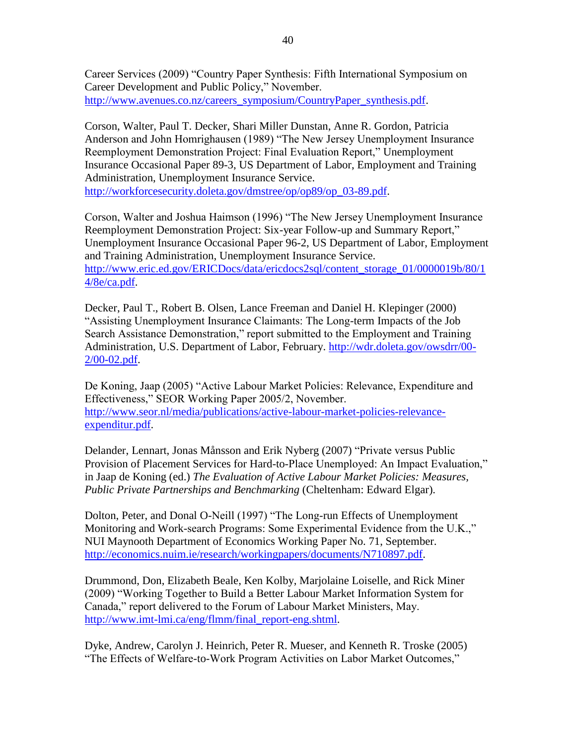Career Services (2009) "Country Paper Synthesis: Fifth International Symposium on Career Development and Public Policy," November. [http://www.avenues.co.nz/careers\\_symposium/CountryPaper\\_synthesis.pdf.](http://www.avenues.co.nz/careers_symposium/CountryPaper_synthesis.pdf)

Corson, Walter, Paul T. Decker, Shari Miller Dunstan, Anne R. Gordon, Patricia Anderson and John Homrighausen (1989) "The New Jersey Unemployment Insurance Reemployment Demonstration Project: Final Evaluation Report," Unemployment Insurance Occasional Paper 89-3, US Department of Labor, Employment and Training Administration, Unemployment Insurance Service. [http://workforcesecurity.doleta.gov/dmstree/op/op89/op\\_03-89.pdf.](http://workforcesecurity.doleta.gov/dmstree/op/op89/op_03-89.pdf)

Corson, Walter and Joshua Haimson (1996) "The New Jersey Unemployment Insurance Reemployment Demonstration Project: Six-year Follow-up and Summary Report," Unemployment Insurance Occasional Paper 96-2, US Department of Labor, Employment and Training Administration, Unemployment Insurance Service. [http://www.eric.ed.gov/ERICDocs/data/ericdocs2sql/content\\_storage\\_01/0000019b/80/1](http://www.eric.ed.gov/ERICDocs/data/ericdocs2sql/content_storage_01/0000019b/80/14/8e/ca.pdf) [4/8e/ca.pdf.](http://www.eric.ed.gov/ERICDocs/data/ericdocs2sql/content_storage_01/0000019b/80/14/8e/ca.pdf)

Decker, Paul T., Robert B. Olsen, Lance Freeman and Daniel H. Klepinger (2000) "Assisting Unemployment Insurance Claimants: The Long-term Impacts of the Job Search Assistance Demonstration," report submitted to the Employment and Training Administration, U.S. Department of Labor, February. [http://wdr.doleta.gov/owsdrr/00-](http://wdr.doleta.gov/owsdrr/00-2/00-02.pdf) [2/00-02.pdf.](http://wdr.doleta.gov/owsdrr/00-2/00-02.pdf)

De Koning, Jaap (2005) "Active Labour Market Policies: Relevance, Expenditure and Effectiveness," SEOR Working Paper 2005/2, November. [http://www.seor.nl/media/publications/active-labour-market-policies-relevance](http://www.seor.nl/media/publications/active-labour-market-policies-relevance-expenditur.pdf)[expenditur.pdf.](http://www.seor.nl/media/publications/active-labour-market-policies-relevance-expenditur.pdf)

Delander, Lennart, Jonas Månsson and Erik Nyberg (2007) "Private versus Public Provision of Placement Services for Hard-to-Place Unemployed: An Impact Evaluation," in Jaap de Koning (ed.) *The Evaluation of Active Labour Market Policies: Measures, Public Private Partnerships and Benchmarking* (Cheltenham: Edward Elgar).

Dolton, Peter, and Donal O-Neill (1997) "The Long-run Effects of Unemployment Monitoring and Work-search Programs: Some Experimental Evidence from the U.K.," NUI Maynooth Department of Economics Working Paper No. 71, September. [http://economics.nuim.ie/research/workingpapers/documents/N710897.pdf.](http://economics.nuim.ie/research/workingpapers/documents/N710897.pdf)

Drummond, Don, Elizabeth Beale, Ken Kolby, Marjolaine Loiselle, and Rick Miner (2009) "Working Together to Build a Better Labour Market Information System for Canada," report delivered to the Forum of Labour Market Ministers, May. [http://www.imt-lmi.ca/eng/flmm/final\\_report-eng.shtml.](http://www.imt-lmi.ca/eng/flmm/final_report-eng.shtml)

Dyke, Andrew, Carolyn J. Heinrich, Peter R. Mueser, and Kenneth R. Troske (2005) "The Effects of Welfare-to-Work Program Activities on Labor Market Outcomes,"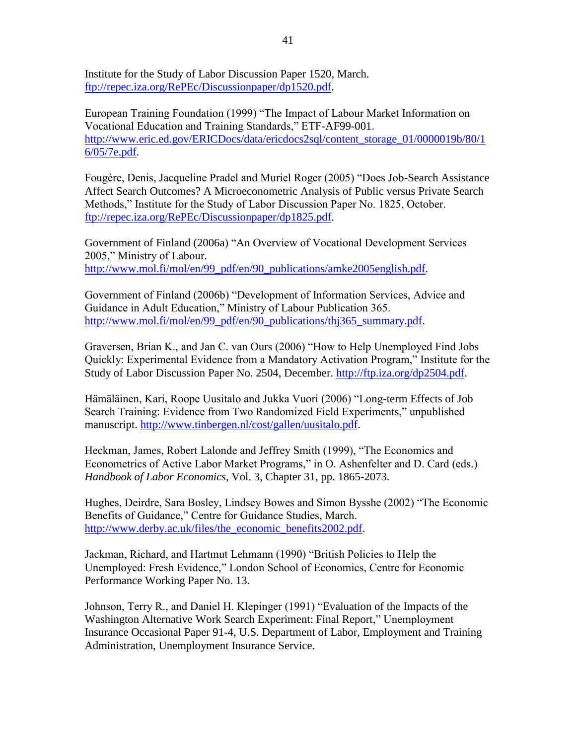Institute for the Study of Labor Discussion Paper 1520, March. [ftp://repec.iza.org/RePEc/Discussionpaper/dp1520.pdf.](ftp://repec.iza.org/RePEc/Discussionpaper/dp1520.pdf)

European Training Foundation (1999) "The Impact of Labour Market Information on Vocational Education and Training Standards," ETF-AF99-001. [http://www.eric.ed.gov/ERICDocs/data/ericdocs2sql/content\\_storage\\_01/0000019b/80/1](http://www.eric.ed.gov/ERICDocs/data/ericdocs2sql/content_storage_01/0000019b/80/16/05/7e.pdf) [6/05/7e.pdf.](http://www.eric.ed.gov/ERICDocs/data/ericdocs2sql/content_storage_01/0000019b/80/16/05/7e.pdf)

Fougère, Denis, Jacqueline Pradel and Muriel Roger (2005) "Does Job-Search Assistance Affect Search Outcomes? A Microeconometric Analysis of Public versus Private Search Methods," Institute for the Study of Labor Discussion Paper No. 1825, October. [ftp://repec.iza.org/RePEc/Discussionpaper/dp1825.pdf.](ftp://repec.iza.org/RePEc/Discussionpaper/dp1825.pdf)

Government of Finland (2006a) "An Overview of Vocational Development Services 2005," Ministry of Labour. [http://www.mol.fi/mol/en/99\\_pdf/en/90\\_publications/amke2005english.pdf.](http://www.mol.fi/mol/en/99_pdf/en/90_publications/amke2005english.pdf)

Government of Finland (2006b) "Development of Information Services, Advice and Guidance in Adult Education," Ministry of Labour Publication 365. [http://www.mol.fi/mol/en/99\\_pdf/en/90\\_publications/thj365\\_summary.pdf.](http://www.mol.fi/mol/en/99_pdf/en/90_publications/thj365_summary.pdf)

Graversen, Brian K., and Jan C. van Ours (2006) "How to Help Unemployed Find Jobs Quickly: Experimental Evidence from a Mandatory Activation Program," Institute for the Study of Labor Discussion Paper No. 2504, December. [http://ftp.iza.org/dp2504.pdf.](http://ftp.iza.org/dp2504.pdf)

Hämäläinen, Kari, Roope Uusitalo and Jukka Vuori (2006) "Long-term Effects of Job Search Training: Evidence from Two Randomized Field Experiments," unpublished manuscript. [http://www.tinbergen.nl/cost/gallen/uusitalo.pdf.](http://www.tinbergen.nl/cost/gallen/uusitalo.pdf)

Heckman, James, Robert Lalonde and Jeffrey Smith (1999), "The Economics and Econometrics of Active Labor Market Programs," in O. Ashenfelter and D. Card (eds.) *Handbook of Labor Economics*, Vol. 3, Chapter 31, pp. 1865-2073.

Hughes, Deirdre, Sara Bosley, Lindsey Bowes and Simon Bysshe (2002) "The Economic Benefits of Guidance," Centre for Guidance Studies, March. [http://www.derby.ac.uk/files/the\\_economic\\_benefits2002.pdf.](http://www.derby.ac.uk/files/the_economic_benefits2002.pdf)

Jackman, Richard, and Hartmut Lehmann (1990) "British Policies to Help the Unemployed: Fresh Evidence," London School of Economics, Centre for Economic Performance Working Paper No. 13.

Johnson, Terry R., and Daniel H. Klepinger (1991) "Evaluation of the Impacts of the Washington Alternative Work Search Experiment: Final Report," Unemployment Insurance Occasional Paper 91-4, U.S. Department of Labor, Employment and Training Administration, Unemployment Insurance Service.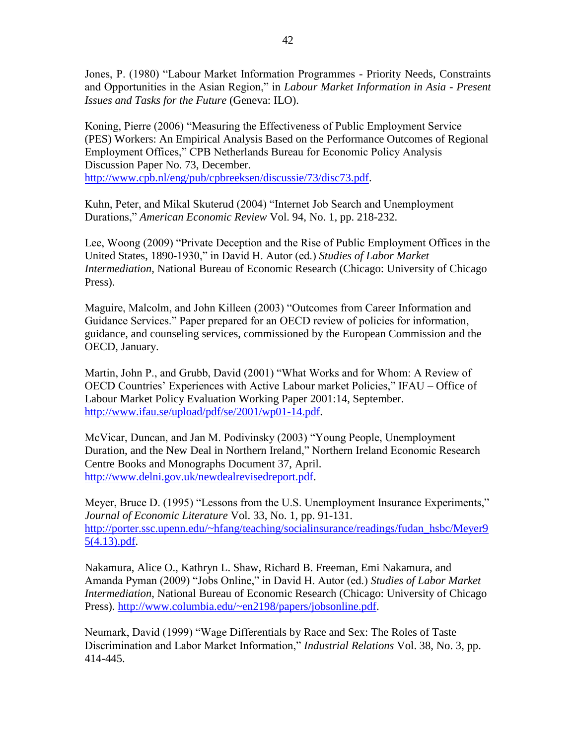Jones, P. (1980) "Labour Market Information Programmes - Priority Needs, Constraints and Opportunities in the Asian Region," in *Labour Market Information in Asia - Present Issues and Tasks for the Future* (Geneva: ILO).

Koning, Pierre (2006) "Measuring the Effectiveness of Public Employment Service (PES) Workers: An Empirical Analysis Based on the Performance Outcomes of Regional Employment Offices," CPB Netherlands Bureau for Economic Policy Analysis Discussion Paper No. 73, December. [http://www.cpb.nl/eng/pub/cpbreeksen/discussie/73/disc73.pdf.](http://www.cpb.nl/eng/pub/cpbreeksen/discussie/73/disc73.pdf)

Kuhn, Peter, and Mikal Skuterud (2004) "Internet Job Search and Unemployment Durations," *American Economic Review* Vol. 94, No. 1, pp. 218-232.

Lee, Woong (2009) "Private Deception and the Rise of Public Employment Offices in the United States, 1890-1930," in David H. Autor (ed.) *Studies of Labor Market Intermediation*, National Bureau of Economic Research (Chicago: University of Chicago Press).

Maguire, Malcolm, and John Killeen (2003) "Outcomes from Career Information and Guidance Services." Paper prepared for an OECD review of policies for information, guidance, and counseling services, commissioned by the European Commission and the OECD, January.

Martin, John P., and Grubb, David (2001) "What Works and for Whom: A Review of OECD Countries" Experiences with Active Labour market Policies," IFAU – Office of Labour Market Policy Evaluation Working Paper 2001:14, September. [http://www.ifau.se/upload/pdf/se/2001/wp01-14.pdf.](http://www.ifau.se/upload/pdf/se/2001/wp01-14.pdf)

McVicar, Duncan, and Jan M. Podivinsky (2003) "Young People, Unemployment Duration, and the New Deal in Northern Ireland," Northern Ireland Economic Research Centre Books and Monographs Document 37, April. [http://www.delni.gov.uk/newdealrevisedreport.pdf.](http://www.delni.gov.uk/newdealrevisedreport.pdf)

Meyer, Bruce D. (1995) "Lessons from the U.S. Unemployment Insurance Experiments," *Journal of Economic Literature* Vol. 33, No. 1, pp. 91-131. [http://porter.ssc.upenn.edu/~hfang/teaching/socialinsurance/readings/fudan\\_hsbc/Meyer9](http://porter.ssc.upenn.edu/~hfang/teaching/socialinsurance/readings/fudan_hsbc/Meyer95(4.13).pdf) [5\(4.13\).pdf.](http://porter.ssc.upenn.edu/~hfang/teaching/socialinsurance/readings/fudan_hsbc/Meyer95(4.13).pdf)

Nakamura, Alice O., Kathryn L. Shaw, Richard B. Freeman, Emi Nakamura, and Amanda Pyman (2009) "Jobs Online," in David H. Autor (ed.) *Studies of Labor Market Intermediation*, National Bureau of Economic Research (Chicago: University of Chicago Press). [http://www.columbia.edu/~en2198/papers/jobsonline.pdf.](http://www.columbia.edu/~en2198/papers/jobsonline.pdf)

Neumark, David (1999) "Wage Differentials by Race and Sex: The Roles of Taste Discrimination and Labor Market Information," *Industrial Relations* Vol. 38, No. 3, pp. 414-445.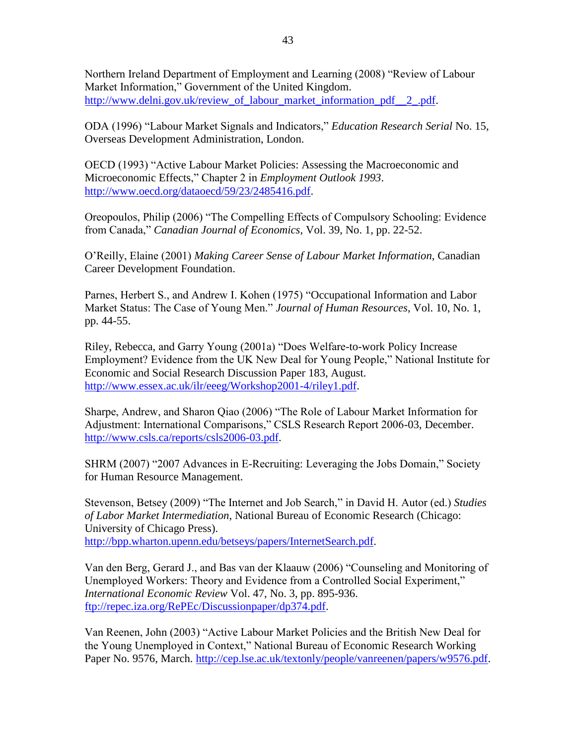Northern Ireland Department of Employment and Learning (2008) "Review of Labour Market Information," Government of the United Kingdom. [http://www.delni.gov.uk/review\\_of\\_labour\\_market\\_information\\_pdf\\_\\_2\\_.pdf.](http://www.delni.gov.uk/review_of_labour_market_information_pdf__2_.pdf)

ODA (1996) "Labour Market Signals and Indicators," *Education Research Serial* No. 15, Overseas Development Administration, London.

OECD (1993) "Active Labour Market Policies: Assessing the Macroeconomic and Microeconomic Effects," Chapter 2 in *Employment Outlook 1993*. [http://www.oecd.org/dataoecd/59/23/2485416.pdf.](http://www.oecd.org/dataoecd/59/23/2485416.pdf)

Oreopoulos, Philip (2006) "The Compelling Effects of Compulsory Schooling: Evidence from Canada," *Canadian Journal of Economics*, Vol. 39, No. 1, pp. 22-52.

O"Reilly, Elaine (2001) *Making Career Sense of Labour Market Information*, Canadian Career Development Foundation.

Parnes, Herbert S., and Andrew I. Kohen (1975) "Occupational Information and Labor Market Status: The Case of Young Men." *Journal of Human Resources*, Vol. 10, No. 1, pp. 44-55.

Riley, Rebecca, and Garry Young (2001a) "Does Welfare-to-work Policy Increase Employment? Evidence from the UK New Deal for Young People," National Institute for Economic and Social Research Discussion Paper 183, August. [http://www.essex.ac.uk/ilr/eeeg/Workshop2001-4/riley1.pdf.](http://www.essex.ac.uk/ilr/eeeg/Workshop2001-4/riley1.pdf)

Sharpe, Andrew, and Sharon Qiao (2006) "The Role of Labour Market Information for Adjustment: International Comparisons," CSLS Research Report 2006-03, December. [http://www.csls.ca/reports/csls2006-03.pdf.](http://www.csls.ca/reports/csls2006-03.pdf)

SHRM (2007) "2007 Advances in E-Recruiting: Leveraging the Jobs Domain," Society for Human Resource Management.

Stevenson, Betsey (2009) "The Internet and Job Search," in David H. Autor (ed.) *Studies of Labor Market Intermediation*, National Bureau of Economic Research (Chicago: University of Chicago Press). [http://bpp.wharton.upenn.edu/betseys/papers/InternetSearch.pdf.](http://bpp.wharton.upenn.edu/betseys/papers/InternetSearch.pdf)

Van den Berg, Gerard J., and Bas van der Klaauw (2006) "Counseling and Monitoring of Unemployed Workers: Theory and Evidence from a Controlled Social Experiment," *International Economic Review* Vol. 47, No. 3, pp. 895-936. [ftp://repec.iza.org/RePEc/Discussionpaper/dp374.pdf.](ftp://repec.iza.org/RePEc/Discussionpaper/dp374.pdf)

Van Reenen, John (2003) "Active Labour Market Policies and the British New Deal for the Young Unemployed in Context," National Bureau of Economic Research Working Paper No. 9576, March. [http://cep.lse.ac.uk/textonly/people/vanreenen/papers/w9576.pdf.](http://cep.lse.ac.uk/textonly/people/vanreenen/papers/w9576.pdf)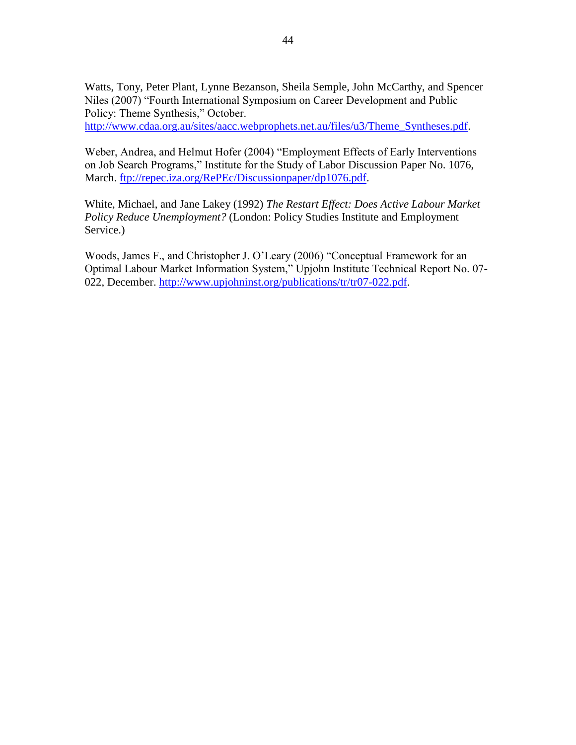Watts, Tony, Peter Plant, Lynne Bezanson, Sheila Semple, John McCarthy, and Spencer Niles (2007) "Fourth International Symposium on Career Development and Public Policy: Theme Synthesis," October. [http://www.cdaa.org.au/sites/aacc.webprophets.net.au/files/u3/Theme\\_Syntheses.pdf.](http://www.cdaa.org.au/sites/aacc.webprophets.net.au/files/u3/Theme_Syntheses.pdf)

Weber, Andrea, and Helmut Hofer (2004) "Employment Effects of Early Interventions on Job Search Programs," Institute for the Study of Labor Discussion Paper No. 1076, March. [ftp://repec.iza.org/RePEc/Discussionpaper/dp1076.pdf.](ftp://repec.iza.org/RePEc/Discussionpaper/dp1076.pdf)

White, Michael, and Jane Lakey (1992) *The Restart Effect: Does Active Labour Market Policy Reduce Unemployment?* (London: Policy Studies Institute and Employment Service.)

Woods, James F., and Christopher J. O"Leary (2006) "Conceptual Framework for an Optimal Labour Market Information System," Upjohn Institute Technical Report No. 07- 022, December. [http://www.upjohninst.org/publications/tr/tr07-022.pdf.](http://www.upjohninst.org/publications/tr/tr07-022.pdf)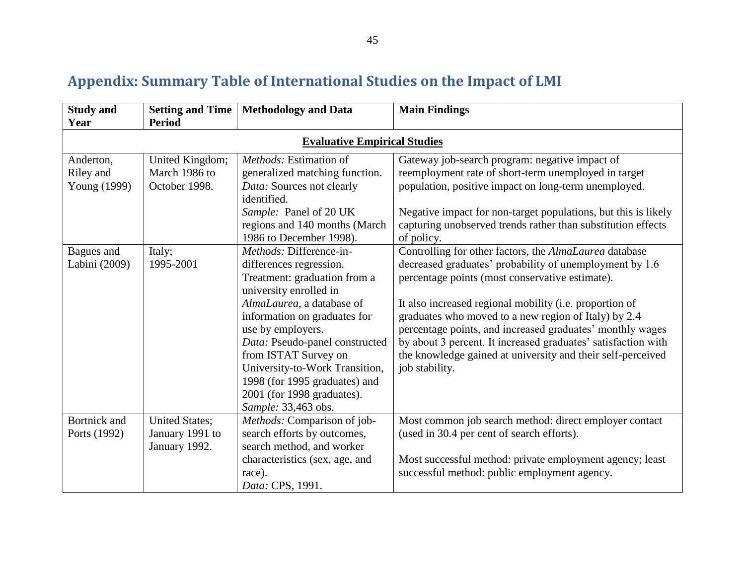# **Appendix: Summary Table of International Studies on the Impact of LMI**

<span id="page-52-0"></span>

| <b>Study and</b>                       | <b>Setting and Time</b>                                   | <b>Methodology and Data</b>                                                                                                                                                                                                                                                                                                                                                      | <b>Main Findings</b>                                                                                                                                                                                                                                                                                                                                                                                                                                                                                   |
|----------------------------------------|-----------------------------------------------------------|----------------------------------------------------------------------------------------------------------------------------------------------------------------------------------------------------------------------------------------------------------------------------------------------------------------------------------------------------------------------------------|--------------------------------------------------------------------------------------------------------------------------------------------------------------------------------------------------------------------------------------------------------------------------------------------------------------------------------------------------------------------------------------------------------------------------------------------------------------------------------------------------------|
| Year                                   | <b>Period</b>                                             |                                                                                                                                                                                                                                                                                                                                                                                  |                                                                                                                                                                                                                                                                                                                                                                                                                                                                                                        |
|                                        |                                                           | <b>Evaluative Empirical Studies</b>                                                                                                                                                                                                                                                                                                                                              |                                                                                                                                                                                                                                                                                                                                                                                                                                                                                                        |
| Anderton,<br>Riley and<br>Young (1999) | United Kingdom;<br>March 1986 to<br>October 1998.         | Methods: Estimation of<br>generalized matching function.<br>Data: Sources not clearly<br>identified.<br>Sample: Panel of 20 UK                                                                                                                                                                                                                                                   | Gateway job-search program: negative impact of<br>reemployment rate of short-term unemployed in target<br>population, positive impact on long-term unemployed.<br>Negative impact for non-target populations, but this is likely                                                                                                                                                                                                                                                                       |
|                                        |                                                           | regions and 140 months (March<br>1986 to December 1998).                                                                                                                                                                                                                                                                                                                         | capturing unobserved trends rather than substitution effects<br>of policy.                                                                                                                                                                                                                                                                                                                                                                                                                             |
| Bagues and<br>Labini (2009)            | Italy;<br>1995-2001                                       | Methods: Difference-in-<br>differences regression.<br>Treatment: graduation from a<br>university enrolled in<br>AlmaLaurea, a database of<br>information on graduates for<br>use by employers.<br>Data: Pseudo-panel constructed<br>from ISTAT Survey on<br>University-to-Work Transition,<br>1998 (for 1995 graduates) and<br>2001 (for 1998 graduates).<br>Sample: 33,463 obs. | Controlling for other factors, the AlmaLaurea database<br>decreased graduates' probability of unemployment by 1.6<br>percentage points (most conservative estimate).<br>It also increased regional mobility (i.e. proportion of<br>graduates who moved to a new region of Italy) by 2.4<br>percentage points, and increased graduates' monthly wages<br>by about 3 percent. It increased graduates' satisfaction with<br>the knowledge gained at university and their self-perceived<br>job stability. |
| <b>Bortnick</b> and<br>Ports (1992)    | <b>United States;</b><br>January 1991 to<br>January 1992. | Methods: Comparison of job-<br>search efforts by outcomes,<br>search method, and worker                                                                                                                                                                                                                                                                                          | Most common job search method: direct employer contact<br>(used in 30.4 per cent of search efforts).                                                                                                                                                                                                                                                                                                                                                                                                   |
|                                        |                                                           | characteristics (sex, age, and<br>race).<br>Data: CPS, 1991.                                                                                                                                                                                                                                                                                                                     | Most successful method: private employment agency; least<br>successful method: public employment agency.                                                                                                                                                                                                                                                                                                                                                                                               |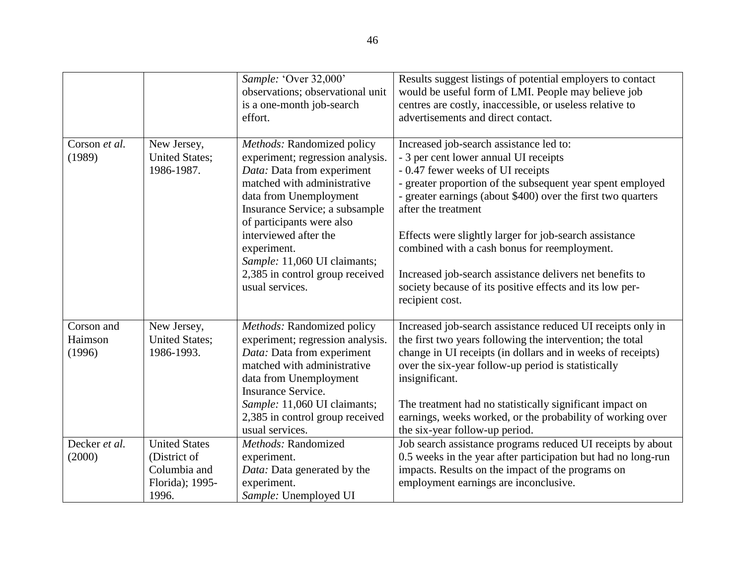|                                 |                                                                                  | Sample: 'Over 32,000'<br>observations; observational unit<br>is a one-month job-search<br>effort.                                                                                                                                                                                                                                                  | Results suggest listings of potential employers to contact<br>would be useful form of LMI. People may believe job<br>centres are costly, inaccessible, or useless relative to<br>advertisements and direct contact.                                                                                                                                                                                                                                                                                                             |
|---------------------------------|----------------------------------------------------------------------------------|----------------------------------------------------------------------------------------------------------------------------------------------------------------------------------------------------------------------------------------------------------------------------------------------------------------------------------------------------|---------------------------------------------------------------------------------------------------------------------------------------------------------------------------------------------------------------------------------------------------------------------------------------------------------------------------------------------------------------------------------------------------------------------------------------------------------------------------------------------------------------------------------|
| Corson et al.<br>(1989)         | New Jersey,<br><b>United States;</b><br>1986-1987.                               | Methods: Randomized policy<br>experiment; regression analysis.<br>Data: Data from experiment<br>matched with administrative<br>data from Unemployment<br>Insurance Service; a subsample<br>of participants were also<br>interviewed after the<br>experiment.<br>Sample: 11,060 UI claimants;<br>2,385 in control group received<br>usual services. | Increased job-search assistance led to:<br>- 3 per cent lower annual UI receipts<br>- 0.47 fewer weeks of UI receipts<br>- greater proportion of the subsequent year spent employed<br>- greater earnings (about \$400) over the first two quarters<br>after the treatment<br>Effects were slightly larger for job-search assistance<br>combined with a cash bonus for reemployment.<br>Increased job-search assistance delivers net benefits to<br>society because of its positive effects and its low per-<br>recipient cost. |
| Corson and<br>Haimson<br>(1996) | New Jersey,<br><b>United States;</b><br>1986-1993.                               | Methods: Randomized policy<br>experiment; regression analysis.<br>Data: Data from experiment<br>matched with administrative<br>data from Unemployment<br><b>Insurance Service.</b><br>Sample: 11,060 UI claimants;<br>2,385 in control group received<br>usual services.                                                                           | Increased job-search assistance reduced UI receipts only in<br>the first two years following the intervention; the total<br>change in UI receipts (in dollars and in weeks of receipts)<br>over the six-year follow-up period is statistically<br>insignificant.<br>The treatment had no statistically significant impact on<br>earnings, weeks worked, or the probability of working over<br>the six-year follow-up period.                                                                                                    |
| Decker et al.<br>(2000)         | <b>United States</b><br>(District of<br>Columbia and<br>Florida); 1995-<br>1996. | Methods: Randomized<br>experiment.<br>Data: Data generated by the<br>experiment.<br>Sample: Unemployed UI                                                                                                                                                                                                                                          | Job search assistance programs reduced UI receipts by about<br>0.5 weeks in the year after participation but had no long-run<br>impacts. Results on the impact of the programs on<br>employment earnings are inconclusive.                                                                                                                                                                                                                                                                                                      |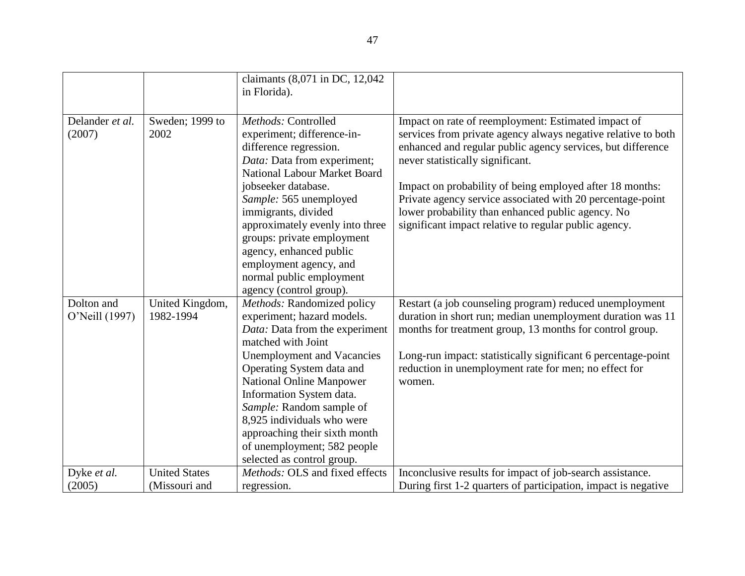|                 |                      | claimants (8,071 in DC, 12,042<br>in Florida).    |                                                                |
|-----------------|----------------------|---------------------------------------------------|----------------------------------------------------------------|
|                 |                      |                                                   |                                                                |
| Delander et al. | Sweden; 1999 to      | Methods: Controlled                               | Impact on rate of reemployment: Estimated impact of            |
| (2007)          | 2002                 | experiment; difference-in-                        | services from private agency always negative relative to both  |
|                 |                      | difference regression.                            | enhanced and regular public agency services, but difference    |
|                 |                      | Data: Data from experiment;                       | never statistically significant.                               |
|                 |                      | <b>National Labour Market Board</b>               |                                                                |
|                 |                      | jobseeker database.                               | Impact on probability of being employed after 18 months:       |
|                 |                      | Sample: 565 unemployed                            | Private agency service associated with 20 percentage-point     |
|                 |                      | immigrants, divided                               | lower probability than enhanced public agency. No              |
|                 |                      | approximately evenly into three                   | significant impact relative to regular public agency.          |
|                 |                      | groups: private employment                        |                                                                |
|                 |                      | agency, enhanced public<br>employment agency, and |                                                                |
|                 |                      | normal public employment                          |                                                                |
|                 |                      | agency (control group).                           |                                                                |
| Dolton and      | United Kingdom,      | Methods: Randomized policy                        | Restart (a job counseling program) reduced unemployment        |
| O'Neill (1997)  | 1982-1994            | experiment; hazard models.                        | duration in short run; median unemployment duration was 11     |
|                 |                      | Data: Data from the experiment                    | months for treatment group, 13 months for control group.       |
|                 |                      | matched with Joint                                |                                                                |
|                 |                      | <b>Unemployment and Vacancies</b>                 | Long-run impact: statistically significant 6 percentage-point  |
|                 |                      | Operating System data and                         | reduction in unemployment rate for men; no effect for          |
|                 |                      | <b>National Online Manpower</b>                   | women.                                                         |
|                 |                      | Information System data.                          |                                                                |
|                 |                      | Sample: Random sample of                          |                                                                |
|                 |                      | 8,925 individuals who were                        |                                                                |
|                 |                      | approaching their sixth month                     |                                                                |
|                 |                      | of unemployment; 582 people                       |                                                                |
|                 |                      | selected as control group.                        |                                                                |
| Dyke et al.     | <b>United States</b> | Methods: OLS and fixed effects                    | Inconclusive results for impact of job-search assistance.      |
| (2005)          | (Missouri and        | regression.                                       | During first 1-2 quarters of participation, impact is negative |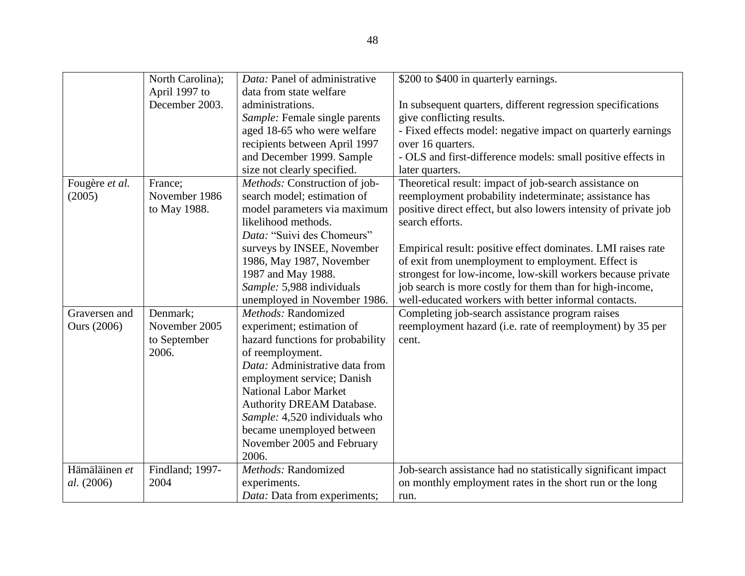|                    | North Carolina); | Data: Panel of administrative    | \$200 to \$400 in quarterly earnings.                            |
|--------------------|------------------|----------------------------------|------------------------------------------------------------------|
|                    | April 1997 to    | data from state welfare          |                                                                  |
|                    | December 2003.   | administrations.                 | In subsequent quarters, different regression specifications      |
|                    |                  | Sample: Female single parents    | give conflicting results.                                        |
|                    |                  | aged 18-65 who were welfare      | - Fixed effects model: negative impact on quarterly earnings     |
|                    |                  | recipients between April 1997    | over 16 quarters.                                                |
|                    |                  | and December 1999. Sample        | - OLS and first-difference models: small positive effects in     |
|                    |                  | size not clearly specified.      | later quarters.                                                  |
| Fougère et al.     | France;          | Methods: Construction of job-    | Theoretical result: impact of job-search assistance on           |
| (2005)             | November 1986    | search model; estimation of      | reemployment probability indeterminate; assistance has           |
|                    | to May 1988.     | model parameters via maximum     | positive direct effect, but also lowers intensity of private job |
|                    |                  | likelihood methods.              | search efforts.                                                  |
|                    |                  | Data: "Suivi des Chomeurs"       |                                                                  |
|                    |                  | surveys by INSEE, November       | Empirical result: positive effect dominates. LMI raises rate     |
|                    |                  | 1986, May 1987, November         | of exit from unemployment to employment. Effect is               |
|                    |                  | 1987 and May 1988.               | strongest for low-income, low-skill workers because private      |
|                    |                  | Sample: 5,988 individuals        | job search is more costly for them than for high-income,         |
|                    |                  | unemployed in November 1986.     | well-educated workers with better informal contacts.             |
| Graversen and      | Denmark;         | Methods: Randomized              | Completing job-search assistance program raises                  |
| <b>Ours</b> (2006) | November 2005    | experiment; estimation of        | reemployment hazard (i.e. rate of reemployment) by 35 per        |
|                    | to September     | hazard functions for probability | cent.                                                            |
|                    | 2006.            | of reemployment.                 |                                                                  |
|                    |                  | Data: Administrative data from   |                                                                  |
|                    |                  | employment service; Danish       |                                                                  |
|                    |                  | <b>National Labor Market</b>     |                                                                  |
|                    |                  | Authority DREAM Database.        |                                                                  |
|                    |                  | Sample: 4,520 individuals who    |                                                                  |
|                    |                  | became unemployed between        |                                                                  |
|                    |                  | November 2005 and February       |                                                                  |
|                    |                  | 2006.                            |                                                                  |
| Hämäläinen et      | Findland; 1997-  | Methods: Randomized              | Job-search assistance had no statistically significant impact    |
| al. (2006)         | 2004             | experiments.                     | on monthly employment rates in the short run or the long         |
|                    |                  | Data: Data from experiments;     | run.                                                             |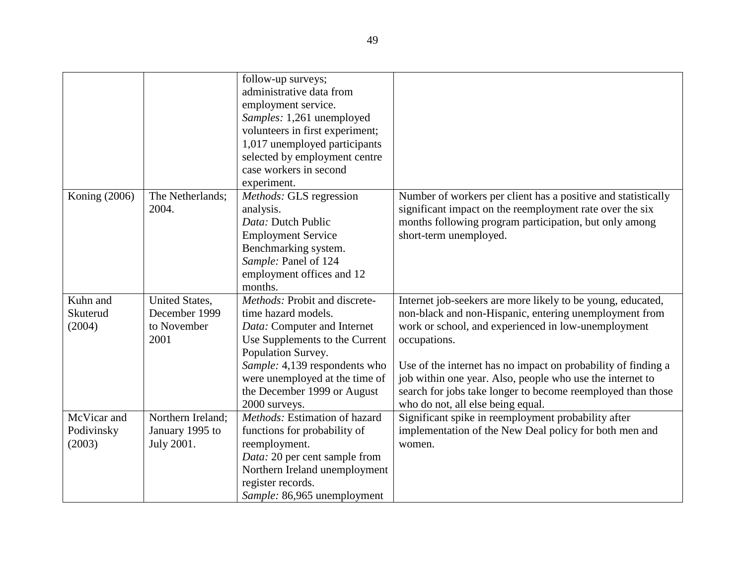|               |                       | follow-up surveys;              |                                                               |
|---------------|-----------------------|---------------------------------|---------------------------------------------------------------|
|               |                       | administrative data from        |                                                               |
|               |                       | employment service.             |                                                               |
|               |                       | Samples: 1,261 unemployed       |                                                               |
|               |                       | volunteers in first experiment; |                                                               |
|               |                       | 1,017 unemployed participants   |                                                               |
|               |                       | selected by employment centre   |                                                               |
|               |                       | case workers in second          |                                                               |
|               |                       | experiment.                     |                                                               |
| Koning (2006) | The Netherlands;      | Methods: GLS regression         | Number of workers per client has a positive and statistically |
|               | 2004.                 | analysis.                       | significant impact on the reemployment rate over the six      |
|               |                       | Data: Dutch Public              | months following program participation, but only among        |
|               |                       | <b>Employment Service</b>       | short-term unemployed.                                        |
|               |                       | Benchmarking system.            |                                                               |
|               |                       | Sample: Panel of 124            |                                                               |
|               |                       | employment offices and 12       |                                                               |
|               |                       | months.                         |                                                               |
| Kuhn and      | <b>United States,</b> | Methods: Probit and discrete-   | Internet job-seekers are more likely to be young, educated,   |
| Skuterud      | December 1999         | time hazard models.             | non-black and non-Hispanic, entering unemployment from        |
| (2004)        | to November           | Data: Computer and Internet     | work or school, and experienced in low-unemployment           |
|               | 2001                  | Use Supplements to the Current  | occupations.                                                  |
|               |                       | Population Survey.              |                                                               |
|               |                       | Sample: 4,139 respondents who   | Use of the internet has no impact on probability of finding a |
|               |                       | were unemployed at the time of  | job within one year. Also, people who use the internet to     |
|               |                       | the December 1999 or August     | search for jobs take longer to become reemployed than those   |
|               |                       | 2000 surveys.                   | who do not, all else being equal.                             |
| McVicar and   | Northern Ireland;     | Methods: Estimation of hazard   | Significant spike in reemployment probability after           |
| Podivinsky    | January 1995 to       | functions for probability of    | implementation of the New Deal policy for both men and        |
| (2003)        | July 2001.            | reemployment.                   | women.                                                        |
|               |                       | Data: 20 per cent sample from   |                                                               |
|               |                       | Northern Ireland unemployment   |                                                               |
|               |                       | register records.               |                                                               |
|               |                       | Sample: 86,965 unemployment     |                                                               |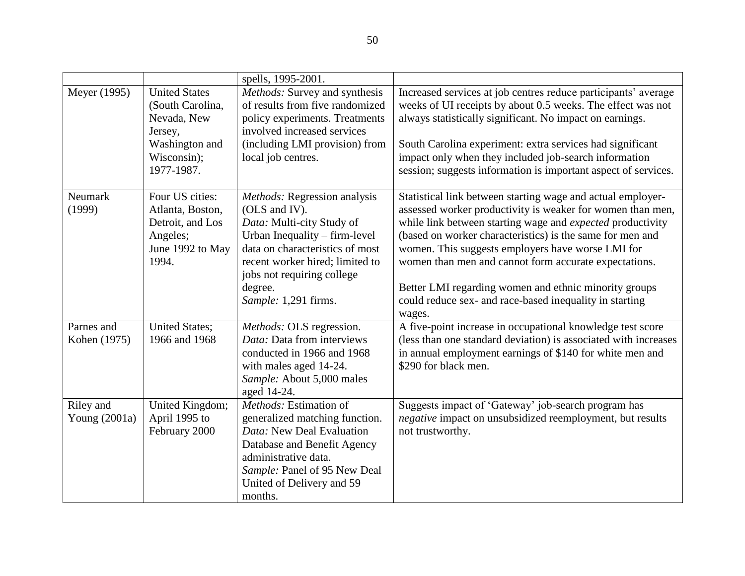|                              |                                                                                                                   | spells, 1995-2001.                                                                                                                                                                                                                                 |                                                                                                                                                                                                                                                                                                                                                                                                                                                                                                         |
|------------------------------|-------------------------------------------------------------------------------------------------------------------|----------------------------------------------------------------------------------------------------------------------------------------------------------------------------------------------------------------------------------------------------|---------------------------------------------------------------------------------------------------------------------------------------------------------------------------------------------------------------------------------------------------------------------------------------------------------------------------------------------------------------------------------------------------------------------------------------------------------------------------------------------------------|
| Meyer (1995)                 | <b>United States</b><br>(South Carolina,<br>Nevada, New<br>Jersey,<br>Washington and<br>Wisconsin);<br>1977-1987. | Methods: Survey and synthesis<br>of results from five randomized<br>policy experiments. Treatments<br>involved increased services<br>(including LMI provision) from<br>local job centres.                                                          | Increased services at job centres reduce participants' average<br>weeks of UI receipts by about 0.5 weeks. The effect was not<br>always statistically significant. No impact on earnings.<br>South Carolina experiment: extra services had significant<br>impact only when they included job-search information<br>session; suggests information is important aspect of services.                                                                                                                       |
| Neumark<br>(1999)            | Four US cities:<br>Atlanta, Boston,<br>Detroit, and Los<br>Angeles;<br>June 1992 to May<br>1994.                  | Methods: Regression analysis<br>(OLS and IV).<br>Data: Multi-city Study of<br>Urban Inequality – firm-level<br>data on characteristics of most<br>recent worker hired; limited to<br>jobs not requiring college<br>degree.<br>Sample: 1,291 firms. | Statistical link between starting wage and actual employer-<br>assessed worker productivity is weaker for women than men,<br>while link between starting wage and <i>expected</i> productivity<br>(based on worker characteristics) is the same for men and<br>women. This suggests employers have worse LMI for<br>women than men and cannot form accurate expectations.<br>Better LMI regarding women and ethnic minority groups<br>could reduce sex- and race-based inequality in starting<br>wages. |
| Parnes and<br>Kohen (1975)   | <b>United States;</b><br>1966 and 1968                                                                            | Methods: OLS regression.<br>Data: Data from interviews<br>conducted in 1966 and 1968<br>with males aged 14-24.<br>Sample: About 5,000 males<br>aged 14-24.                                                                                         | A five-point increase in occupational knowledge test score<br>(less than one standard deviation) is associated with increases<br>in annual employment earnings of \$140 for white men and<br>\$290 for black men.                                                                                                                                                                                                                                                                                       |
| Riley and<br>Young $(2001a)$ | United Kingdom;<br>April 1995 to<br>February 2000                                                                 | Methods: Estimation of<br>generalized matching function.<br>Data: New Deal Evaluation<br>Database and Benefit Agency<br>administrative data.<br>Sample: Panel of 95 New Deal<br>United of Delivery and 59<br>months.                               | Suggests impact of 'Gateway' job-search program has<br>negative impact on unsubsidized reemployment, but results<br>not trustworthy.                                                                                                                                                                                                                                                                                                                                                                    |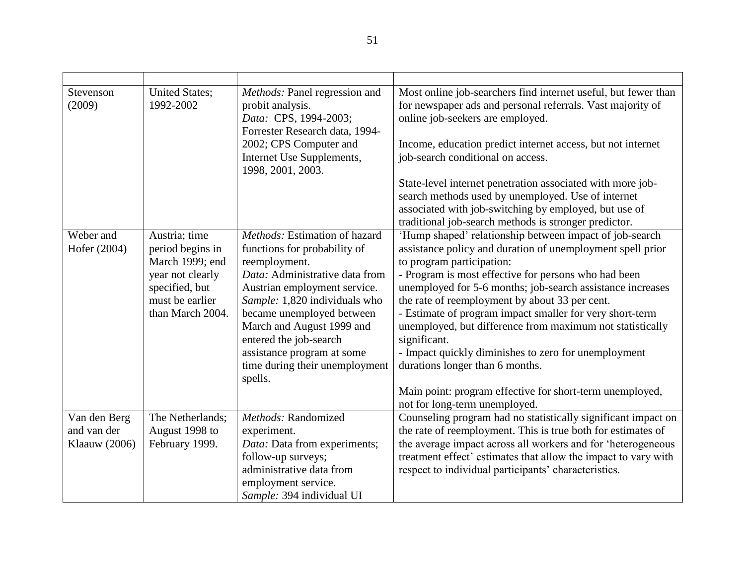| Stevenson<br>(2009)       | <b>United States;</b><br>1992-2002                                                                                                | Methods: Panel regression and<br>probit analysis.<br>Data: CPS, 1994-2003;<br>Forrester Research data, 1994-                                                                                                                                                          | Most online job-searchers find internet useful, but fewer than<br>for newspaper ads and personal referrals. Vast majority of<br>online job-seekers are employed.                                                                                                                                                                                                                                                                                                    |
|---------------------------|-----------------------------------------------------------------------------------------------------------------------------------|-----------------------------------------------------------------------------------------------------------------------------------------------------------------------------------------------------------------------------------------------------------------------|---------------------------------------------------------------------------------------------------------------------------------------------------------------------------------------------------------------------------------------------------------------------------------------------------------------------------------------------------------------------------------------------------------------------------------------------------------------------|
|                           |                                                                                                                                   | 2002; CPS Computer and<br>Internet Use Supplements,<br>1998, 2001, 2003.                                                                                                                                                                                              | Income, education predict internet access, but not internet<br>job-search conditional on access.                                                                                                                                                                                                                                                                                                                                                                    |
|                           |                                                                                                                                   |                                                                                                                                                                                                                                                                       | State-level internet penetration associated with more job-<br>search methods used by unemployed. Use of internet                                                                                                                                                                                                                                                                                                                                                    |
|                           |                                                                                                                                   |                                                                                                                                                                                                                                                                       | associated with job-switching by employed, but use of<br>traditional job-search methods is stronger predictor.                                                                                                                                                                                                                                                                                                                                                      |
| Weber and<br>Hofer (2004) | Austria; time<br>period begins in<br>March 1999; end<br>year not clearly<br>specified, but<br>must be earlier<br>than March 2004. | Methods: Estimation of hazard<br>functions for probability of<br>reemployment.<br>Data: Administrative data from<br>Austrian employment service.<br>Sample: 1,820 individuals who<br>became unemployed between<br>March and August 1999 and<br>entered the job-search | 'Hump shaped' relationship between impact of job-search<br>assistance policy and duration of unemployment spell prior<br>to program participation:<br>- Program is most effective for persons who had been<br>unemployed for 5-6 months; job-search assistance increases<br>the rate of reemployment by about 33 per cent.<br>- Estimate of program impact smaller for very short-term<br>unemployed, but difference from maximum not statistically<br>significant. |
|                           |                                                                                                                                   | assistance program at some<br>time during their unemployment<br>spells.                                                                                                                                                                                               | - Impact quickly diminishes to zero for unemployment<br>durations longer than 6 months.                                                                                                                                                                                                                                                                                                                                                                             |
|                           |                                                                                                                                   |                                                                                                                                                                                                                                                                       | Main point: program effective for short-term unemployed,<br>not for long-term unemployed.                                                                                                                                                                                                                                                                                                                                                                           |
| Van den Berg              | The Netherlands;                                                                                                                  | Methods: Randomized                                                                                                                                                                                                                                                   | Counseling program had no statistically significant impact on                                                                                                                                                                                                                                                                                                                                                                                                       |
| and van der               | August 1998 to                                                                                                                    | experiment.                                                                                                                                                                                                                                                           | the rate of reemployment. This is true both for estimates of                                                                                                                                                                                                                                                                                                                                                                                                        |
| Klaauw (2006)             | February 1999.                                                                                                                    | Data: Data from experiments;                                                                                                                                                                                                                                          | the average impact across all workers and for 'heterogeneous                                                                                                                                                                                                                                                                                                                                                                                                        |
|                           |                                                                                                                                   | follow-up surveys;                                                                                                                                                                                                                                                    | treatment effect' estimates that allow the impact to vary with                                                                                                                                                                                                                                                                                                                                                                                                      |
|                           |                                                                                                                                   | administrative data from                                                                                                                                                                                                                                              | respect to individual participants' characteristics.                                                                                                                                                                                                                                                                                                                                                                                                                |
|                           |                                                                                                                                   | employment service.<br>Sample: 394 individual UI                                                                                                                                                                                                                      |                                                                                                                                                                                                                                                                                                                                                                                                                                                                     |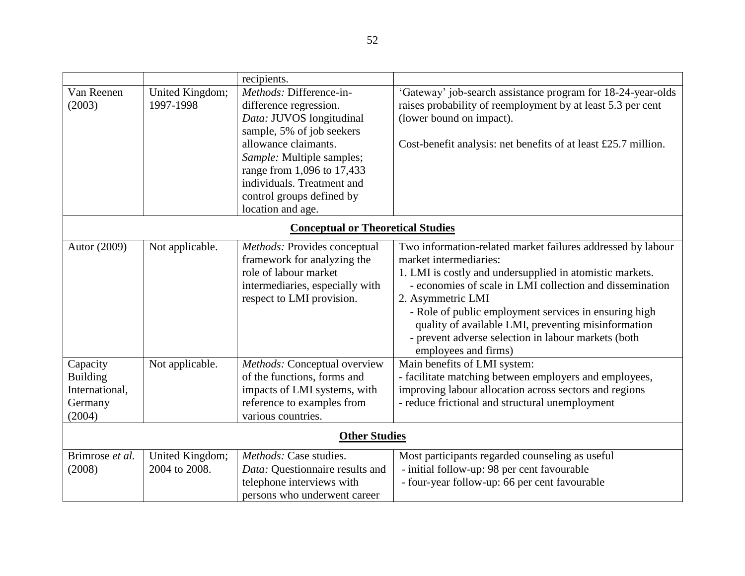|                                                                    |                                          | recipients.                                                                                                                                                                                                                                                                   |                                                                                                                                                                                                                                                                                                                                                                                                                                   |  |  |
|--------------------------------------------------------------------|------------------------------------------|-------------------------------------------------------------------------------------------------------------------------------------------------------------------------------------------------------------------------------------------------------------------------------|-----------------------------------------------------------------------------------------------------------------------------------------------------------------------------------------------------------------------------------------------------------------------------------------------------------------------------------------------------------------------------------------------------------------------------------|--|--|
| Van Reenen<br>(2003)                                               | United Kingdom;<br>1997-1998             | Methods: Difference-in-<br>difference regression.<br>Data: JUVOS longitudinal<br>sample, 5% of job seekers<br>allowance claimants.<br>Sample: Multiple samples;<br>range from 1,096 to 17,433<br>individuals. Treatment and<br>control groups defined by<br>location and age. | 'Gateway' job-search assistance program for 18-24-year-olds<br>raises probability of reemployment by at least 5.3 per cent<br>(lower bound on impact).<br>Cost-benefit analysis: net benefits of at least £25.7 million.                                                                                                                                                                                                          |  |  |
|                                                                    | <b>Conceptual or Theoretical Studies</b> |                                                                                                                                                                                                                                                                               |                                                                                                                                                                                                                                                                                                                                                                                                                                   |  |  |
| Autor (2009)                                                       | Not applicable.                          | Methods: Provides conceptual<br>framework for analyzing the<br>role of labour market<br>intermediaries, especially with<br>respect to LMI provision.                                                                                                                          | Two information-related market failures addressed by labour<br>market intermediaries:<br>1. LMI is costly and undersupplied in atomistic markets.<br>- economies of scale in LMI collection and dissemination<br>2. Asymmetric LMI<br>- Role of public employment services in ensuring high<br>quality of available LMI, preventing misinformation<br>- prevent adverse selection in labour markets (both<br>employees and firms) |  |  |
| Capacity<br><b>Building</b><br>International,<br>Germany<br>(2004) | Not applicable.                          | Methods: Conceptual overview<br>of the functions, forms and<br>impacts of LMI systems, with<br>reference to examples from<br>various countries.                                                                                                                               | Main benefits of LMI system:<br>- facilitate matching between employers and employees,<br>improving labour allocation across sectors and regions<br>- reduce frictional and structural unemployment                                                                                                                                                                                                                               |  |  |
| <b>Other Studies</b>                                               |                                          |                                                                                                                                                                                                                                                                               |                                                                                                                                                                                                                                                                                                                                                                                                                                   |  |  |
| Brimrose et al.<br>(2008)                                          | United Kingdom;<br>2004 to 2008.         | Methods: Case studies.<br>Data: Questionnaire results and<br>telephone interviews with<br>persons who underwent career                                                                                                                                                        | Most participants regarded counseling as useful<br>- initial follow-up: 98 per cent favourable<br>- four-year follow-up: 66 per cent favourable                                                                                                                                                                                                                                                                                   |  |  |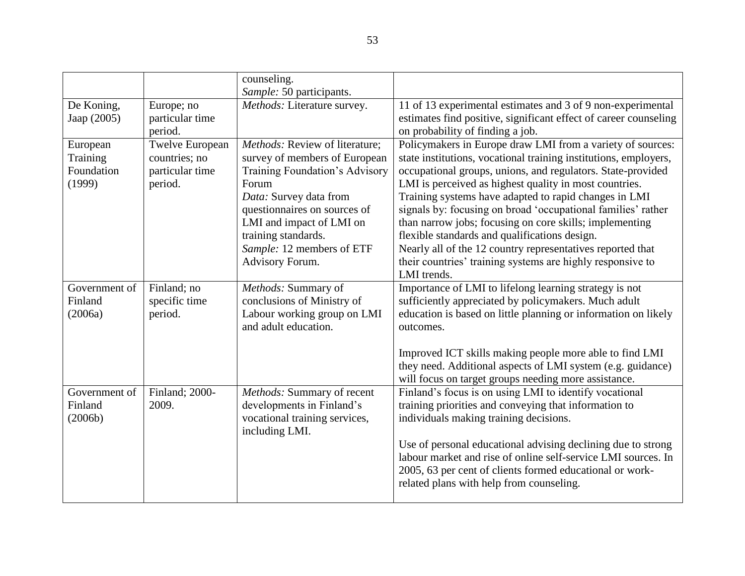|                                              |                                                                | counseling.                                                                                                                                                                                                                                                             |                                                                                                                                                                                                                                                                                                                                                                                                                                                                                                                                                                                                                                         |
|----------------------------------------------|----------------------------------------------------------------|-------------------------------------------------------------------------------------------------------------------------------------------------------------------------------------------------------------------------------------------------------------------------|-----------------------------------------------------------------------------------------------------------------------------------------------------------------------------------------------------------------------------------------------------------------------------------------------------------------------------------------------------------------------------------------------------------------------------------------------------------------------------------------------------------------------------------------------------------------------------------------------------------------------------------------|
| De Koning,<br>Jaap (2005)                    | Europe; no<br>particular time                                  | Sample: 50 participants.<br>Methods: Literature survey.                                                                                                                                                                                                                 | 11 of 13 experimental estimates and 3 of 9 non-experimental<br>estimates find positive, significant effect of career counseling                                                                                                                                                                                                                                                                                                                                                                                                                                                                                                         |
|                                              | period.                                                        |                                                                                                                                                                                                                                                                         | on probability of finding a job.                                                                                                                                                                                                                                                                                                                                                                                                                                                                                                                                                                                                        |
| European<br>Training<br>Foundation<br>(1999) | Twelve European<br>countries; no<br>particular time<br>period. | Methods: Review of literature;<br>survey of members of European<br>Training Foundation's Advisory<br>Forum<br>Data: Survey data from<br>questionnaires on sources of<br>LMI and impact of LMI on<br>training standards.<br>Sample: 12 members of ETF<br>Advisory Forum. | Policymakers in Europe draw LMI from a variety of sources:<br>state institutions, vocational training institutions, employers,<br>occupational groups, unions, and regulators. State-provided<br>LMI is perceived as highest quality in most countries.<br>Training systems have adapted to rapid changes in LMI<br>signals by: focusing on broad 'occupational families' rather<br>than narrow jobs; focusing on core skills; implementing<br>flexible standards and qualifications design.<br>Nearly all of the 12 country representatives reported that<br>their countries' training systems are highly responsive to<br>LMI trends. |
| Government of<br>Finland<br>(2006a)          | Finland; no<br>specific time<br>period.                        | Methods: Summary of<br>conclusions of Ministry of<br>Labour working group on LMI<br>and adult education.                                                                                                                                                                | Importance of LMI to lifelong learning strategy is not<br>sufficiently appreciated by policymakers. Much adult<br>education is based on little planning or information on likely<br>outcomes.<br>Improved ICT skills making people more able to find LMI<br>they need. Additional aspects of LMI system (e.g. guidance)<br>will focus on target groups needing more assistance.                                                                                                                                                                                                                                                         |
| Government of<br>Finland<br>(2006b)          | Finland; 2000-<br>2009.                                        | Methods: Summary of recent<br>developments in Finland's<br>vocational training services,<br>including LMI.                                                                                                                                                              | Finland's focus is on using LMI to identify vocational<br>training priorities and conveying that information to<br>individuals making training decisions.<br>Use of personal educational advising declining due to strong<br>labour market and rise of online self-service LMI sources. In<br>2005, 63 per cent of clients formed educational or work-<br>related plans with help from counseling.                                                                                                                                                                                                                                      |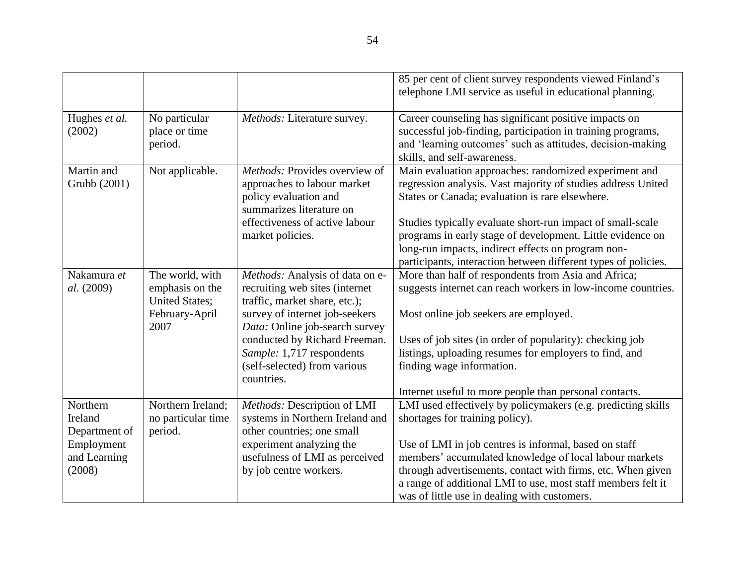|                                      |                                                             |                                                                                                                   | 85 per cent of client survey respondents viewed Finland's                                                                                                                                                                                        |
|--------------------------------------|-------------------------------------------------------------|-------------------------------------------------------------------------------------------------------------------|--------------------------------------------------------------------------------------------------------------------------------------------------------------------------------------------------------------------------------------------------|
|                                      |                                                             |                                                                                                                   | telephone LMI service as useful in educational planning.                                                                                                                                                                                         |
| Hughes et al.<br>(2002)              | No particular<br>place or time<br>period.                   | Methods: Literature survey.                                                                                       | Career counseling has significant positive impacts on<br>successful job-finding, participation in training programs,<br>and 'learning outcomes' such as attitudes, decision-making<br>skills, and self-awareness.                                |
| Martin and<br>Grubb (2001)           | Not applicable.                                             | Methods: Provides overview of<br>approaches to labour market<br>policy evaluation and<br>summarizes literature on | Main evaluation approaches: randomized experiment and<br>regression analysis. Vast majority of studies address United<br>States or Canada; evaluation is rare elsewhere.                                                                         |
|                                      |                                                             | effectiveness of active labour<br>market policies.                                                                | Studies typically evaluate short-run impact of small-scale<br>programs in early stage of development. Little evidence on<br>long-run impacts, indirect effects on program non-<br>participants, interaction between different types of policies. |
| Nakamura et<br>al. (2009)            | The world, with<br>emphasis on the<br><b>United States;</b> | Methods: Analysis of data on e-<br>recruiting web sites (internet<br>traffic, market share, etc.);                | More than half of respondents from Asia and Africa;<br>suggests internet can reach workers in low-income countries.                                                                                                                              |
|                                      | February-April<br>2007                                      | survey of internet job-seekers<br>Data: Online job-search survey                                                  | Most online job seekers are employed.                                                                                                                                                                                                            |
|                                      |                                                             | conducted by Richard Freeman.<br>Sample: 1,717 respondents<br>(self-selected) from various<br>countries.          | Uses of job sites (in order of popularity): checking job<br>listings, uploading resumes for employers to find, and<br>finding wage information.                                                                                                  |
|                                      |                                                             |                                                                                                                   | Internet useful to more people than personal contacts.                                                                                                                                                                                           |
| Northern<br>Ireland<br>Department of | Northern Ireland;<br>no particular time<br>period.          | Methods: Description of LMI<br>systems in Northern Ireland and<br>other countries; one small                      | LMI used effectively by policymakers (e.g. predicting skills<br>shortages for training policy).                                                                                                                                                  |
| Employment                           |                                                             | experiment analyzing the                                                                                          | Use of LMI in job centres is informal, based on staff                                                                                                                                                                                            |
| and Learning<br>(2008)               |                                                             | usefulness of LMI as perceived<br>by job centre workers.                                                          | members' accumulated knowledge of local labour markets<br>through advertisements, contact with firms, etc. When given                                                                                                                            |
|                                      |                                                             |                                                                                                                   | a range of additional LMI to use, most staff members felt it<br>was of little use in dealing with customers.                                                                                                                                     |